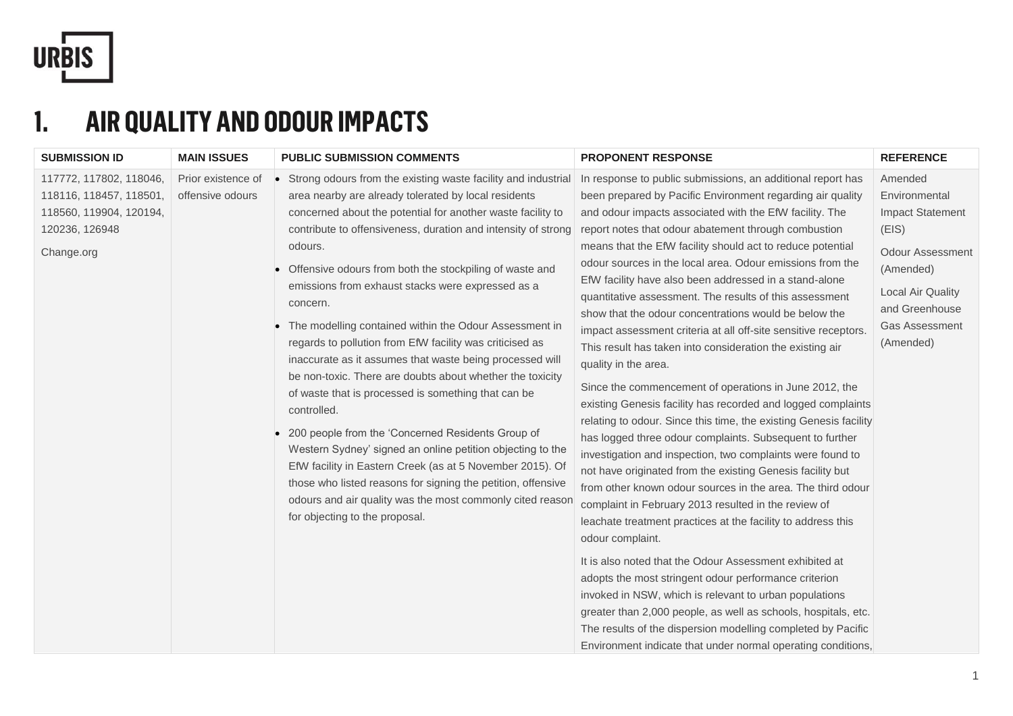

#### **1. AIR QUALITY AND ODOUR IMPACTS**

| <b>SUBMISSION ID</b>                                                                                          | <b>MAIN ISSUES</b>                     | <b>PUBLIC SUBMISSION COMMENTS</b>                                                                                                                                                                                                                                                                                                                                                                                                                                                                                                                                                                                                                                                                                                                                                                                                                                                                                                                                                                                                                                      | <b>PROPONENT RESPONSE</b>                                                                                                                                                                                                                                                                                                                                                                                                                                                                                                                                                                                                                                                                                                                                                                                                                                                                                                                                                                                                                                                                                                                                                                                                                                                                                                                                                                                                                                                                                                                                                                                                                                                                       | <b>REFERENCE</b>                                                                                                                                                                         |
|---------------------------------------------------------------------------------------------------------------|----------------------------------------|------------------------------------------------------------------------------------------------------------------------------------------------------------------------------------------------------------------------------------------------------------------------------------------------------------------------------------------------------------------------------------------------------------------------------------------------------------------------------------------------------------------------------------------------------------------------------------------------------------------------------------------------------------------------------------------------------------------------------------------------------------------------------------------------------------------------------------------------------------------------------------------------------------------------------------------------------------------------------------------------------------------------------------------------------------------------|-------------------------------------------------------------------------------------------------------------------------------------------------------------------------------------------------------------------------------------------------------------------------------------------------------------------------------------------------------------------------------------------------------------------------------------------------------------------------------------------------------------------------------------------------------------------------------------------------------------------------------------------------------------------------------------------------------------------------------------------------------------------------------------------------------------------------------------------------------------------------------------------------------------------------------------------------------------------------------------------------------------------------------------------------------------------------------------------------------------------------------------------------------------------------------------------------------------------------------------------------------------------------------------------------------------------------------------------------------------------------------------------------------------------------------------------------------------------------------------------------------------------------------------------------------------------------------------------------------------------------------------------------------------------------------------------------|------------------------------------------------------------------------------------------------------------------------------------------------------------------------------------------|
| 117772, 117802, 118046,<br>118116, 118457, 118501,<br>118560, 119904, 120194,<br>120236, 126948<br>Change.org | Prior existence of<br>offensive odours | • Strong odours from the existing waste facility and industrial<br>area nearby are already tolerated by local residents<br>concerned about the potential for another waste facility to<br>contribute to offensiveness, duration and intensity of strong<br>odours.<br>• Offensive odours from both the stockpiling of waste and<br>emissions from exhaust stacks were expressed as a<br>concern.<br>• The modelling contained within the Odour Assessment in<br>regards to pollution from EfW facility was criticised as<br>inaccurate as it assumes that waste being processed will<br>be non-toxic. There are doubts about whether the toxicity<br>of waste that is processed is something that can be<br>controlled.<br>200 people from the 'Concerned Residents Group of<br>Western Sydney' signed an online petition objecting to the<br>EfW facility in Eastern Creek (as at 5 November 2015). Of<br>those who listed reasons for signing the petition, offensive<br>odours and air quality was the most commonly cited reason<br>for objecting to the proposal. | In response to public submissions, an additional report has<br>been prepared by Pacific Environment regarding air quality<br>and odour impacts associated with the EfW facility. The<br>report notes that odour abatement through combustion<br>means that the EfW facility should act to reduce potential<br>odour sources in the local area. Odour emissions from the<br>EfW facility have also been addressed in a stand-alone<br>quantitative assessment. The results of this assessment<br>show that the odour concentrations would be below the<br>impact assessment criteria at all off-site sensitive receptors.<br>This result has taken into consideration the existing air<br>quality in the area.<br>Since the commencement of operations in June 2012, the<br>existing Genesis facility has recorded and logged complaints<br>relating to odour. Since this time, the existing Genesis facility<br>has logged three odour complaints. Subsequent to further<br>investigation and inspection, two complaints were found to<br>not have originated from the existing Genesis facility but<br>from other known odour sources in the area. The third odour<br>complaint in February 2013 resulted in the review of<br>leachate treatment practices at the facility to address this<br>odour complaint.<br>It is also noted that the Odour Assessment exhibited at<br>adopts the most stringent odour performance criterion<br>invoked in NSW, which is relevant to urban populations<br>greater than 2,000 people, as well as schools, hospitals, etc.<br>The results of the dispersion modelling completed by Pacific<br>Environment indicate that under normal operating conditions, | Amended<br>Environmental<br><b>Impact Statement</b><br>(EIS)<br><b>Odour Assessment</b><br>(Amended)<br><b>Local Air Quality</b><br>and Greenhouse<br><b>Gas Assessment</b><br>(Amended) |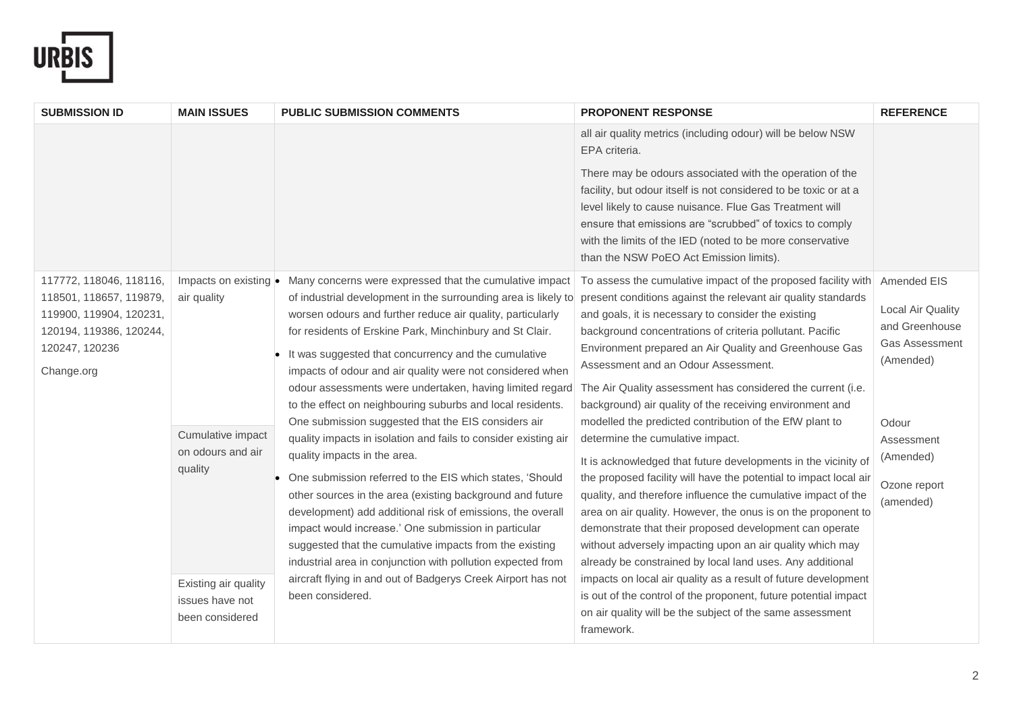

| <b>SUBMISSION ID</b>                               | <b>MAIN ISSUES</b>            | <b>PUBLIC SUBMISSION COMMENTS</b>                                                                                            | <b>PROPONENT RESPONSE</b>                                                                                                                                                                                                                                                                                                                                   | <b>REFERENCE</b>  |
|----------------------------------------------------|-------------------------------|------------------------------------------------------------------------------------------------------------------------------|-------------------------------------------------------------------------------------------------------------------------------------------------------------------------------------------------------------------------------------------------------------------------------------------------------------------------------------------------------------|-------------------|
|                                                    |                               |                                                                                                                              | all air quality metrics (including odour) will be below NSW<br>EPA criteria.                                                                                                                                                                                                                                                                                |                   |
|                                                    |                               |                                                                                                                              | There may be odours associated with the operation of the<br>facility, but odour itself is not considered to be toxic or at a<br>level likely to cause nuisance. Flue Gas Treatment will<br>ensure that emissions are "scrubbed" of toxics to comply<br>with the limits of the IED (noted to be more conservative<br>than the NSW PoEO Act Emission limits). |                   |
| 117772, 118046, 118116,                            | Impacts on existing $\bullet$ | Many concerns were expressed that the cumulative impact                                                                      | To assess the cumulative impact of the proposed facility with                                                                                                                                                                                                                                                                                               | Amended EIS       |
| 118501, 118657, 119879,<br>119900, 119904, 120231, | air quality                   | of industrial development in the surrounding area is likely to<br>worsen odours and further reduce air quality, particularly | present conditions against the relevant air quality standards<br>and goals, it is necessary to consider the existing                                                                                                                                                                                                                                        | Local Air Quality |
| 120194, 119386, 120244,                            |                               | for residents of Erskine Park, Minchinbury and St Clair.                                                                     | background concentrations of criteria pollutant. Pacific                                                                                                                                                                                                                                                                                                    | and Greenhouse    |
| 120247, 120236                                     |                               | It was suggested that concurrency and the cumulative                                                                         | Environment prepared an Air Quality and Greenhouse Gas                                                                                                                                                                                                                                                                                                      | Gas Assessment    |
| Change.org                                         |                               | impacts of odour and air quality were not considered when                                                                    | Assessment and an Odour Assessment.                                                                                                                                                                                                                                                                                                                         | (Amended)         |
|                                                    |                               | odour assessments were undertaken, having limited regard                                                                     | The Air Quality assessment has considered the current (i.e.                                                                                                                                                                                                                                                                                                 |                   |
|                                                    |                               | to the effect on neighbouring suburbs and local residents.                                                                   | background) air quality of the receiving environment and                                                                                                                                                                                                                                                                                                    |                   |
|                                                    |                               | One submission suggested that the EIS considers air                                                                          | modelled the predicted contribution of the EfW plant to                                                                                                                                                                                                                                                                                                     | Odour             |
|                                                    | Cumulative impact             | quality impacts in isolation and fails to consider existing air                                                              | determine the cumulative impact.                                                                                                                                                                                                                                                                                                                            | Assessment        |
|                                                    | on odours and air<br>quality  | quality impacts in the area.                                                                                                 | It is acknowledged that future developments in the vicinity of                                                                                                                                                                                                                                                                                              | (Amended)         |
|                                                    |                               | One submission referred to the EIS which states, 'Should                                                                     | the proposed facility will have the potential to impact local air                                                                                                                                                                                                                                                                                           | Ozone report      |
|                                                    |                               | other sources in the area (existing background and future                                                                    | quality, and therefore influence the cumulative impact of the                                                                                                                                                                                                                                                                                               | (amended)         |
|                                                    |                               | development) add additional risk of emissions, the overall                                                                   | area on air quality. However, the onus is on the proponent to                                                                                                                                                                                                                                                                                               |                   |
|                                                    |                               | impact would increase.' One submission in particular                                                                         | demonstrate that their proposed development can operate                                                                                                                                                                                                                                                                                                     |                   |
|                                                    |                               | suggested that the cumulative impacts from the existing                                                                      | without adversely impacting upon an air quality which may                                                                                                                                                                                                                                                                                                   |                   |
|                                                    |                               | industrial area in conjunction with pollution expected from                                                                  | already be constrained by local land uses. Any additional                                                                                                                                                                                                                                                                                                   |                   |
|                                                    | Existing air quality          | aircraft flying in and out of Badgerys Creek Airport has not                                                                 | impacts on local air quality as a result of future development                                                                                                                                                                                                                                                                                              |                   |
|                                                    | issues have not               | been considered.                                                                                                             | is out of the control of the proponent, future potential impact                                                                                                                                                                                                                                                                                             |                   |
|                                                    | been considered               |                                                                                                                              | on air quality will be the subject of the same assessment                                                                                                                                                                                                                                                                                                   |                   |
|                                                    |                               |                                                                                                                              | framework.                                                                                                                                                                                                                                                                                                                                                  |                   |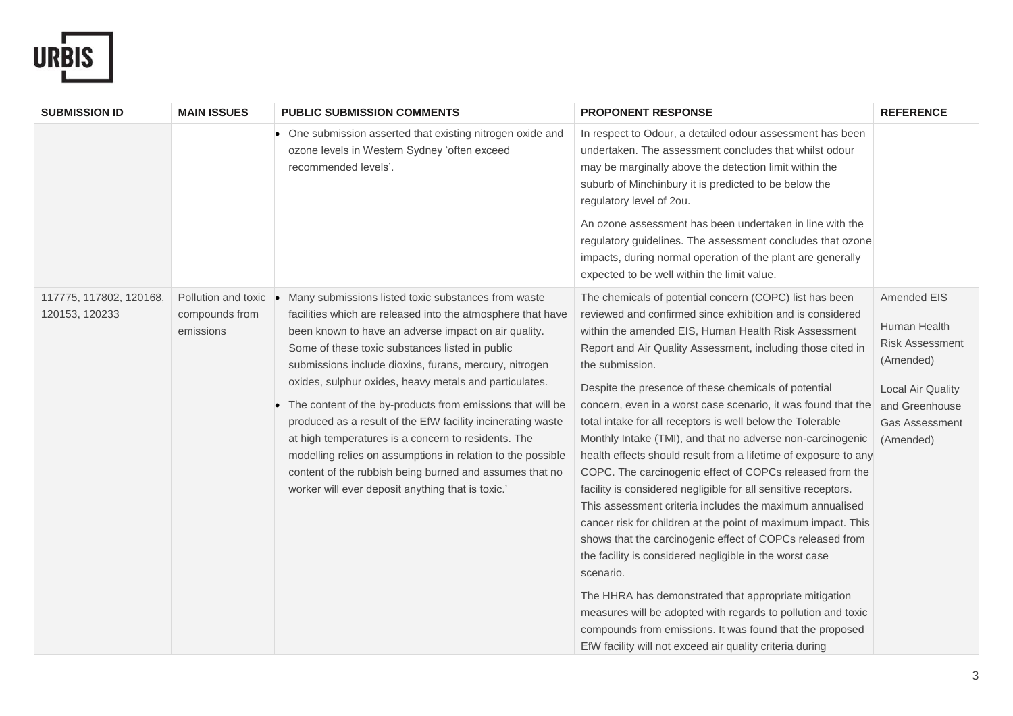

| <b>SUBMISSION ID</b>                      | <b>MAIN ISSUES</b>                                 | <b>PUBLIC SUBMISSION COMMENTS</b>                                                                                                                                                                                                                                                                                                                                                                                                                                                                                                                                                                                                                                                                                    | <b>PROPONENT RESPONSE</b>                                                                                                                                                                                                                                                                                                                                                                                                                                                                                                                                                                                                                                                                                                                                                                                                                                                                                                                                                                                                                                                                                                                                                                                                               | <b>REFERENCE</b>                                                                                                                                       |
|-------------------------------------------|----------------------------------------------------|----------------------------------------------------------------------------------------------------------------------------------------------------------------------------------------------------------------------------------------------------------------------------------------------------------------------------------------------------------------------------------------------------------------------------------------------------------------------------------------------------------------------------------------------------------------------------------------------------------------------------------------------------------------------------------------------------------------------|-----------------------------------------------------------------------------------------------------------------------------------------------------------------------------------------------------------------------------------------------------------------------------------------------------------------------------------------------------------------------------------------------------------------------------------------------------------------------------------------------------------------------------------------------------------------------------------------------------------------------------------------------------------------------------------------------------------------------------------------------------------------------------------------------------------------------------------------------------------------------------------------------------------------------------------------------------------------------------------------------------------------------------------------------------------------------------------------------------------------------------------------------------------------------------------------------------------------------------------------|--------------------------------------------------------------------------------------------------------------------------------------------------------|
|                                           |                                                    | One submission asserted that existing nitrogen oxide and<br>ozone levels in Western Sydney 'often exceed<br>recommended levels'.                                                                                                                                                                                                                                                                                                                                                                                                                                                                                                                                                                                     | In respect to Odour, a detailed odour assessment has been<br>undertaken. The assessment concludes that whilst odour<br>may be marginally above the detection limit within the<br>suburb of Minchinbury it is predicted to be below the<br>regulatory level of 2ou.                                                                                                                                                                                                                                                                                                                                                                                                                                                                                                                                                                                                                                                                                                                                                                                                                                                                                                                                                                      |                                                                                                                                                        |
|                                           |                                                    |                                                                                                                                                                                                                                                                                                                                                                                                                                                                                                                                                                                                                                                                                                                      | An ozone assessment has been undertaken in line with the<br>regulatory guidelines. The assessment concludes that ozone<br>impacts, during normal operation of the plant are generally<br>expected to be well within the limit value.                                                                                                                                                                                                                                                                                                                                                                                                                                                                                                                                                                                                                                                                                                                                                                                                                                                                                                                                                                                                    |                                                                                                                                                        |
| 117775, 117802, 120168,<br>120153, 120233 | Pollution and toxic<br>compounds from<br>emissions | Many submissions listed toxic substances from waste<br>facilities which are released into the atmosphere that have<br>been known to have an adverse impact on air quality.<br>Some of these toxic substances listed in public<br>submissions include dioxins, furans, mercury, nitrogen<br>oxides, sulphur oxides, heavy metals and particulates.<br>The content of the by-products from emissions that will be<br>produced as a result of the EfW facility incinerating waste<br>at high temperatures is a concern to residents. The<br>modelling relies on assumptions in relation to the possible<br>content of the rubbish being burned and assumes that no<br>worker will ever deposit anything that is toxic.' | The chemicals of potential concern (COPC) list has been<br>reviewed and confirmed since exhibition and is considered<br>within the amended EIS, Human Health Risk Assessment<br>Report and Air Quality Assessment, including those cited in<br>the submission.<br>Despite the presence of these chemicals of potential<br>concern, even in a worst case scenario, it was found that the<br>total intake for all receptors is well below the Tolerable<br>Monthly Intake (TMI), and that no adverse non-carcinogenic<br>health effects should result from a lifetime of exposure to any<br>COPC. The carcinogenic effect of COPCs released from the<br>facility is considered negligible for all sensitive receptors.<br>This assessment criteria includes the maximum annualised<br>cancer risk for children at the point of maximum impact. This<br>shows that the carcinogenic effect of COPCs released from<br>the facility is considered negligible in the worst case<br>scenario.<br>The HHRA has demonstrated that appropriate mitigation<br>measures will be adopted with regards to pollution and toxic<br>compounds from emissions. It was found that the proposed<br>EfW facility will not exceed air quality criteria during | Amended EIS<br>Human Health<br><b>Risk Assessment</b><br>(Amended)<br><b>Local Air Quality</b><br>and Greenhouse<br><b>Gas Assessment</b><br>(Amended) |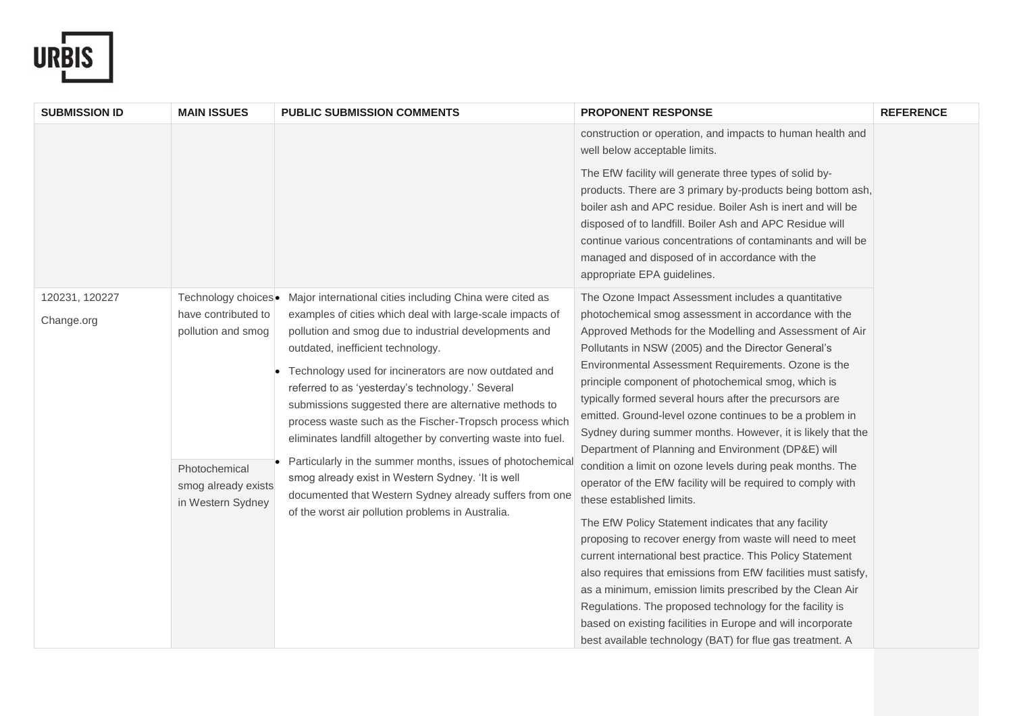

| <b>SUBMISSION ID</b>         | <b>MAIN ISSUES</b>                                                                                                            | <b>PUBLIC SUBMISSION COMMENTS</b>                                                                                                                                                                                                                                                                                                                                                                                                                                                                                                                                                                                                                                                                                                                         | <b>PROPONENT RESPONSE</b>                                                                                                                                                                                                                                                                                                                                                                                                                                                                                                                                                                                                                                                                                                                                                                                                                                                                                                                                                                                                                                                                                                       | <b>REFERENCE</b> |
|------------------------------|-------------------------------------------------------------------------------------------------------------------------------|-----------------------------------------------------------------------------------------------------------------------------------------------------------------------------------------------------------------------------------------------------------------------------------------------------------------------------------------------------------------------------------------------------------------------------------------------------------------------------------------------------------------------------------------------------------------------------------------------------------------------------------------------------------------------------------------------------------------------------------------------------------|---------------------------------------------------------------------------------------------------------------------------------------------------------------------------------------------------------------------------------------------------------------------------------------------------------------------------------------------------------------------------------------------------------------------------------------------------------------------------------------------------------------------------------------------------------------------------------------------------------------------------------------------------------------------------------------------------------------------------------------------------------------------------------------------------------------------------------------------------------------------------------------------------------------------------------------------------------------------------------------------------------------------------------------------------------------------------------------------------------------------------------|------------------|
|                              |                                                                                                                               |                                                                                                                                                                                                                                                                                                                                                                                                                                                                                                                                                                                                                                                                                                                                                           | construction or operation, and impacts to human health and<br>well below acceptable limits.                                                                                                                                                                                                                                                                                                                                                                                                                                                                                                                                                                                                                                                                                                                                                                                                                                                                                                                                                                                                                                     |                  |
|                              |                                                                                                                               |                                                                                                                                                                                                                                                                                                                                                                                                                                                                                                                                                                                                                                                                                                                                                           | The EfW facility will generate three types of solid by-<br>products. There are 3 primary by-products being bottom ash,<br>boiler ash and APC residue. Boiler Ash is inert and will be<br>disposed of to landfill. Boiler Ash and APC Residue will<br>continue various concentrations of contaminants and will be<br>managed and disposed of in accordance with the<br>appropriate EPA guidelines.                                                                                                                                                                                                                                                                                                                                                                                                                                                                                                                                                                                                                                                                                                                               |                  |
| 120231, 120227<br>Change.org | Technology choices.<br>have contributed to<br>pollution and smog<br>Photochemical<br>smog already exists<br>in Western Sydney | Major international cities including China were cited as<br>examples of cities which deal with large-scale impacts of<br>pollution and smog due to industrial developments and<br>outdated, inefficient technology.<br>Technology used for incinerators are now outdated and<br>referred to as 'yesterday's technology.' Several<br>submissions suggested there are alternative methods to<br>process waste such as the Fischer-Tropsch process which<br>eliminates landfill altogether by converting waste into fuel.<br>Particularly in the summer months, issues of photochemical<br>smog already exist in Western Sydney. 'It is well<br>documented that Western Sydney already suffers from one<br>of the worst air pollution problems in Australia. | The Ozone Impact Assessment includes a quantitative<br>photochemical smog assessment in accordance with the<br>Approved Methods for the Modelling and Assessment of Air<br>Pollutants in NSW (2005) and the Director General's<br>Environmental Assessment Requirements. Ozone is the<br>principle component of photochemical smog, which is<br>typically formed several hours after the precursors are<br>emitted. Ground-level ozone continues to be a problem in<br>Sydney during summer months. However, it is likely that the<br>Department of Planning and Environment (DP&E) will<br>condition a limit on ozone levels during peak months. The<br>operator of the EfW facility will be required to comply with<br>these established limits.<br>The EfW Policy Statement indicates that any facility<br>proposing to recover energy from waste will need to meet<br>current international best practice. This Policy Statement<br>also requires that emissions from EfW facilities must satisfy,<br>as a minimum, emission limits prescribed by the Clean Air<br>Regulations. The proposed technology for the facility is |                  |
|                              |                                                                                                                               |                                                                                                                                                                                                                                                                                                                                                                                                                                                                                                                                                                                                                                                                                                                                                           | based on existing facilities in Europe and will incorporate<br>best available technology (BAT) for flue gas treatment. A                                                                                                                                                                                                                                                                                                                                                                                                                                                                                                                                                                                                                                                                                                                                                                                                                                                                                                                                                                                                        |                  |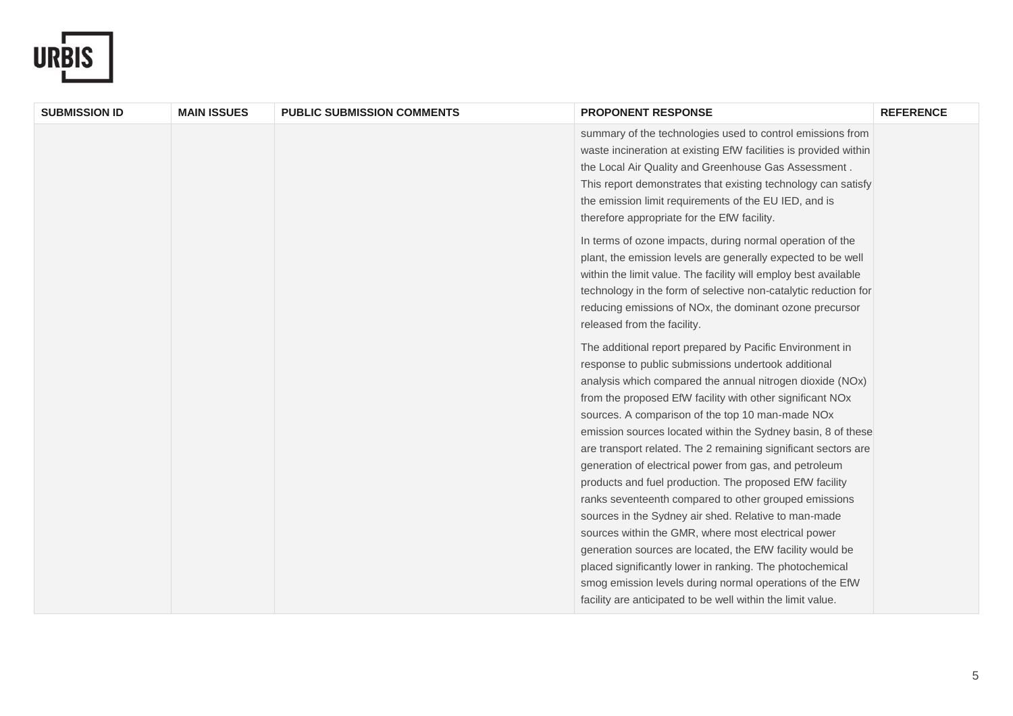

| <b>SUBMISSION ID</b> | <b>MAIN ISSUES</b> | <b>PUBLIC SUBMISSION COMMENTS</b> | <b>PROPONENT RESPONSE</b>                                                                                                                                                                                                                                                                                                                                                                                                                                                                                                                                                                                                                                                                                                                                                                                                                                                                                                                                                        | <b>REFERENCE</b> |
|----------------------|--------------------|-----------------------------------|----------------------------------------------------------------------------------------------------------------------------------------------------------------------------------------------------------------------------------------------------------------------------------------------------------------------------------------------------------------------------------------------------------------------------------------------------------------------------------------------------------------------------------------------------------------------------------------------------------------------------------------------------------------------------------------------------------------------------------------------------------------------------------------------------------------------------------------------------------------------------------------------------------------------------------------------------------------------------------|------------------|
|                      |                    |                                   | summary of the technologies used to control emissions from<br>waste incineration at existing EfW facilities is provided within<br>the Local Air Quality and Greenhouse Gas Assessment.<br>This report demonstrates that existing technology can satisfy<br>the emission limit requirements of the EU IED, and is<br>therefore appropriate for the EfW facility.                                                                                                                                                                                                                                                                                                                                                                                                                                                                                                                                                                                                                  |                  |
|                      |                    |                                   | In terms of ozone impacts, during normal operation of the<br>plant, the emission levels are generally expected to be well<br>within the limit value. The facility will employ best available<br>technology in the form of selective non-catalytic reduction for<br>reducing emissions of NOx, the dominant ozone precursor<br>released from the facility.                                                                                                                                                                                                                                                                                                                                                                                                                                                                                                                                                                                                                        |                  |
|                      |                    |                                   | The additional report prepared by Pacific Environment in<br>response to public submissions undertook additional<br>analysis which compared the annual nitrogen dioxide (NOx)<br>from the proposed EfW facility with other significant NOx<br>sources. A comparison of the top 10 man-made NOx<br>emission sources located within the Sydney basin, 8 of these<br>are transport related. The 2 remaining significant sectors are<br>generation of electrical power from gas, and petroleum<br>products and fuel production. The proposed EfW facility<br>ranks seventeenth compared to other grouped emissions<br>sources in the Sydney air shed. Relative to man-made<br>sources within the GMR, where most electrical power<br>generation sources are located, the EfW facility would be<br>placed significantly lower in ranking. The photochemical<br>smog emission levels during normal operations of the EfW<br>facility are anticipated to be well within the limit value. |                  |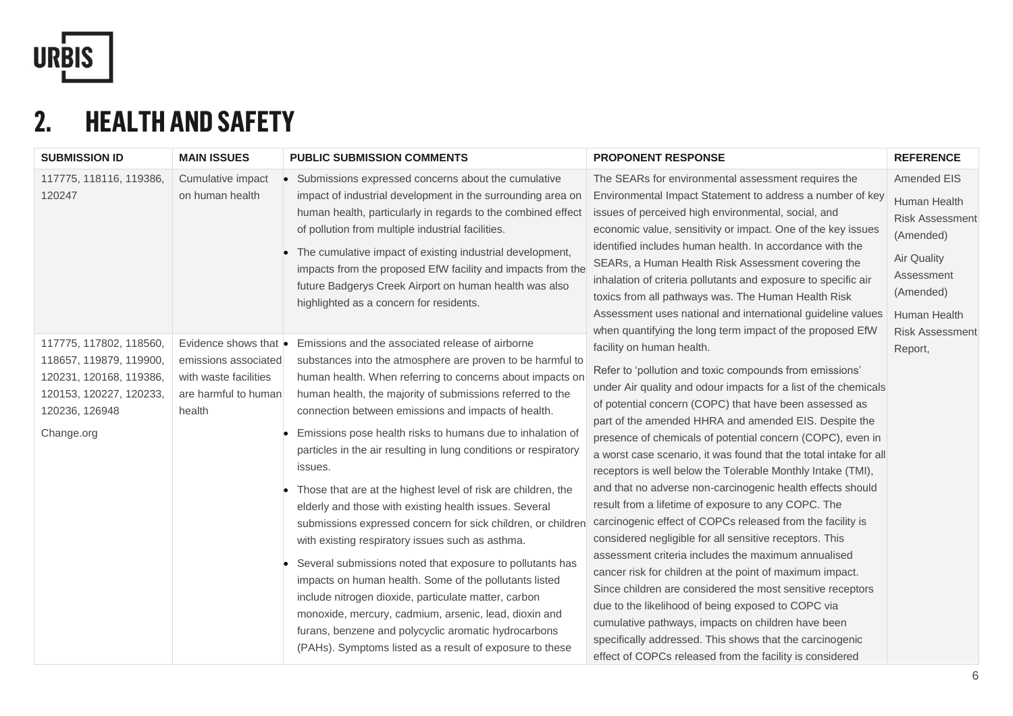

## **2. HEALTH AND SAFETY**

| <b>SUBMISSION ID</b>                                                                                                                     | <b>MAIN ISSUES</b>                                                                                               | <b>PUBLIC SUBMISSION COMMENTS</b>                                                                                                                                                                                                                                                                                                                                                                                                                                                                                                                                                                                                                                                                                                                                                                                                                                                                                                                                                                                                                       | <b>PROPONENT RESPONSE</b>                                                                                                                                                                                                                                                                                                                                                                                                                                                                                                                                                                                                                                                                                                                                                                                                                                                                                                                                                                                                                                                                                                                                                                                    | <b>REFERENCE</b>                                                                                                                                              |
|------------------------------------------------------------------------------------------------------------------------------------------|------------------------------------------------------------------------------------------------------------------|---------------------------------------------------------------------------------------------------------------------------------------------------------------------------------------------------------------------------------------------------------------------------------------------------------------------------------------------------------------------------------------------------------------------------------------------------------------------------------------------------------------------------------------------------------------------------------------------------------------------------------------------------------------------------------------------------------------------------------------------------------------------------------------------------------------------------------------------------------------------------------------------------------------------------------------------------------------------------------------------------------------------------------------------------------|--------------------------------------------------------------------------------------------------------------------------------------------------------------------------------------------------------------------------------------------------------------------------------------------------------------------------------------------------------------------------------------------------------------------------------------------------------------------------------------------------------------------------------------------------------------------------------------------------------------------------------------------------------------------------------------------------------------------------------------------------------------------------------------------------------------------------------------------------------------------------------------------------------------------------------------------------------------------------------------------------------------------------------------------------------------------------------------------------------------------------------------------------------------------------------------------------------------|---------------------------------------------------------------------------------------------------------------------------------------------------------------|
| 117775, 118116, 119386,<br>120247                                                                                                        | Cumulative impact<br>on human health                                                                             | Submissions expressed concerns about the cumulative<br>impact of industrial development in the surrounding area on<br>human health, particularly in regards to the combined effect<br>of pollution from multiple industrial facilities.<br>The cumulative impact of existing industrial development,<br>impacts from the proposed EfW facility and impacts from the<br>future Badgerys Creek Airport on human health was also<br>highlighted as a concern for residents.                                                                                                                                                                                                                                                                                                                                                                                                                                                                                                                                                                                | The SEARs for environmental assessment requires the<br>Environmental Impact Statement to address a number of key<br>issues of perceived high environmental, social, and<br>economic value, sensitivity or impact. One of the key issues<br>identified includes human health. In accordance with the<br>SEARs, a Human Health Risk Assessment covering the<br>inhalation of criteria pollutants and exposure to specific air<br>toxics from all pathways was. The Human Health Risk<br>Assessment uses national and international guideline values                                                                                                                                                                                                                                                                                                                                                                                                                                                                                                                                                                                                                                                            | <b>Amended EIS</b><br>Human Health<br><b>Risk Assessment</b><br>(Amended)<br>Air Quality<br>Assessment<br>(Amended)<br>Human Health<br><b>Risk Assessment</b> |
| 117775, 117802, 118560,<br>118657, 119879, 119900,<br>120231, 120168, 119386,<br>120153, 120227, 120233,<br>120236, 126948<br>Change.org | Evidence shows that $\bullet$<br>emissions associated<br>with waste facilities<br>are harmful to human<br>health | Emissions and the associated release of airborne<br>substances into the atmosphere are proven to be harmful to<br>human health. When referring to concerns about impacts on<br>human health, the majority of submissions referred to the<br>connection between emissions and impacts of health.<br>Emissions pose health risks to humans due to inhalation of<br>particles in the air resulting in lung conditions or respiratory<br>issues.<br>Those that are at the highest level of risk are children, the<br>elderly and those with existing health issues. Several<br>submissions expressed concern for sick children, or children<br>with existing respiratory issues such as asthma.<br>Several submissions noted that exposure to pollutants has<br>impacts on human health. Some of the pollutants listed<br>include nitrogen dioxide, particulate matter, carbon<br>monoxide, mercury, cadmium, arsenic, lead, dioxin and<br>furans, benzene and polycyclic aromatic hydrocarbons<br>(PAHs). Symptoms listed as a result of exposure to these | when quantifying the long term impact of the proposed EfW<br>facility on human health.<br>Refer to 'pollution and toxic compounds from emissions'<br>under Air quality and odour impacts for a list of the chemicals<br>of potential concern (COPC) that have been assessed as<br>part of the amended HHRA and amended EIS. Despite the<br>presence of chemicals of potential concern (COPC), even in<br>a worst case scenario, it was found that the total intake for all<br>receptors is well below the Tolerable Monthly Intake (TMI),<br>and that no adverse non-carcinogenic health effects should<br>result from a lifetime of exposure to any COPC. The<br>carcinogenic effect of COPCs released from the facility is<br>considered negligible for all sensitive receptors. This<br>assessment criteria includes the maximum annualised<br>cancer risk for children at the point of maximum impact.<br>Since children are considered the most sensitive receptors<br>due to the likelihood of being exposed to COPC via<br>cumulative pathways, impacts on children have been<br>specifically addressed. This shows that the carcinogenic<br>effect of COPCs released from the facility is considered | Report,                                                                                                                                                       |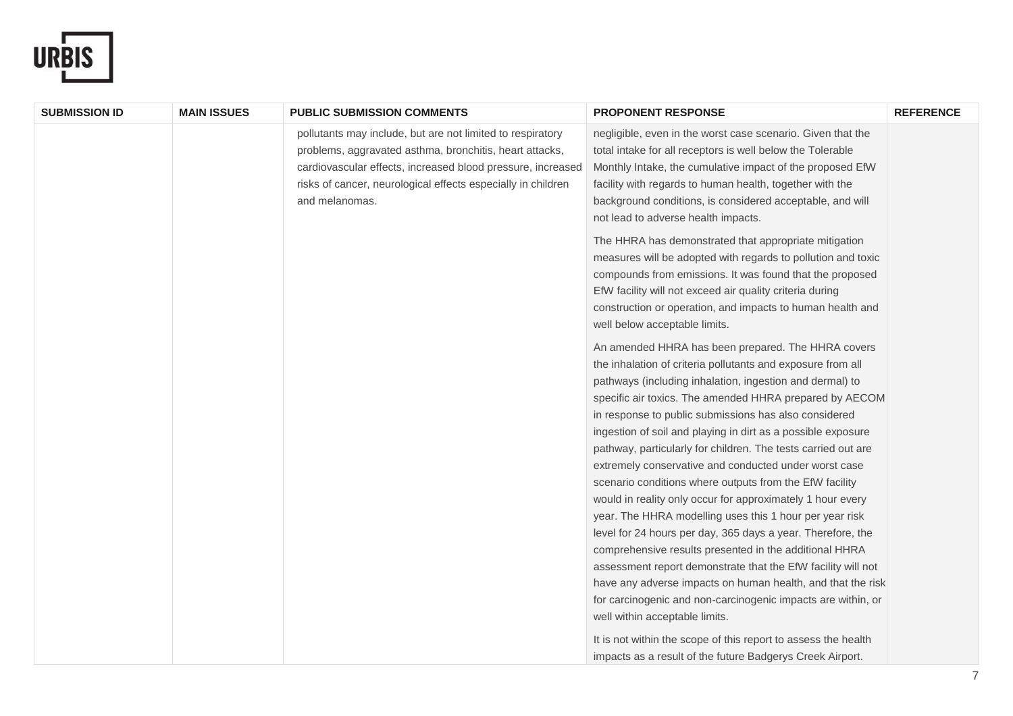

| <b>SUBMISSION ID</b> | <b>MAIN ISSUES</b> | <b>PUBLIC SUBMISSION COMMENTS</b>                                                                                                                                                                                                                                      | <b>PROPONENT RESPONSE</b>                                                                                                                                                                                                                                                                                                                                                                                                                                                                                                                                                                                                                                                                                                                                                                                                                                                                                                                                                                                                                 | <b>REFERENCE</b> |
|----------------------|--------------------|------------------------------------------------------------------------------------------------------------------------------------------------------------------------------------------------------------------------------------------------------------------------|-------------------------------------------------------------------------------------------------------------------------------------------------------------------------------------------------------------------------------------------------------------------------------------------------------------------------------------------------------------------------------------------------------------------------------------------------------------------------------------------------------------------------------------------------------------------------------------------------------------------------------------------------------------------------------------------------------------------------------------------------------------------------------------------------------------------------------------------------------------------------------------------------------------------------------------------------------------------------------------------------------------------------------------------|------------------|
|                      |                    | pollutants may include, but are not limited to respiratory<br>problems, aggravated asthma, bronchitis, heart attacks,<br>cardiovascular effects, increased blood pressure, increased<br>risks of cancer, neurological effects especially in children<br>and melanomas. | negligible, even in the worst case scenario. Given that the<br>total intake for all receptors is well below the Tolerable<br>Monthly Intake, the cumulative impact of the proposed EfW<br>facility with regards to human health, together with the<br>background conditions, is considered acceptable, and will<br>not lead to adverse health impacts.                                                                                                                                                                                                                                                                                                                                                                                                                                                                                                                                                                                                                                                                                    |                  |
|                      |                    |                                                                                                                                                                                                                                                                        | The HHRA has demonstrated that appropriate mitigation<br>measures will be adopted with regards to pollution and toxic<br>compounds from emissions. It was found that the proposed<br>EfW facility will not exceed air quality criteria during<br>construction or operation, and impacts to human health and<br>well below acceptable limits.                                                                                                                                                                                                                                                                                                                                                                                                                                                                                                                                                                                                                                                                                              |                  |
|                      |                    |                                                                                                                                                                                                                                                                        | An amended HHRA has been prepared. The HHRA covers<br>the inhalation of criteria pollutants and exposure from all<br>pathways (including inhalation, ingestion and dermal) to<br>specific air toxics. The amended HHRA prepared by AECOM<br>in response to public submissions has also considered<br>ingestion of soil and playing in dirt as a possible exposure<br>pathway, particularly for children. The tests carried out are<br>extremely conservative and conducted under worst case<br>scenario conditions where outputs from the EfW facility<br>would in reality only occur for approximately 1 hour every<br>year. The HHRA modelling uses this 1 hour per year risk<br>level for 24 hours per day, 365 days a year. Therefore, the<br>comprehensive results presented in the additional HHRA<br>assessment report demonstrate that the EfW facility will not<br>have any adverse impacts on human health, and that the risk<br>for carcinogenic and non-carcinogenic impacts are within, or<br>well within acceptable limits. |                  |
|                      |                    |                                                                                                                                                                                                                                                                        | It is not within the scope of this report to assess the health<br>impacts as a result of the future Badgerys Creek Airport.                                                                                                                                                                                                                                                                                                                                                                                                                                                                                                                                                                                                                                                                                                                                                                                                                                                                                                               |                  |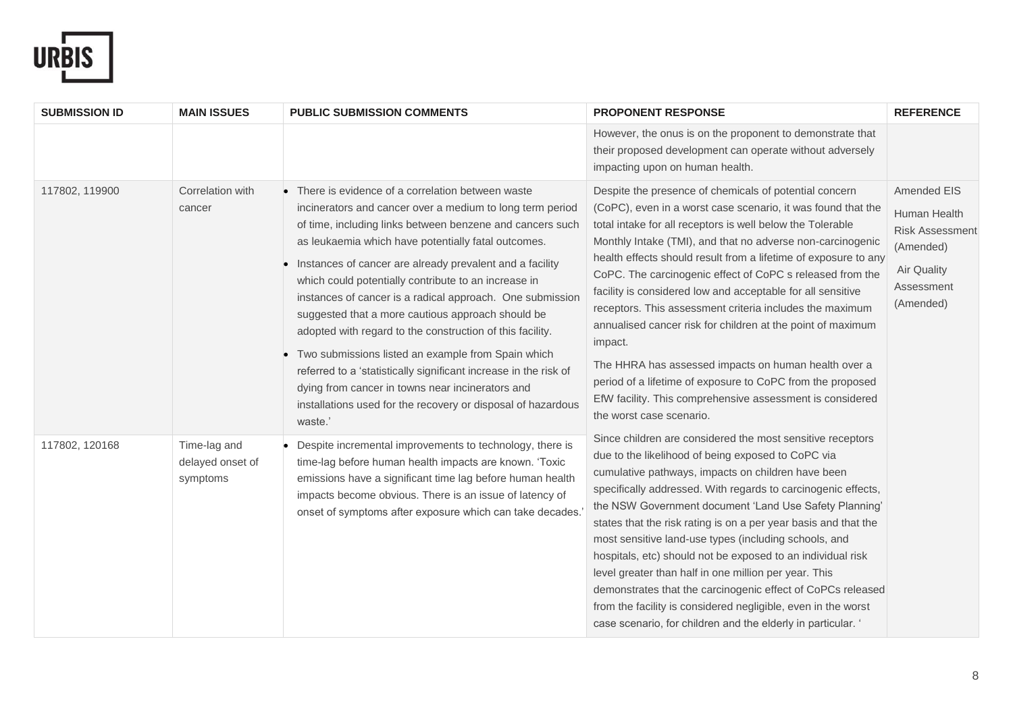

| <b>SUBMISSION ID</b> | <b>MAIN ISSUES</b>                           | <b>PUBLIC SUBMISSION COMMENTS</b>                                                                                                                                                                                                                                                                                                                                                                                                                                                                                                                                                                                                                                                                                                                                                             | <b>PROPONENT RESPONSE</b>                                                                                                                                                                                                                                                                                                                                                                                                                                                                                                                                                                                                                                                                                                                                                                              | <b>REFERENCE</b>                                                                                                           |
|----------------------|----------------------------------------------|-----------------------------------------------------------------------------------------------------------------------------------------------------------------------------------------------------------------------------------------------------------------------------------------------------------------------------------------------------------------------------------------------------------------------------------------------------------------------------------------------------------------------------------------------------------------------------------------------------------------------------------------------------------------------------------------------------------------------------------------------------------------------------------------------|--------------------------------------------------------------------------------------------------------------------------------------------------------------------------------------------------------------------------------------------------------------------------------------------------------------------------------------------------------------------------------------------------------------------------------------------------------------------------------------------------------------------------------------------------------------------------------------------------------------------------------------------------------------------------------------------------------------------------------------------------------------------------------------------------------|----------------------------------------------------------------------------------------------------------------------------|
|                      |                                              |                                                                                                                                                                                                                                                                                                                                                                                                                                                                                                                                                                                                                                                                                                                                                                                               | However, the onus is on the proponent to demonstrate that<br>their proposed development can operate without adversely<br>impacting upon on human health.                                                                                                                                                                                                                                                                                                                                                                                                                                                                                                                                                                                                                                               |                                                                                                                            |
| 117802, 119900       | Correlation with<br>cancer                   | There is evidence of a correlation between waste<br>incinerators and cancer over a medium to long term period<br>of time, including links between benzene and cancers such<br>as leukaemia which have potentially fatal outcomes.<br>Instances of cancer are already prevalent and a facility<br>which could potentially contribute to an increase in<br>instances of cancer is a radical approach. One submission<br>suggested that a more cautious approach should be<br>adopted with regard to the construction of this facility.<br>Two submissions listed an example from Spain which<br>referred to a 'statistically significant increase in the risk of<br>dying from cancer in towns near incinerators and<br>installations used for the recovery or disposal of hazardous<br>waste.' | Despite the presence of chemicals of potential concern<br>(CoPC), even in a worst case scenario, it was found that the<br>total intake for all receptors is well below the Tolerable<br>Monthly Intake (TMI), and that no adverse non-carcinogenic<br>health effects should result from a lifetime of exposure to any<br>CoPC. The carcinogenic effect of CoPC s released from the<br>facility is considered low and acceptable for all sensitive<br>receptors. This assessment criteria includes the maximum<br>annualised cancer risk for children at the point of maximum<br>impact.<br>The HHRA has assessed impacts on human health over a<br>period of a lifetime of exposure to CoPC from the proposed<br>EfW facility. This comprehensive assessment is considered<br>the worst case scenario. | <b>Amended EIS</b><br>Human Health<br><b>Risk Assessment</b><br>(Amended)<br><b>Air Quality</b><br>Assessment<br>(Amended) |
| 117802, 120168       | Time-lag and<br>delayed onset of<br>symptoms | Despite incremental improvements to technology, there is<br>time-lag before human health impacts are known. 'Toxic<br>emissions have a significant time lag before human health<br>impacts become obvious. There is an issue of latency of<br>onset of symptoms after exposure which can take decades.                                                                                                                                                                                                                                                                                                                                                                                                                                                                                        | Since children are considered the most sensitive receptors<br>due to the likelihood of being exposed to CoPC via<br>cumulative pathways, impacts on children have been<br>specifically addressed. With regards to carcinogenic effects,<br>the NSW Government document 'Land Use Safety Planning'<br>states that the risk rating is on a per year basis and that the<br>most sensitive land-use types (including schools, and<br>hospitals, etc) should not be exposed to an individual risk<br>level greater than half in one million per year. This<br>demonstrates that the carcinogenic effect of CoPCs released<br>from the facility is considered negligible, even in the worst<br>case scenario, for children and the elderly in particular. '                                                  |                                                                                                                            |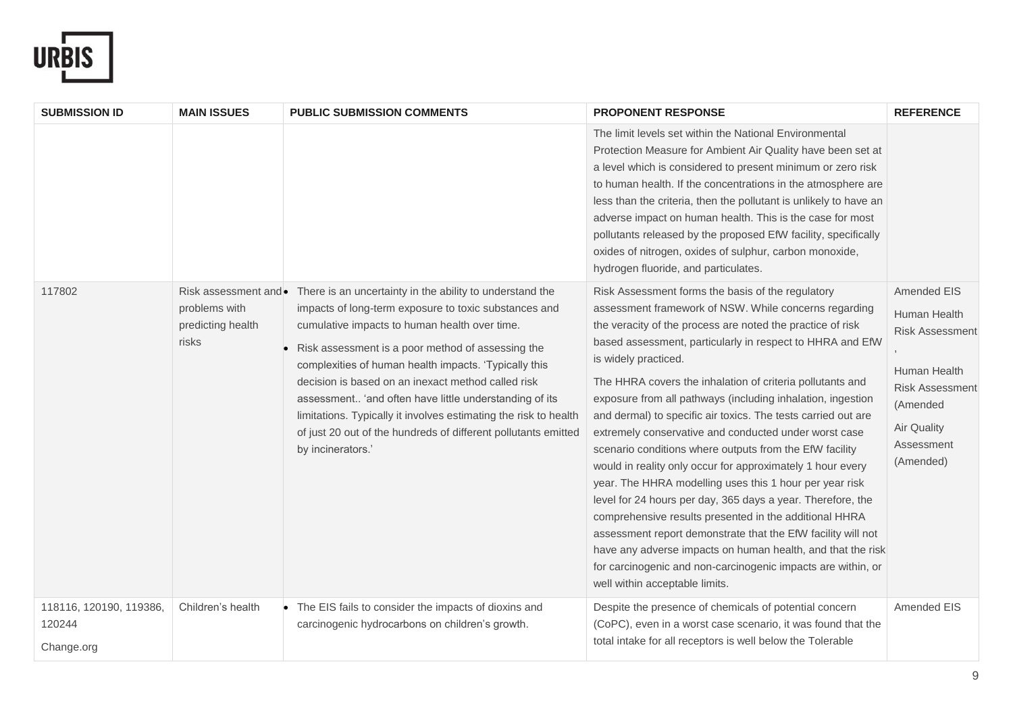

| <b>SUBMISSION ID</b>                            | <b>MAIN ISSUES</b>                                                   | <b>PUBLIC SUBMISSION COMMENTS</b>                                                                                                                                                                                                                                                                                                                                                                                                                                                                                                                           | <b>PROPONENT RESPONSE</b>                                                                                                                                                                                                                                                                                                                                                                                                                                                                                                                                                                                                                                                                                                                                                                                                                                                                                                                                                                                                                                         | <b>REFERENCE</b>                                                                                                                                             |
|-------------------------------------------------|----------------------------------------------------------------------|-------------------------------------------------------------------------------------------------------------------------------------------------------------------------------------------------------------------------------------------------------------------------------------------------------------------------------------------------------------------------------------------------------------------------------------------------------------------------------------------------------------------------------------------------------------|-------------------------------------------------------------------------------------------------------------------------------------------------------------------------------------------------------------------------------------------------------------------------------------------------------------------------------------------------------------------------------------------------------------------------------------------------------------------------------------------------------------------------------------------------------------------------------------------------------------------------------------------------------------------------------------------------------------------------------------------------------------------------------------------------------------------------------------------------------------------------------------------------------------------------------------------------------------------------------------------------------------------------------------------------------------------|--------------------------------------------------------------------------------------------------------------------------------------------------------------|
|                                                 |                                                                      |                                                                                                                                                                                                                                                                                                                                                                                                                                                                                                                                                             | The limit levels set within the National Environmental<br>Protection Measure for Ambient Air Quality have been set at<br>a level which is considered to present minimum or zero risk<br>to human health. If the concentrations in the atmosphere are<br>less than the criteria, then the pollutant is unlikely to have an<br>adverse impact on human health. This is the case for most<br>pollutants released by the proposed EfW facility, specifically<br>oxides of nitrogen, oxides of sulphur, carbon monoxide,<br>hydrogen fluoride, and particulates.                                                                                                                                                                                                                                                                                                                                                                                                                                                                                                       |                                                                                                                                                              |
| 117802                                          | Risk assessment and •<br>problems with<br>predicting health<br>risks | There is an uncertainty in the ability to understand the<br>impacts of long-term exposure to toxic substances and<br>cumulative impacts to human health over time.<br>Risk assessment is a poor method of assessing the<br>complexities of human health impacts. 'Typically this<br>decision is based on an inexact method called risk<br>assessment 'and often have little understanding of its<br>limitations. Typically it involves estimating the risk to health<br>of just 20 out of the hundreds of different pollutants emitted<br>by incinerators.' | Risk Assessment forms the basis of the regulatory<br>assessment framework of NSW. While concerns regarding<br>the veracity of the process are noted the practice of risk<br>based assessment, particularly in respect to HHRA and EfW<br>is widely practiced.<br>The HHRA covers the inhalation of criteria pollutants and<br>exposure from all pathways (including inhalation, ingestion<br>and dermal) to specific air toxics. The tests carried out are<br>extremely conservative and conducted under worst case<br>scenario conditions where outputs from the EfW facility<br>would in reality only occur for approximately 1 hour every<br>year. The HHRA modelling uses this 1 hour per year risk<br>level for 24 hours per day, 365 days a year. Therefore, the<br>comprehensive results presented in the additional HHRA<br>assessment report demonstrate that the EfW facility will not<br>have any adverse impacts on human health, and that the risk<br>for carcinogenic and non-carcinogenic impacts are within, or<br>well within acceptable limits. | <b>Amended EIS</b><br>Human Health<br>Risk Assessment<br>Human Health<br><b>Risk Assessment</b><br>(Amended<br><b>Air Quality</b><br>Assessment<br>(Amended) |
| 118116, 120190, 119386,<br>120244<br>Change.org | Children's health                                                    | The EIS fails to consider the impacts of dioxins and<br>carcinogenic hydrocarbons on children's growth.                                                                                                                                                                                                                                                                                                                                                                                                                                                     | Despite the presence of chemicals of potential concern<br>(CoPC), even in a worst case scenario, it was found that the<br>total intake for all receptors is well below the Tolerable                                                                                                                                                                                                                                                                                                                                                                                                                                                                                                                                                                                                                                                                                                                                                                                                                                                                              | Amended EIS                                                                                                                                                  |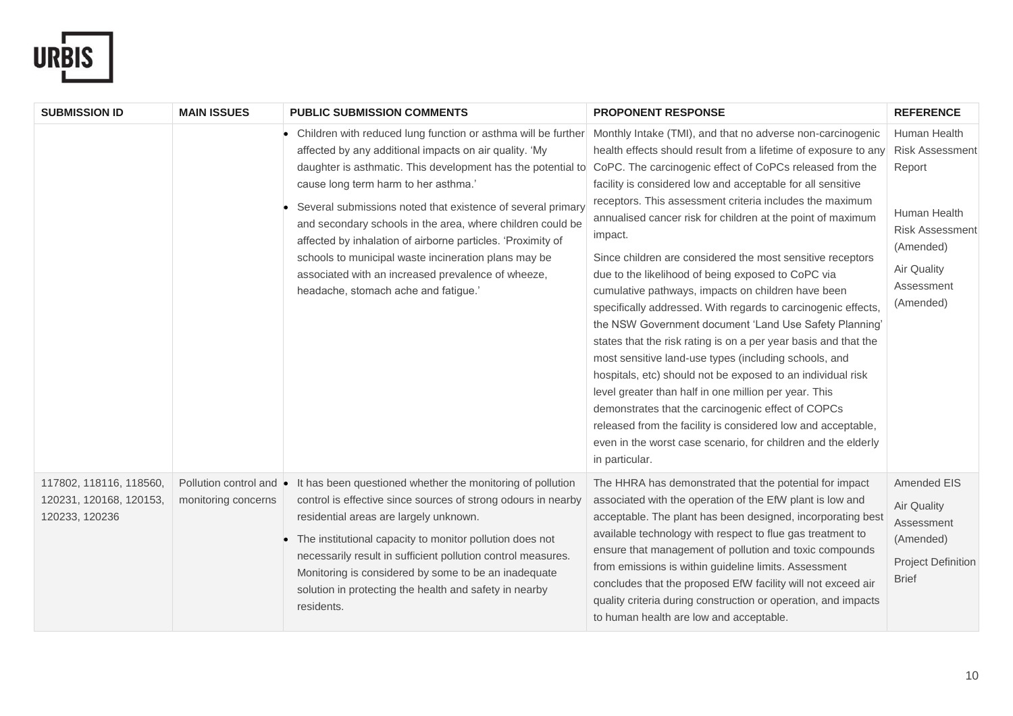

| <b>SUBMISSION ID</b>                                                 | <b>MAIN ISSUES</b>                             | <b>PUBLIC SUBMISSION COMMENTS</b>                                                                                                                                                                                                                                                                                                                                                                                                                                                                                                                                                 | <b>PROPONENT RESPONSE</b>                                                                                                                                                                                                                                                                                                                                                                                                                                                                                                                                                                                                                                                                                                                                                                                                                                                                                                                                                                                                                                                                                                                                        | <b>REFERENCE</b>                                                                                                                                         |
|----------------------------------------------------------------------|------------------------------------------------|-----------------------------------------------------------------------------------------------------------------------------------------------------------------------------------------------------------------------------------------------------------------------------------------------------------------------------------------------------------------------------------------------------------------------------------------------------------------------------------------------------------------------------------------------------------------------------------|------------------------------------------------------------------------------------------------------------------------------------------------------------------------------------------------------------------------------------------------------------------------------------------------------------------------------------------------------------------------------------------------------------------------------------------------------------------------------------------------------------------------------------------------------------------------------------------------------------------------------------------------------------------------------------------------------------------------------------------------------------------------------------------------------------------------------------------------------------------------------------------------------------------------------------------------------------------------------------------------------------------------------------------------------------------------------------------------------------------------------------------------------------------|----------------------------------------------------------------------------------------------------------------------------------------------------------|
|                                                                      |                                                | Children with reduced lung function or asthma will be further<br>affected by any additional impacts on air quality. 'My<br>daughter is asthmatic. This development has the potential to<br>cause long term harm to her asthma.'<br>Several submissions noted that existence of several primary<br>and secondary schools in the area, where children could be<br>affected by inhalation of airborne particles. 'Proximity of<br>schools to municipal waste incineration plans may be<br>associated with an increased prevalence of wheeze,<br>headache, stomach ache and fatigue.' | Monthly Intake (TMI), and that no adverse non-carcinogenic<br>health effects should result from a lifetime of exposure to any<br>CoPC. The carcinogenic effect of CoPCs released from the<br>facility is considered low and acceptable for all sensitive<br>receptors. This assessment criteria includes the maximum<br>annualised cancer risk for children at the point of maximum<br>impact.<br>Since children are considered the most sensitive receptors<br>due to the likelihood of being exposed to CoPC via<br>cumulative pathways, impacts on children have been<br>specifically addressed. With regards to carcinogenic effects,<br>the NSW Government document 'Land Use Safety Planning'<br>states that the risk rating is on a per year basis and that the<br>most sensitive land-use types (including schools, and<br>hospitals, etc) should not be exposed to an individual risk<br>level greater than half in one million per year. This<br>demonstrates that the carcinogenic effect of COPCs<br>released from the facility is considered low and acceptable,<br>even in the worst case scenario, for children and the elderly<br>in particular. | Human Health<br><b>Risk Assessment</b><br>Report<br>Human Health<br><b>Risk Assessment</b><br>(Amended)<br><b>Air Quality</b><br>Assessment<br>(Amended) |
| 117802, 118116, 118560,<br>120231, 120168, 120153,<br>120233, 120236 | Pollution control and •<br>monitoring concerns | It has been questioned whether the monitoring of pollution<br>control is effective since sources of strong odours in nearby<br>residential areas are largely unknown.<br>The institutional capacity to monitor pollution does not<br>necessarily result in sufficient pollution control measures.<br>Monitoring is considered by some to be an inadequate<br>solution in protecting the health and safety in nearby<br>residents.                                                                                                                                                 | The HHRA has demonstrated that the potential for impact<br>associated with the operation of the EfW plant is low and<br>acceptable. The plant has been designed, incorporating best<br>available technology with respect to flue gas treatment to<br>ensure that management of pollution and toxic compounds<br>from emissions is within guideline limits. Assessment<br>concludes that the proposed EfW facility will not exceed air<br>quality criteria during construction or operation, and impacts<br>to human health are low and acceptable.                                                                                                                                                                                                                                                                                                                                                                                                                                                                                                                                                                                                               | Amended EIS<br><b>Air Quality</b><br>Assessment<br>(Amended)<br><b>Project Definition</b><br><b>Brief</b>                                                |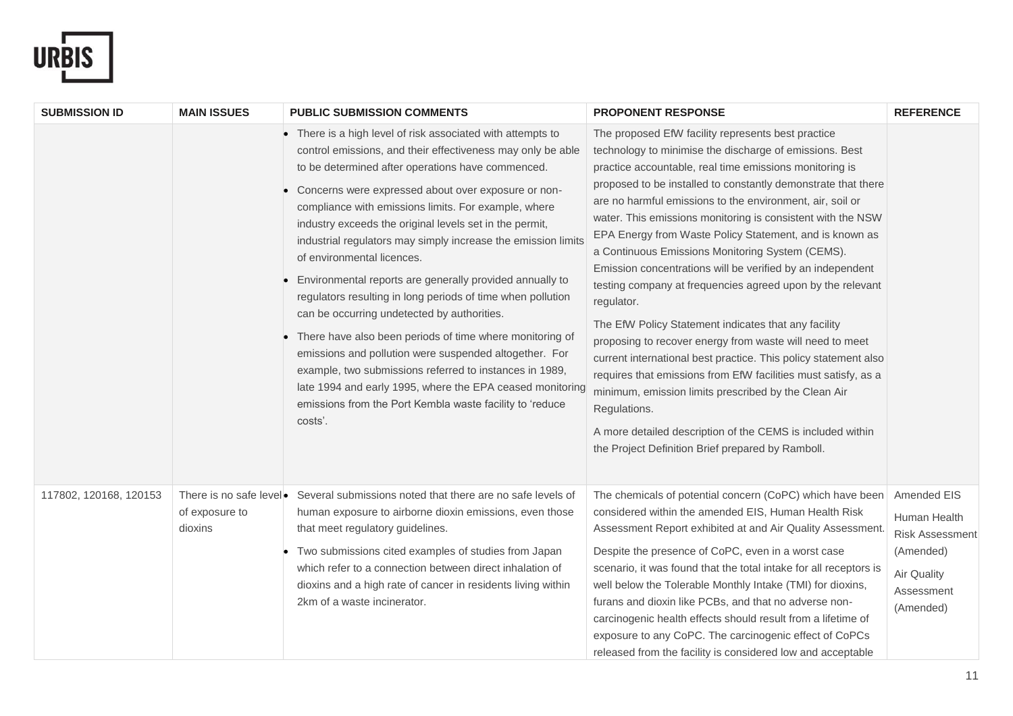

| <b>SUBMISSION ID</b>   | <b>MAIN ISSUES</b>                                   | <b>PUBLIC SUBMISSION COMMENTS</b>                                                                                                                                                                                                                                                                                                                                                                                                                                                                                                                                                                                                                                                                                                                                                                                                                                                                                                                       | <b>PROPONENT RESPONSE</b>                                                                                                                                                                                                                                                                                                                                                                                                                                                                                                                                                                                                                                                                                                                                                                                                                                                                                                                                                                                                                                                          | <b>REFERENCE</b>                                                                                             |
|------------------------|------------------------------------------------------|---------------------------------------------------------------------------------------------------------------------------------------------------------------------------------------------------------------------------------------------------------------------------------------------------------------------------------------------------------------------------------------------------------------------------------------------------------------------------------------------------------------------------------------------------------------------------------------------------------------------------------------------------------------------------------------------------------------------------------------------------------------------------------------------------------------------------------------------------------------------------------------------------------------------------------------------------------|------------------------------------------------------------------------------------------------------------------------------------------------------------------------------------------------------------------------------------------------------------------------------------------------------------------------------------------------------------------------------------------------------------------------------------------------------------------------------------------------------------------------------------------------------------------------------------------------------------------------------------------------------------------------------------------------------------------------------------------------------------------------------------------------------------------------------------------------------------------------------------------------------------------------------------------------------------------------------------------------------------------------------------------------------------------------------------|--------------------------------------------------------------------------------------------------------------|
|                        |                                                      | • There is a high level of risk associated with attempts to<br>control emissions, and their effectiveness may only be able<br>to be determined after operations have commenced.<br>Concerns were expressed about over exposure or non-<br>compliance with emissions limits. For example, where<br>industry exceeds the original levels set in the permit,<br>industrial regulators may simply increase the emission limits<br>of environmental licences.<br>Environmental reports are generally provided annually to<br>regulators resulting in long periods of time when pollution<br>can be occurring undetected by authorities.<br>There have also been periods of time where monitoring of<br>emissions and pollution were suspended altogether. For<br>example, two submissions referred to instances in 1989,<br>late 1994 and early 1995, where the EPA ceased monitoring<br>emissions from the Port Kembla waste facility to 'reduce<br>costs'. | The proposed EfW facility represents best practice<br>technology to minimise the discharge of emissions. Best<br>practice accountable, real time emissions monitoring is<br>proposed to be installed to constantly demonstrate that there<br>are no harmful emissions to the environment, air, soil or<br>water. This emissions monitoring is consistent with the NSW<br>EPA Energy from Waste Policy Statement, and is known as<br>a Continuous Emissions Monitoring System (CEMS).<br>Emission concentrations will be verified by an independent<br>testing company at frequencies agreed upon by the relevant<br>regulator.<br>The EfW Policy Statement indicates that any facility<br>proposing to recover energy from waste will need to meet<br>current international best practice. This policy statement also<br>requires that emissions from EfW facilities must satisfy, as a<br>minimum, emission limits prescribed by the Clean Air<br>Regulations.<br>A more detailed description of the CEMS is included within<br>the Project Definition Brief prepared by Ramboll. |                                                                                                              |
| 117802, 120168, 120153 | There is no safe level.<br>of exposure to<br>dioxins | Several submissions noted that there are no safe levels of<br>human exposure to airborne dioxin emissions, even those<br>that meet regulatory guidelines.<br>Two submissions cited examples of studies from Japan<br>which refer to a connection between direct inhalation of<br>dioxins and a high rate of cancer in residents living within<br>2km of a waste incinerator.                                                                                                                                                                                                                                                                                                                                                                                                                                                                                                                                                                            | The chemicals of potential concern (CoPC) which have been<br>considered within the amended EIS, Human Health Risk<br>Assessment Report exhibited at and Air Quality Assessment.<br>Despite the presence of CoPC, even in a worst case<br>scenario, it was found that the total intake for all receptors is<br>well below the Tolerable Monthly Intake (TMI) for dioxins,<br>furans and dioxin like PCBs, and that no adverse non-<br>carcinogenic health effects should result from a lifetime of<br>exposure to any CoPC. The carcinogenic effect of CoPCs<br>released from the facility is considered low and acceptable                                                                                                                                                                                                                                                                                                                                                                                                                                                         | Amended EIS<br>Human Health<br><b>Risk Assessment</b><br>(Amended)<br>Air Quality<br>Assessment<br>(Amended) |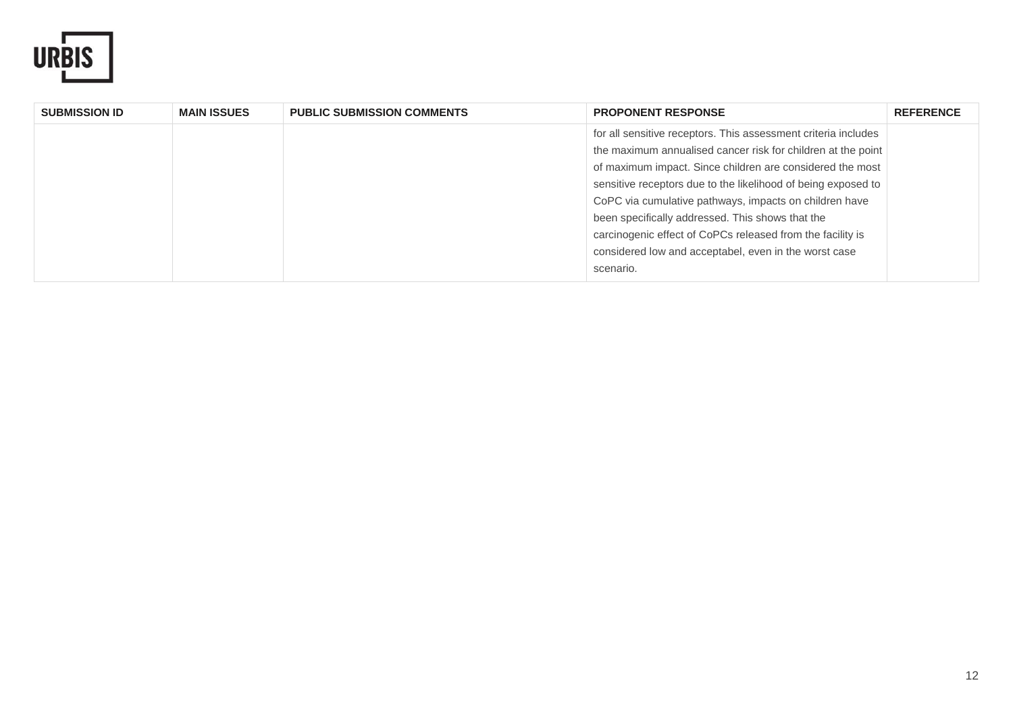

| <b>SUBMISSION ID</b> | <b>MAIN ISSUES</b> | <b>PUBLIC SUBMISSION COMMENTS</b> | <b>PROPONENT RESPONSE</b>                                      | <b>REFERENCE</b> |
|----------------------|--------------------|-----------------------------------|----------------------------------------------------------------|------------------|
|                      |                    |                                   | for all sensitive receptors. This assessment criteria includes |                  |
|                      |                    |                                   | the maximum annualised cancer risk for children at the point   |                  |
|                      |                    |                                   | of maximum impact. Since children are considered the most      |                  |
|                      |                    |                                   | sensitive receptors due to the likelihood of being exposed to  |                  |
|                      |                    |                                   | CoPC via cumulative pathways, impacts on children have         |                  |
|                      |                    |                                   | been specifically addressed. This shows that the               |                  |
|                      |                    |                                   | carcinogenic effect of CoPCs released from the facility is     |                  |
|                      |                    |                                   | considered low and acceptabel, even in the worst case          |                  |
|                      |                    |                                   | scenario.                                                      |                  |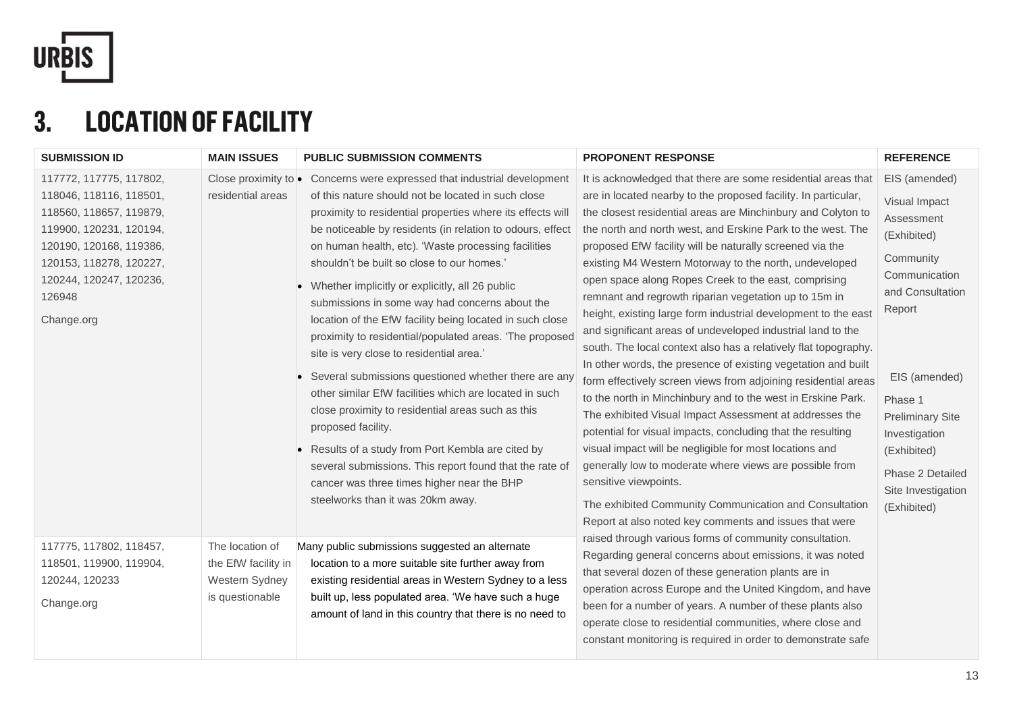

## **3. LOCATION OF FACILITY**

| <b>SUBMISSION ID</b>                                                                                                                                                                                              | <b>MAIN ISSUES</b>                                                          | <b>PUBLIC SUBMISSION COMMENTS</b>                                                                                                                                                                                                                                                                                                                                                                                                                                                                                                                                                                                                                                                                                                                                                                                                                                                                                                                                                                                                                  | <b>PROPONENT RESPONSE</b>                                                                                                                                                                                                                                                                                                                                                                                                                                                                                                                                                                                                                                                                                                                                                                                                                                                                                                                                                                                                                                                                                                                                                                                                                                                                                 | <b>REFERENCE</b>                                                                                                                                                                                                                                                        |
|-------------------------------------------------------------------------------------------------------------------------------------------------------------------------------------------------------------------|-----------------------------------------------------------------------------|----------------------------------------------------------------------------------------------------------------------------------------------------------------------------------------------------------------------------------------------------------------------------------------------------------------------------------------------------------------------------------------------------------------------------------------------------------------------------------------------------------------------------------------------------------------------------------------------------------------------------------------------------------------------------------------------------------------------------------------------------------------------------------------------------------------------------------------------------------------------------------------------------------------------------------------------------------------------------------------------------------------------------------------------------|-----------------------------------------------------------------------------------------------------------------------------------------------------------------------------------------------------------------------------------------------------------------------------------------------------------------------------------------------------------------------------------------------------------------------------------------------------------------------------------------------------------------------------------------------------------------------------------------------------------------------------------------------------------------------------------------------------------------------------------------------------------------------------------------------------------------------------------------------------------------------------------------------------------------------------------------------------------------------------------------------------------------------------------------------------------------------------------------------------------------------------------------------------------------------------------------------------------------------------------------------------------------------------------------------------------|-------------------------------------------------------------------------------------------------------------------------------------------------------------------------------------------------------------------------------------------------------------------------|
| 117772, 117775, 117802,<br>118046, 118116, 118501,<br>118560, 118657, 119879,<br>119900, 120231, 120194,<br>120190, 120168, 119386,<br>120153, 118278, 120227,<br>120244, 120247, 120236,<br>126948<br>Change.org | residential areas                                                           | Close proximity to <b>•</b> Concerns were expressed that industrial development<br>of this nature should not be located in such close<br>proximity to residential properties where its effects will<br>be noticeable by residents (in relation to odours, effect<br>on human health, etc). 'Waste processing facilities<br>shouldn't be built so close to our homes.'<br>• Whether implicitly or explicitly, all 26 public<br>submissions in some way had concerns about the<br>location of the EfW facility being located in such close<br>proximity to residential/populated areas. 'The proposed<br>site is very close to residential area.'<br>• Several submissions questioned whether there are any<br>other similar EfW facilities which are located in such<br>close proximity to residential areas such as this<br>proposed facility.<br>• Results of a study from Port Kembla are cited by<br>several submissions. This report found that the rate of<br>cancer was three times higher near the BHP<br>steelworks than it was 20km away. | It is acknowledged that there are some residential areas that<br>are in located nearby to the proposed facility. In particular,<br>the closest residential areas are Minchinbury and Colyton to<br>the north and north west, and Erskine Park to the west. The<br>proposed EfW facility will be naturally screened via the<br>existing M4 Western Motorway to the north, undeveloped<br>open space along Ropes Creek to the east, comprising<br>remnant and regrowth riparian vegetation up to 15m in<br>height, existing large form industrial development to the east<br>and significant areas of undeveloped industrial land to the<br>south. The local context also has a relatively flat topography.<br>In other words, the presence of existing vegetation and built<br>form effectively screen views from adjoining residential areas<br>to the north in Minchinbury and to the west in Erskine Park.<br>The exhibited Visual Impact Assessment at addresses the<br>potential for visual impacts, concluding that the resulting<br>visual impact will be negligible for most locations and<br>generally low to moderate where views are possible from<br>sensitive viewpoints.<br>The exhibited Community Communication and Consultation<br>Report at also noted key comments and issues that were | EIS (amended)<br>Visual Impact<br>Assessment<br>(Exhibited)<br>Community<br>Communication<br>and Consultation<br>Report<br>EIS (amended)<br>Phase 1<br><b>Preliminary Site</b><br>Investigation<br>(Exhibited)<br>Phase 2 Detailed<br>Site Investigation<br>(Exhibited) |
| 117775, 117802, 118457,<br>118501, 119900, 119904,<br>120244, 120233<br>Change.org                                                                                                                                | The location of<br>the EfW facility in<br>Western Sydney<br>is questionable | Many public submissions suggested an alternate<br>location to a more suitable site further away from<br>existing residential areas in Western Sydney to a less<br>built up, less populated area. 'We have such a huge<br>amount of land in this country that there is no need to                                                                                                                                                                                                                                                                                                                                                                                                                                                                                                                                                                                                                                                                                                                                                                   | raised through various forms of community consultation.<br>Regarding general concerns about emissions, it was noted<br>that several dozen of these generation plants are in<br>operation across Europe and the United Kingdom, and have<br>been for a number of years. A number of these plants also<br>operate close to residential communities, where close and<br>constant monitoring is required in order to demonstrate safe                                                                                                                                                                                                                                                                                                                                                                                                                                                                                                                                                                                                                                                                                                                                                                                                                                                                         |                                                                                                                                                                                                                                                                         |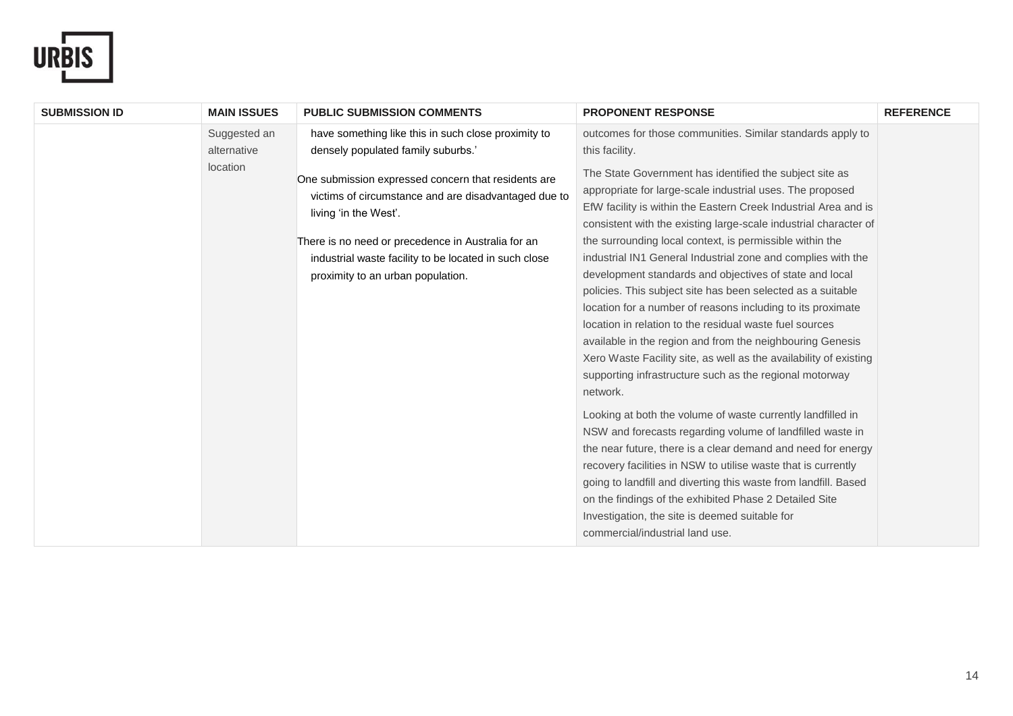

| <b>SUBMISSION ID</b><br><b>MAIN ISSUES</b> | <b>PUBLIC SUBMISSION COMMENTS</b>                                                                                                                                                                                                                                                        | <b>PROPONENT RESPONSE</b>                                                                                                                                                                                                                                                                                                                                                                                                                                                                                                                                                                                                                                                                                                                                                                                                                                                                                                                                                                                                                                                                                                                                                                                                                                                                                                           | <b>REFERENCE</b> |
|--------------------------------------------|------------------------------------------------------------------------------------------------------------------------------------------------------------------------------------------------------------------------------------------------------------------------------------------|-------------------------------------------------------------------------------------------------------------------------------------------------------------------------------------------------------------------------------------------------------------------------------------------------------------------------------------------------------------------------------------------------------------------------------------------------------------------------------------------------------------------------------------------------------------------------------------------------------------------------------------------------------------------------------------------------------------------------------------------------------------------------------------------------------------------------------------------------------------------------------------------------------------------------------------------------------------------------------------------------------------------------------------------------------------------------------------------------------------------------------------------------------------------------------------------------------------------------------------------------------------------------------------------------------------------------------------|------------------|
| Suggested an<br>alternative                | have something like this in such close proximity to<br>densely populated family suburbs.'                                                                                                                                                                                                | outcomes for those communities. Similar standards apply to<br>this facility.                                                                                                                                                                                                                                                                                                                                                                                                                                                                                                                                                                                                                                                                                                                                                                                                                                                                                                                                                                                                                                                                                                                                                                                                                                                        |                  |
| location                                   | One submission expressed concern that residents are<br>victims of circumstance and are disadvantaged due to<br>living 'in the West'.<br>There is no need or precedence in Australia for an<br>industrial waste facility to be located in such close<br>proximity to an urban population. | The State Government has identified the subject site as<br>appropriate for large-scale industrial uses. The proposed<br>EfW facility is within the Eastern Creek Industrial Area and is<br>consistent with the existing large-scale industrial character of<br>the surrounding local context, is permissible within the<br>industrial IN1 General Industrial zone and complies with the<br>development standards and objectives of state and local<br>policies. This subject site has been selected as a suitable<br>location for a number of reasons including to its proximate<br>location in relation to the residual waste fuel sources<br>available in the region and from the neighbouring Genesis<br>Xero Waste Facility site, as well as the availability of existing<br>supporting infrastructure such as the regional motorway<br>network.<br>Looking at both the volume of waste currently landfilled in<br>NSW and forecasts regarding volume of landfilled waste in<br>the near future, there is a clear demand and need for energy<br>recovery facilities in NSW to utilise waste that is currently<br>going to landfill and diverting this waste from landfill. Based<br>on the findings of the exhibited Phase 2 Detailed Site<br>Investigation, the site is deemed suitable for<br>commercial/industrial land use. |                  |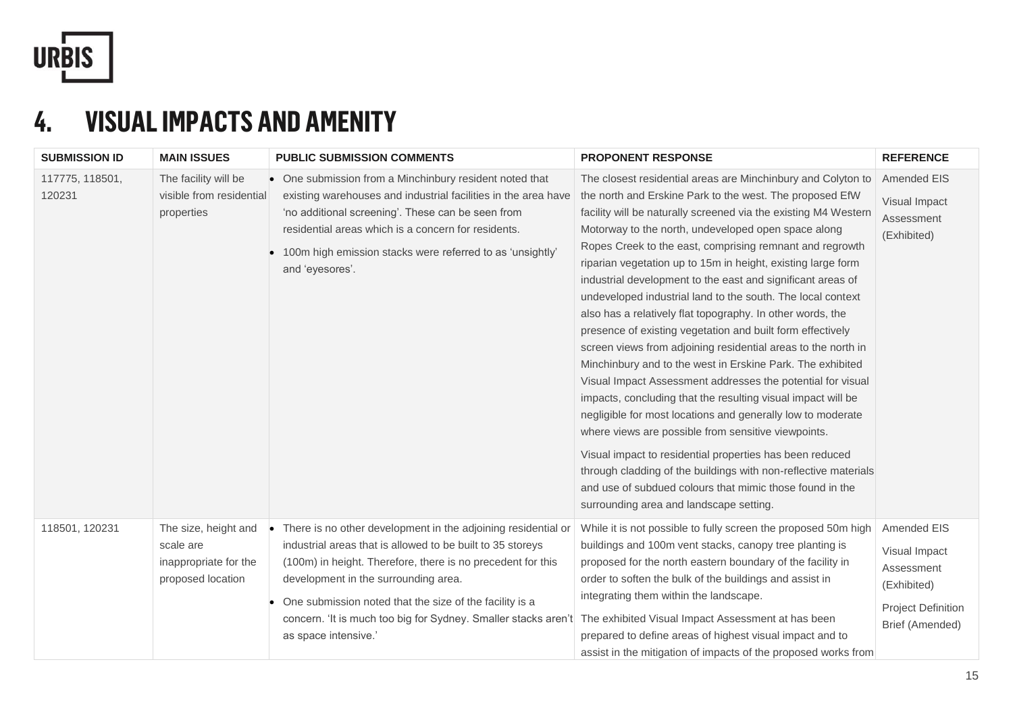

## **4. VISUAL IMPACTS AND AMENITY**

| <b>SUBMISSION ID</b>      | <b>MAIN ISSUES</b>                                                              | <b>PUBLIC SUBMISSION COMMENTS</b>                                                                                                                                                                                                                                                                                                                                                                    | <b>PROPONENT RESPONSE</b>                                                                                                                                                                                                                                                                                                                                                                                                                                                                                                                                                                                                                                                                                                                                                                                                                                                                                                                                                                                                                                                                                                                                                                                                                                          | <b>REFERENCE</b>                                                                                                 |
|---------------------------|---------------------------------------------------------------------------------|------------------------------------------------------------------------------------------------------------------------------------------------------------------------------------------------------------------------------------------------------------------------------------------------------------------------------------------------------------------------------------------------------|--------------------------------------------------------------------------------------------------------------------------------------------------------------------------------------------------------------------------------------------------------------------------------------------------------------------------------------------------------------------------------------------------------------------------------------------------------------------------------------------------------------------------------------------------------------------------------------------------------------------------------------------------------------------------------------------------------------------------------------------------------------------------------------------------------------------------------------------------------------------------------------------------------------------------------------------------------------------------------------------------------------------------------------------------------------------------------------------------------------------------------------------------------------------------------------------------------------------------------------------------------------------|------------------------------------------------------------------------------------------------------------------|
| 117775, 118501,<br>120231 | The facility will be<br>visible from residential<br>properties                  | • One submission from a Minchinbury resident noted that<br>existing warehouses and industrial facilities in the area have<br>'no additional screening'. These can be seen from<br>residential areas which is a concern for residents.<br>• 100m high emission stacks were referred to as 'unsightly'<br>and 'eyesores'.                                                                              | The closest residential areas are Minchinbury and Colyton to<br>the north and Erskine Park to the west. The proposed EfW<br>facility will be naturally screened via the existing M4 Western<br>Motorway to the north, undeveloped open space along<br>Ropes Creek to the east, comprising remnant and regrowth<br>riparian vegetation up to 15m in height, existing large form<br>industrial development to the east and significant areas of<br>undeveloped industrial land to the south. The local context<br>also has a relatively flat topography. In other words, the<br>presence of existing vegetation and built form effectively<br>screen views from adjoining residential areas to the north in<br>Minchinbury and to the west in Erskine Park. The exhibited<br>Visual Impact Assessment addresses the potential for visual<br>impacts, concluding that the resulting visual impact will be<br>negligible for most locations and generally low to moderate<br>where views are possible from sensitive viewpoints.<br>Visual impact to residential properties has been reduced<br>through cladding of the buildings with non-reflective materials<br>and use of subdued colours that mimic those found in the<br>surrounding area and landscape setting. | Amended EIS<br>Visual Impact<br>Assessment<br>(Exhibited)                                                        |
| 118501, 120231            | The size, height and<br>scale are<br>inappropriate for the<br>proposed location | There is no other development in the adjoining residential or<br>$\bullet$<br>industrial areas that is allowed to be built to 35 storeys<br>(100m) in height. Therefore, there is no precedent for this<br>development in the surrounding area.<br>One submission noted that the size of the facility is a<br>concern. 'It is much too big for Sydney. Smaller stacks aren't<br>as space intensive.' | While it is not possible to fully screen the proposed 50m high<br>buildings and 100m vent stacks, canopy tree planting is<br>proposed for the north eastern boundary of the facility in<br>order to soften the bulk of the buildings and assist in<br>integrating them within the landscape.<br>The exhibited Visual Impact Assessment at has been<br>prepared to define areas of highest visual impact and to<br>assist in the mitigation of impacts of the proposed works from                                                                                                                                                                                                                                                                                                                                                                                                                                                                                                                                                                                                                                                                                                                                                                                   | <b>Amended EIS</b><br>Visual Impact<br>Assessment<br>(Exhibited)<br><b>Project Definition</b><br>Brief (Amended) |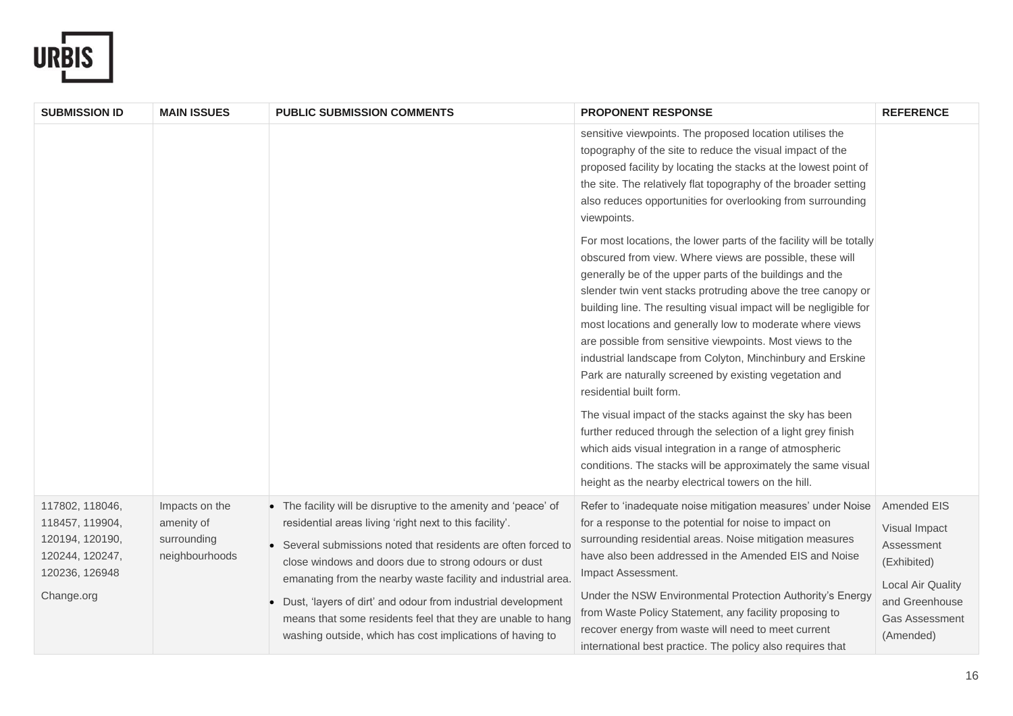

| <b>SUBMISSION ID</b>                                                                                     | <b>MAIN ISSUES</b>                                            | <b>PUBLIC SUBMISSION COMMENTS</b>                                                                                                                                                                                                                                                                                                                                                                                                                                                                               | <b>PROPONENT RESPONSE</b>                                                                                                                                                                                                                                                                                                                                                                                                                                                                                                                                                                                                                                                                                                                                                                                                                                                                                                  | <b>REFERENCE</b>                                                                                                                              |
|----------------------------------------------------------------------------------------------------------|---------------------------------------------------------------|-----------------------------------------------------------------------------------------------------------------------------------------------------------------------------------------------------------------------------------------------------------------------------------------------------------------------------------------------------------------------------------------------------------------------------------------------------------------------------------------------------------------|----------------------------------------------------------------------------------------------------------------------------------------------------------------------------------------------------------------------------------------------------------------------------------------------------------------------------------------------------------------------------------------------------------------------------------------------------------------------------------------------------------------------------------------------------------------------------------------------------------------------------------------------------------------------------------------------------------------------------------------------------------------------------------------------------------------------------------------------------------------------------------------------------------------------------|-----------------------------------------------------------------------------------------------------------------------------------------------|
|                                                                                                          |                                                               |                                                                                                                                                                                                                                                                                                                                                                                                                                                                                                                 | sensitive viewpoints. The proposed location utilises the<br>topography of the site to reduce the visual impact of the<br>proposed facility by locating the stacks at the lowest point of<br>the site. The relatively flat topography of the broader setting<br>also reduces opportunities for overlooking from surrounding<br>viewpoints.                                                                                                                                                                                                                                                                                                                                                                                                                                                                                                                                                                                  |                                                                                                                                               |
|                                                                                                          |                                                               |                                                                                                                                                                                                                                                                                                                                                                                                                                                                                                                 | For most locations, the lower parts of the facility will be totally<br>obscured from view. Where views are possible, these will<br>generally be of the upper parts of the buildings and the<br>slender twin vent stacks protruding above the tree canopy or<br>building line. The resulting visual impact will be negligible for<br>most locations and generally low to moderate where views<br>are possible from sensitive viewpoints. Most views to the<br>industrial landscape from Colyton, Minchinbury and Erskine<br>Park are naturally screened by existing vegetation and<br>residential built form.<br>The visual impact of the stacks against the sky has been<br>further reduced through the selection of a light grey finish<br>which aids visual integration in a range of atmospheric<br>conditions. The stacks will be approximately the same visual<br>height as the nearby electrical towers on the hill. |                                                                                                                                               |
| 117802, 118046,<br>118457, 119904,<br>120194, 120190,<br>120244, 120247,<br>120236, 126948<br>Change.org | Impacts on the<br>amenity of<br>surrounding<br>neighbourhoods | • The facility will be disruptive to the amenity and 'peace' of<br>residential areas living 'right next to this facility'.<br>Several submissions noted that residents are often forced to<br>close windows and doors due to strong odours or dust<br>emanating from the nearby waste facility and industrial area.<br>Dust, 'layers of dirt' and odour from industrial development<br>means that some residents feel that they are unable to hang<br>washing outside, which has cost implications of having to | Refer to 'inadequate noise mitigation measures' under Noise<br>for a response to the potential for noise to impact on<br>surrounding residential areas. Noise mitigation measures<br>have also been addressed in the Amended EIS and Noise<br>Impact Assessment.<br>Under the NSW Environmental Protection Authority's Energy<br>from Waste Policy Statement, any facility proposing to<br>recover energy from waste will need to meet current<br>international best practice. The policy also requires that                                                                                                                                                                                                                                                                                                                                                                                                               | Amended EIS<br>Visual Impact<br>Assessment<br>(Exhibited)<br><b>Local Air Quality</b><br>and Greenhouse<br><b>Gas Assessment</b><br>(Amended) |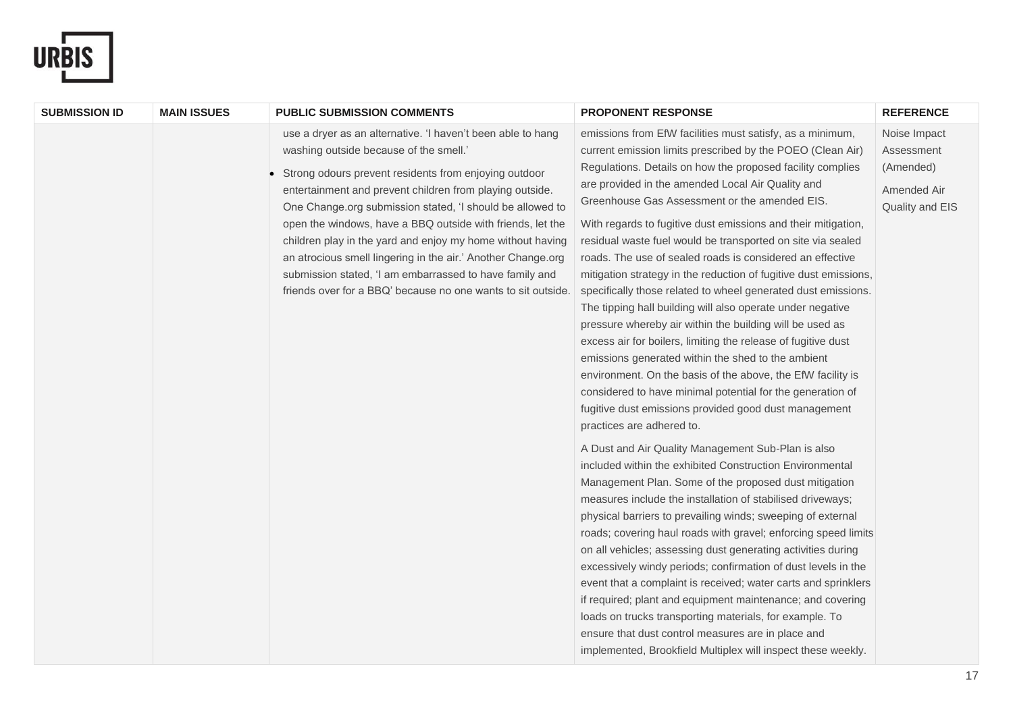

| <b>SUBMISSION ID</b> | <b>MAIN ISSUES</b> | <b>PUBLIC SUBMISSION COMMENTS</b>                                                                                                                                                                                                                                                                                                                                                                                                                                                                                                                                                                              | <b>PROPONENT RESPONSE</b>                                                                                                                                                                                                                                                                                                                                                                                                                                                                                                                                                                                                                                                                                                                                                                                                                                                                                                                                                                                                                                                                                                                                                                                                                                                                                                                                                                                                                                                   | <b>REFERENCE</b>                                                          |
|----------------------|--------------------|----------------------------------------------------------------------------------------------------------------------------------------------------------------------------------------------------------------------------------------------------------------------------------------------------------------------------------------------------------------------------------------------------------------------------------------------------------------------------------------------------------------------------------------------------------------------------------------------------------------|-----------------------------------------------------------------------------------------------------------------------------------------------------------------------------------------------------------------------------------------------------------------------------------------------------------------------------------------------------------------------------------------------------------------------------------------------------------------------------------------------------------------------------------------------------------------------------------------------------------------------------------------------------------------------------------------------------------------------------------------------------------------------------------------------------------------------------------------------------------------------------------------------------------------------------------------------------------------------------------------------------------------------------------------------------------------------------------------------------------------------------------------------------------------------------------------------------------------------------------------------------------------------------------------------------------------------------------------------------------------------------------------------------------------------------------------------------------------------------|---------------------------------------------------------------------------|
|                      |                    | use a dryer as an alternative. 'I haven't been able to hang<br>washing outside because of the smell.'<br>Strong odours prevent residents from enjoying outdoor<br>entertainment and prevent children from playing outside.<br>One Change.org submission stated, 'I should be allowed to<br>open the windows, have a BBQ outside with friends, let the<br>children play in the yard and enjoy my home without having<br>an atrocious smell lingering in the air.' Another Change.org<br>submission stated, 'I am embarrassed to have family and<br>friends over for a BBQ' because no one wants to sit outside. | emissions from EfW facilities must satisfy, as a minimum,<br>current emission limits prescribed by the POEO (Clean Air)<br>Regulations. Details on how the proposed facility complies<br>are provided in the amended Local Air Quality and<br>Greenhouse Gas Assessment or the amended EIS.<br>With regards to fugitive dust emissions and their mitigation,<br>residual waste fuel would be transported on site via sealed<br>roads. The use of sealed roads is considered an effective<br>mitigation strategy in the reduction of fugitive dust emissions,<br>specifically those related to wheel generated dust emissions.<br>The tipping hall building will also operate under negative<br>pressure whereby air within the building will be used as<br>excess air for boilers, limiting the release of fugitive dust<br>emissions generated within the shed to the ambient<br>environment. On the basis of the above, the EfW facility is<br>considered to have minimal potential for the generation of<br>fugitive dust emissions provided good dust management<br>practices are adhered to.<br>A Dust and Air Quality Management Sub-Plan is also<br>included within the exhibited Construction Environmental<br>Management Plan. Some of the proposed dust mitigation<br>measures include the installation of stabilised driveways;<br>physical barriers to prevailing winds; sweeping of external<br>roads; covering haul roads with gravel; enforcing speed limits | Noise Impact<br>Assessment<br>(Amended)<br>Amended Air<br>Quality and EIS |
|                      |                    |                                                                                                                                                                                                                                                                                                                                                                                                                                                                                                                                                                                                                | on all vehicles; assessing dust generating activities during<br>excessively windy periods; confirmation of dust levels in the<br>event that a complaint is received; water carts and sprinklers                                                                                                                                                                                                                                                                                                                                                                                                                                                                                                                                                                                                                                                                                                                                                                                                                                                                                                                                                                                                                                                                                                                                                                                                                                                                             |                                                                           |
|                      |                    |                                                                                                                                                                                                                                                                                                                                                                                                                                                                                                                                                                                                                | if required; plant and equipment maintenance; and covering<br>loads on trucks transporting materials, for example. To<br>ensure that dust control measures are in place and<br>implemented, Brookfield Multiplex will inspect these weekly.                                                                                                                                                                                                                                                                                                                                                                                                                                                                                                                                                                                                                                                                                                                                                                                                                                                                                                                                                                                                                                                                                                                                                                                                                                 |                                                                           |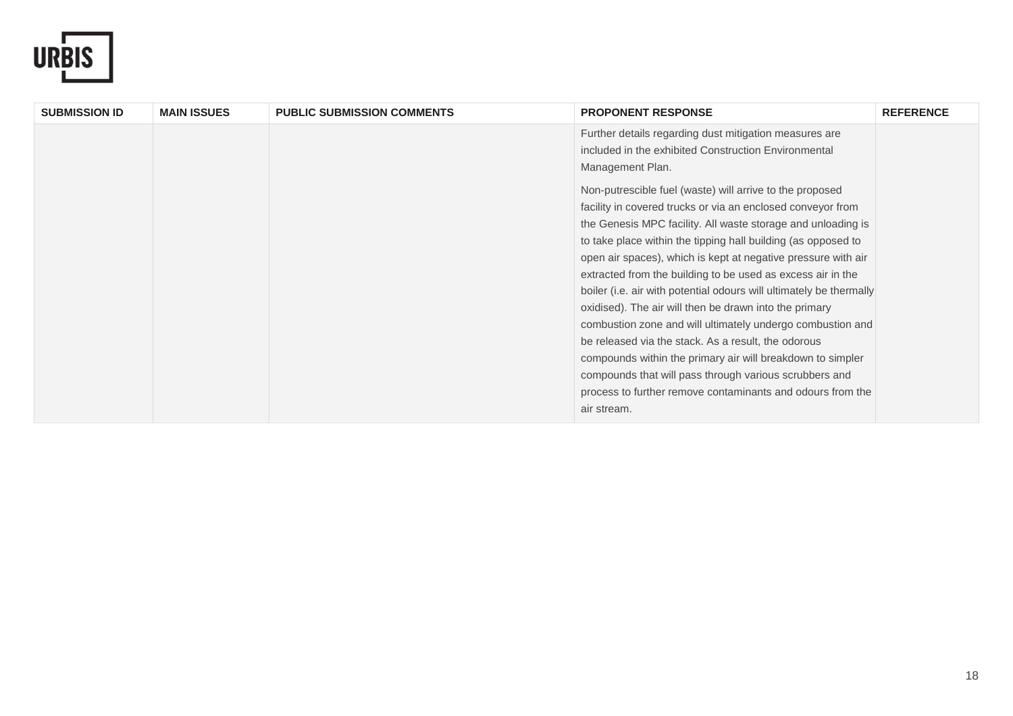

| <b>SUBMISSION ID</b> | <b>MAIN ISSUES</b> | <b>PUBLIC SUBMISSION COMMENTS</b> | <b>PROPONENT RESPONSE</b>                                           | <b>REFERENCE</b> |
|----------------------|--------------------|-----------------------------------|---------------------------------------------------------------------|------------------|
|                      |                    |                                   | Further details regarding dust mitigation measures are              |                  |
|                      |                    |                                   | included in the exhibited Construction Environmental                |                  |
|                      |                    |                                   | Management Plan.                                                    |                  |
|                      |                    |                                   | Non-putrescible fuel (waste) will arrive to the proposed            |                  |
|                      |                    |                                   | facility in covered trucks or via an enclosed conveyor from         |                  |
|                      |                    |                                   | the Genesis MPC facility. All waste storage and unloading is        |                  |
|                      |                    |                                   | to take place within the tipping hall building (as opposed to       |                  |
|                      |                    |                                   | open air spaces), which is kept at negative pressure with air       |                  |
|                      |                    |                                   | extracted from the building to be used as excess air in the         |                  |
|                      |                    |                                   | boiler (i.e. air with potential odours will ultimately be thermally |                  |
|                      |                    |                                   | oxidised). The air will then be drawn into the primary              |                  |
|                      |                    |                                   | combustion zone and will ultimately undergo combustion and          |                  |
|                      |                    |                                   | be released via the stack. As a result, the odorous                 |                  |
|                      |                    |                                   | compounds within the primary air will breakdown to simpler          |                  |
|                      |                    |                                   | compounds that will pass through various scrubbers and              |                  |
|                      |                    |                                   | process to further remove contaminants and odours from the          |                  |
|                      |                    |                                   | air stream.                                                         |                  |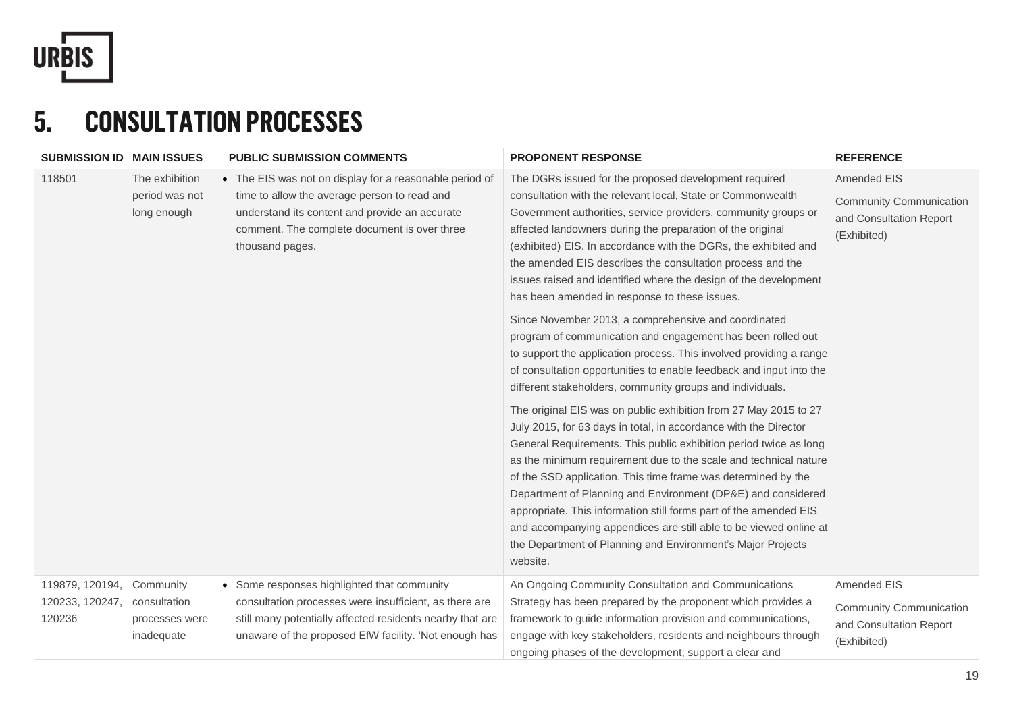

# **5. CONSULTATION PROCESSES**

| <b>SUBMISSION ID MAIN ISSUES</b>             |                                                           | <b>PUBLIC SUBMISSION COMMENTS</b>                                                                                                                                                                                            | <b>PROPONENT RESPONSE</b>                                                                                                                                                                                                                                                                                                                                                                                                                                                                                                                                                                                                                                                                                                                                                                                                                    | <b>REFERENCE</b>                                                                        |
|----------------------------------------------|-----------------------------------------------------------|------------------------------------------------------------------------------------------------------------------------------------------------------------------------------------------------------------------------------|----------------------------------------------------------------------------------------------------------------------------------------------------------------------------------------------------------------------------------------------------------------------------------------------------------------------------------------------------------------------------------------------------------------------------------------------------------------------------------------------------------------------------------------------------------------------------------------------------------------------------------------------------------------------------------------------------------------------------------------------------------------------------------------------------------------------------------------------|-----------------------------------------------------------------------------------------|
| 118501                                       | The exhibition<br>period was not<br>long enough           | • The EIS was not on display for a reasonable period of<br>time to allow the average person to read and<br>understand its content and provide an accurate<br>comment. The complete document is over three<br>thousand pages. | The DGRs issued for the proposed development required<br>consultation with the relevant local, State or Commonwealth<br>Government authorities, service providers, community groups or<br>affected landowners during the preparation of the original<br>(exhibited) EIS. In accordance with the DGRs, the exhibited and<br>the amended EIS describes the consultation process and the<br>issues raised and identified where the design of the development<br>has been amended in response to these issues.<br>Since November 2013, a comprehensive and coordinated<br>program of communication and engagement has been rolled out<br>to support the application process. This involved providing a range<br>of consultation opportunities to enable feedback and input into the<br>different stakeholders, community groups and individuals. | Amended EIS<br><b>Community Communication</b><br>and Consultation Report<br>(Exhibited) |
|                                              |                                                           |                                                                                                                                                                                                                              | The original EIS was on public exhibition from 27 May 2015 to 27<br>July 2015, for 63 days in total, in accordance with the Director<br>General Requirements. This public exhibition period twice as long<br>as the minimum requirement due to the scale and technical nature<br>of the SSD application. This time frame was determined by the<br>Department of Planning and Environment (DP&E) and considered<br>appropriate. This information still forms part of the amended EIS<br>and accompanying appendices are still able to be viewed online at<br>the Department of Planning and Environment's Major Projects<br>website.                                                                                                                                                                                                          |                                                                                         |
| 119879, 120194,<br>120233, 120247,<br>120236 | Community<br>consultation<br>processes were<br>inadequate | Some responses highlighted that community<br>consultation processes were insufficient, as there are<br>still many potentially affected residents nearby that are<br>unaware of the proposed EfW facility. 'Not enough has    | An Ongoing Community Consultation and Communications<br>Strategy has been prepared by the proponent which provides a<br>framework to guide information provision and communications,<br>engage with key stakeholders, residents and neighbours through<br>ongoing phases of the development; support a clear and                                                                                                                                                                                                                                                                                                                                                                                                                                                                                                                             | Amended EIS<br><b>Community Communication</b><br>and Consultation Report<br>(Exhibited) |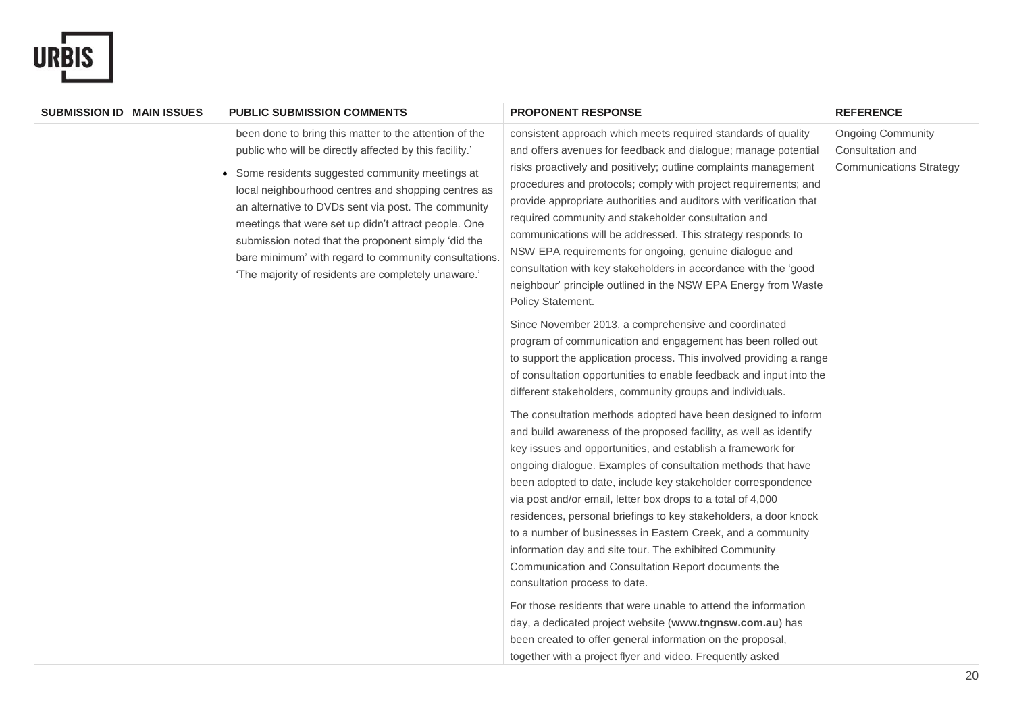

| <b>SUBMISSION ID MAIN ISSUES</b> |  | <b>PUBLIC SUBMISSION COMMENTS</b>                                                                                                                                                                                                                                                                                                                                                                                                                                                                                                                                                                                                                                                     | <b>PROPONENT RESPONSE</b>                                                                                                                                                                                                                                                                                                                                                                                                                                                                                                                                                                                                                                                              | <b>REFERENCE</b>                                                               |
|----------------------------------|--|---------------------------------------------------------------------------------------------------------------------------------------------------------------------------------------------------------------------------------------------------------------------------------------------------------------------------------------------------------------------------------------------------------------------------------------------------------------------------------------------------------------------------------------------------------------------------------------------------------------------------------------------------------------------------------------|----------------------------------------------------------------------------------------------------------------------------------------------------------------------------------------------------------------------------------------------------------------------------------------------------------------------------------------------------------------------------------------------------------------------------------------------------------------------------------------------------------------------------------------------------------------------------------------------------------------------------------------------------------------------------------------|--------------------------------------------------------------------------------|
|                                  |  | been done to bring this matter to the attention of the<br>public who will be directly affected by this facility.'<br>Some residents suggested community meetings at<br>local neighbourhood centres and shopping centres as<br>an alternative to DVDs sent via post. The community<br>meetings that were set up didn't attract people. One<br>submission noted that the proponent simply 'did the<br>bare minimum' with regard to community consultations.<br>'The majority of residents are completely unaware.'                                                                                                                                                                      | consistent approach which meets required standards of quality<br>and offers avenues for feedback and dialogue; manage potential<br>risks proactively and positively; outline complaints management<br>procedures and protocols; comply with project requirements; and<br>provide appropriate authorities and auditors with verification that<br>required community and stakeholder consultation and<br>communications will be addressed. This strategy responds to<br>NSW EPA requirements for ongoing, genuine dialogue and<br>consultation with key stakeholders in accordance with the 'good<br>neighbour' principle outlined in the NSW EPA Energy from Waste<br>Policy Statement. | <b>Ongoing Community</b><br>Consultation and<br><b>Communications Strategy</b> |
|                                  |  |                                                                                                                                                                                                                                                                                                                                                                                                                                                                                                                                                                                                                                                                                       | Since November 2013, a comprehensive and coordinated<br>program of communication and engagement has been rolled out<br>to support the application process. This involved providing a range<br>of consultation opportunities to enable feedback and input into the<br>different stakeholders, community groups and individuals.                                                                                                                                                                                                                                                                                                                                                         |                                                                                |
|                                  |  | The consultation methods adopted have been designed to inform<br>and build awareness of the proposed facility, as well as identify<br>key issues and opportunities, and establish a framework for<br>ongoing dialogue. Examples of consultation methods that have<br>been adopted to date, include key stakeholder correspondence<br>via post and/or email, letter box drops to a total of 4,000<br>residences, personal briefings to key stakeholders, a door knock<br>to a number of businesses in Eastern Creek, and a community<br>information day and site tour. The exhibited Community<br>Communication and Consultation Report documents the<br>consultation process to date. |                                                                                                                                                                                                                                                                                                                                                                                                                                                                                                                                                                                                                                                                                        |                                                                                |
|                                  |  |                                                                                                                                                                                                                                                                                                                                                                                                                                                                                                                                                                                                                                                                                       | For those residents that were unable to attend the information<br>day, a dedicated project website (www.tngnsw.com.au) has<br>been created to offer general information on the proposal,<br>together with a project flyer and video. Frequently asked                                                                                                                                                                                                                                                                                                                                                                                                                                  |                                                                                |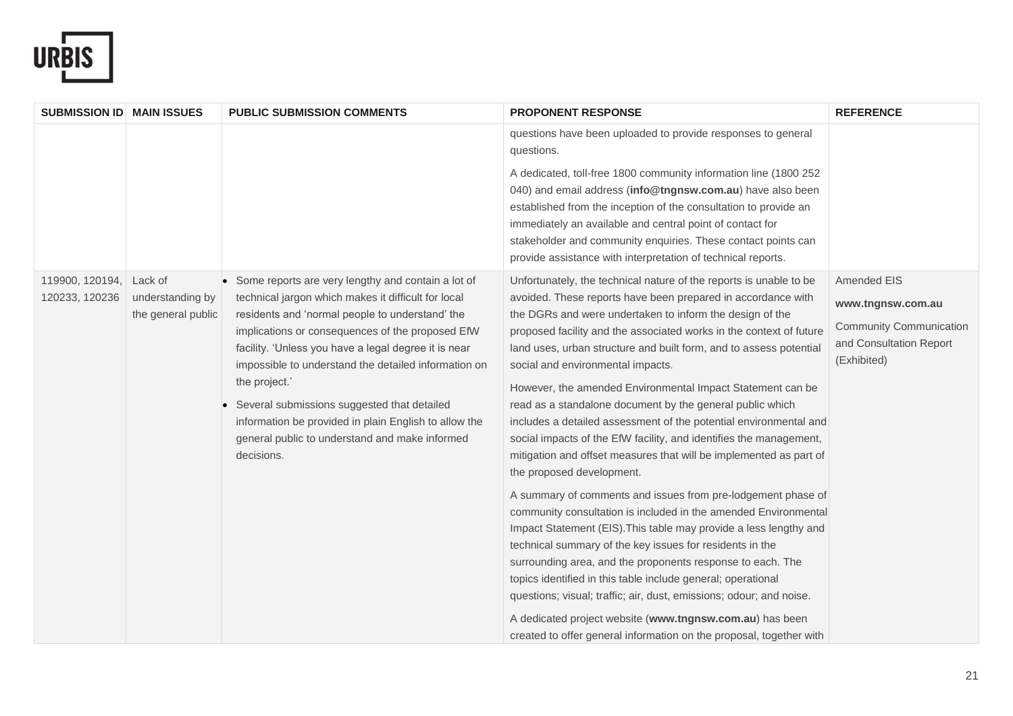

| <b>SUBMISSION ID MAIN ISSUES</b>  |                                                   | <b>PUBLIC SUBMISSION COMMENTS</b>                                                                                                                                                                                                                                                                                                                                                                                                                                                                                         | <b>PROPONENT RESPONSE</b>                                                                                                                                                                                                                                                                                                                                                                                                                                                                                                                                                                                                                                                                                                                                                                                                                                                                                                                                                                                                                                                                                                                                                                                                                                                                                                                                             | <b>REFERENCE</b>                                                                                             |
|-----------------------------------|---------------------------------------------------|---------------------------------------------------------------------------------------------------------------------------------------------------------------------------------------------------------------------------------------------------------------------------------------------------------------------------------------------------------------------------------------------------------------------------------------------------------------------------------------------------------------------------|-----------------------------------------------------------------------------------------------------------------------------------------------------------------------------------------------------------------------------------------------------------------------------------------------------------------------------------------------------------------------------------------------------------------------------------------------------------------------------------------------------------------------------------------------------------------------------------------------------------------------------------------------------------------------------------------------------------------------------------------------------------------------------------------------------------------------------------------------------------------------------------------------------------------------------------------------------------------------------------------------------------------------------------------------------------------------------------------------------------------------------------------------------------------------------------------------------------------------------------------------------------------------------------------------------------------------------------------------------------------------|--------------------------------------------------------------------------------------------------------------|
|                                   |                                                   |                                                                                                                                                                                                                                                                                                                                                                                                                                                                                                                           | questions have been uploaded to provide responses to general<br>questions.                                                                                                                                                                                                                                                                                                                                                                                                                                                                                                                                                                                                                                                                                                                                                                                                                                                                                                                                                                                                                                                                                                                                                                                                                                                                                            |                                                                                                              |
|                                   |                                                   |                                                                                                                                                                                                                                                                                                                                                                                                                                                                                                                           | A dedicated, toll-free 1800 community information line (1800 252<br>040) and email address (info@tngnsw.com.au) have also been<br>established from the inception of the consultation to provide an<br>immediately an available and central point of contact for<br>stakeholder and community enquiries. These contact points can<br>provide assistance with interpretation of technical reports.                                                                                                                                                                                                                                                                                                                                                                                                                                                                                                                                                                                                                                                                                                                                                                                                                                                                                                                                                                      |                                                                                                              |
| 119900, 120194,<br>120233, 120236 | Lack of<br>understanding by<br>the general public | Some reports are very lengthy and contain a lot of<br>technical jargon which makes it difficult for local<br>residents and 'normal people to understand' the<br>implications or consequences of the proposed EfW<br>facility. 'Unless you have a legal degree it is near<br>impossible to understand the detailed information on<br>the project.'<br>Several submissions suggested that detailed<br>information be provided in plain English to allow the<br>general public to understand and make informed<br>decisions. | Unfortunately, the technical nature of the reports is unable to be<br>avoided. These reports have been prepared in accordance with<br>the DGRs and were undertaken to inform the design of the<br>proposed facility and the associated works in the context of future<br>land uses, urban structure and built form, and to assess potential<br>social and environmental impacts.<br>However, the amended Environmental Impact Statement can be<br>read as a standalone document by the general public which<br>includes a detailed assessment of the potential environmental and<br>social impacts of the EfW facility, and identifies the management,<br>mitigation and offset measures that will be implemented as part of<br>the proposed development.<br>A summary of comments and issues from pre-lodgement phase of<br>community consultation is included in the amended Environmental<br>Impact Statement (EIS). This table may provide a less lengthy and<br>technical summary of the key issues for residents in the<br>surrounding area, and the proponents response to each. The<br>topics identified in this table include general; operational<br>questions; visual; traffic; air, dust, emissions; odour; and noise.<br>A dedicated project website (www.tngnsw.com.au) has been<br>created to offer general information on the proposal, together with | Amended EIS<br>www.tngnsw.com.au<br><b>Community Communication</b><br>and Consultation Report<br>(Exhibited) |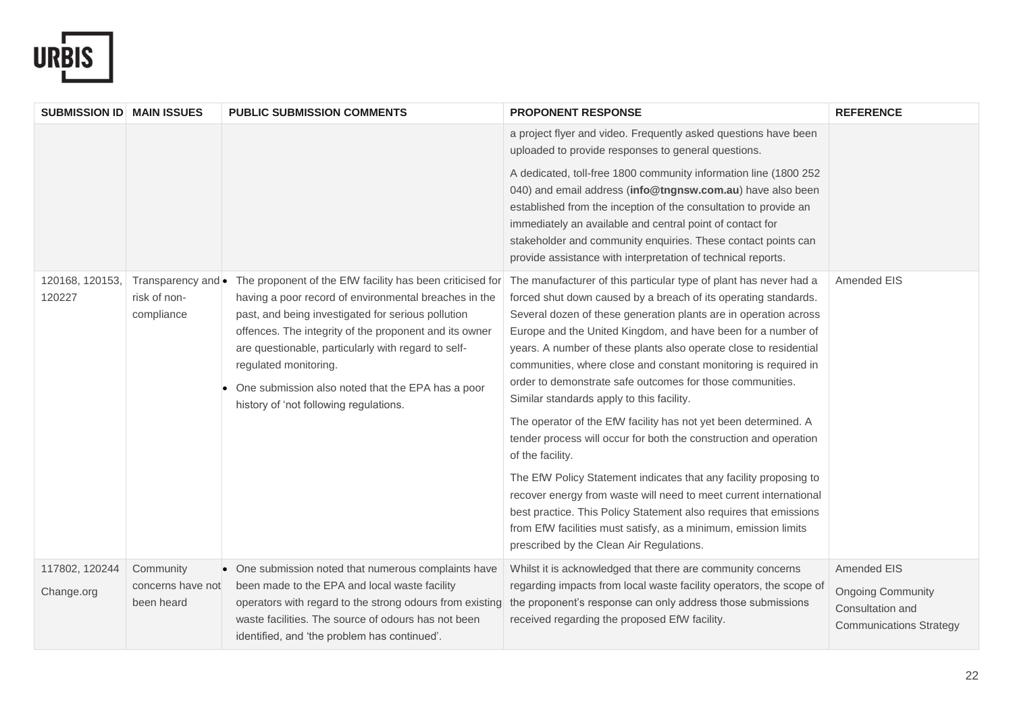

| <b>SUBMISSION ID MAIN ISSUES</b> |                                                  | <b>PUBLIC SUBMISSION COMMENTS</b>                                                                                                                                                                                                                                                                                                                                                                                 | <b>PROPONENT RESPONSE</b>                                                                                                                                                                                                                                                                                                                                                                                                                                                                                                  | <b>REFERENCE</b>                                                               |
|----------------------------------|--------------------------------------------------|-------------------------------------------------------------------------------------------------------------------------------------------------------------------------------------------------------------------------------------------------------------------------------------------------------------------------------------------------------------------------------------------------------------------|----------------------------------------------------------------------------------------------------------------------------------------------------------------------------------------------------------------------------------------------------------------------------------------------------------------------------------------------------------------------------------------------------------------------------------------------------------------------------------------------------------------------------|--------------------------------------------------------------------------------|
|                                  |                                                  |                                                                                                                                                                                                                                                                                                                                                                                                                   | a project flyer and video. Frequently asked questions have been<br>uploaded to provide responses to general questions.                                                                                                                                                                                                                                                                                                                                                                                                     |                                                                                |
|                                  |                                                  |                                                                                                                                                                                                                                                                                                                                                                                                                   | A dedicated, toll-free 1800 community information line (1800 252<br>040) and email address (info@tngnsw.com.au) have also been<br>established from the inception of the consultation to provide an<br>immediately an available and central point of contact for<br>stakeholder and community enquiries. These contact points can<br>provide assistance with interpretation of technical reports.                                                                                                                           |                                                                                |
| 120168, 120153,<br>120227        | Transparency and •<br>risk of non-<br>compliance | The proponent of the EfW facility has been criticised for<br>having a poor record of environmental breaches in the<br>past, and being investigated for serious pollution<br>offences. The integrity of the proponent and its owner<br>are questionable, particularly with regard to self-<br>regulated monitoring.<br>One submission also noted that the EPA has a poor<br>history of 'not following regulations. | The manufacturer of this particular type of plant has never had a<br>forced shut down caused by a breach of its operating standards.<br>Several dozen of these generation plants are in operation across<br>Europe and the United Kingdom, and have been for a number of<br>years. A number of these plants also operate close to residential<br>communities, where close and constant monitoring is required in<br>order to demonstrate safe outcomes for those communities.<br>Similar standards apply to this facility. | Amended EIS                                                                    |
|                                  |                                                  |                                                                                                                                                                                                                                                                                                                                                                                                                   | The operator of the EfW facility has not yet been determined. A<br>tender process will occur for both the construction and operation<br>of the facility.                                                                                                                                                                                                                                                                                                                                                                   |                                                                                |
|                                  |                                                  |                                                                                                                                                                                                                                                                                                                                                                                                                   | The EfW Policy Statement indicates that any facility proposing to<br>recover energy from waste will need to meet current international<br>best practice. This Policy Statement also requires that emissions<br>from EfW facilities must satisfy, as a minimum, emission limits<br>prescribed by the Clean Air Regulations.                                                                                                                                                                                                 |                                                                                |
| 117802, 120244                   | Community                                        | • One submission noted that numerous complaints have                                                                                                                                                                                                                                                                                                                                                              | Whilst it is acknowledged that there are community concerns                                                                                                                                                                                                                                                                                                                                                                                                                                                                | Amended EIS                                                                    |
| Change.org                       | concerns have not<br>been heard                  | been made to the EPA and local waste facility<br>operators with regard to the strong odours from existing<br>waste facilities. The source of odours has not been<br>identified, and 'the problem has continued'.                                                                                                                                                                                                  | regarding impacts from local waste facility operators, the scope of<br>the proponent's response can only address those submissions<br>received regarding the proposed EfW facility.                                                                                                                                                                                                                                                                                                                                        | <b>Ongoing Community</b><br>Consultation and<br><b>Communications Strategy</b> |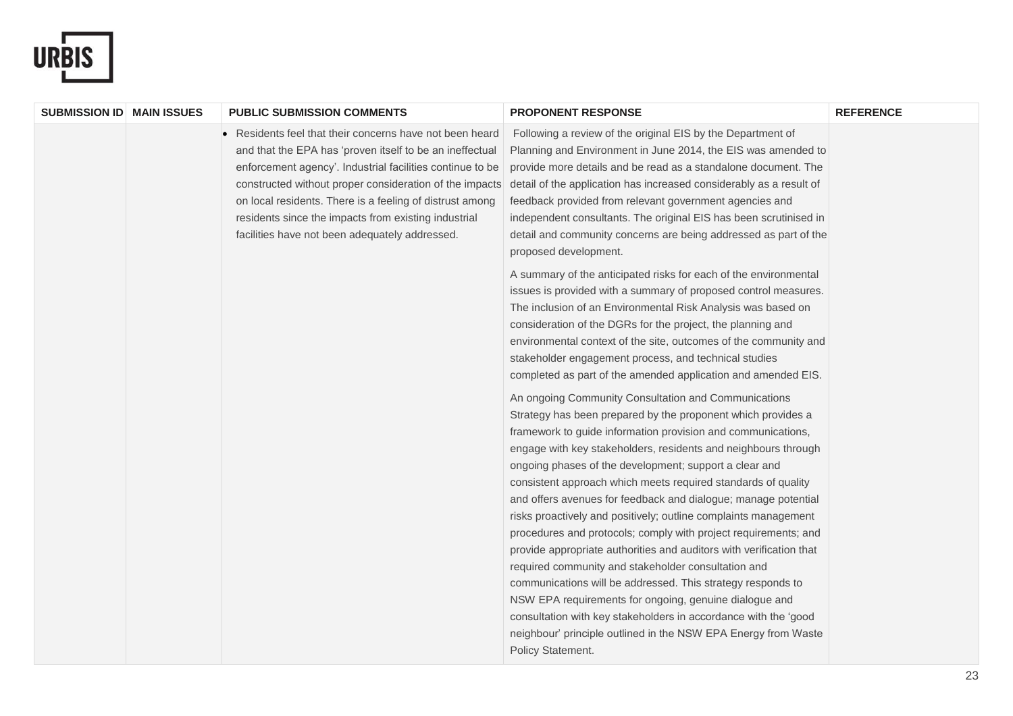

| <b>SUBMISSION ID MAIN ISSUES</b> | <b>PUBLIC SUBMISSION COMMENTS</b>                                                                                                                                                                                                                                                                                                                                                                                | <b>PROPONENT RESPONSE</b>                                                                                                                                                                                                                                                                                                                                                                                                                                                                                                                                                                                                                                                                                                                                                                                                                                                                                                                                                                                                                                                                                                                                                                                                                                                                                                                                                                                                                                                                                                                                                                                                                                                                                                                                                                                                                                                                                                                                       | <b>REFERENCE</b> |
|----------------------------------|------------------------------------------------------------------------------------------------------------------------------------------------------------------------------------------------------------------------------------------------------------------------------------------------------------------------------------------------------------------------------------------------------------------|-----------------------------------------------------------------------------------------------------------------------------------------------------------------------------------------------------------------------------------------------------------------------------------------------------------------------------------------------------------------------------------------------------------------------------------------------------------------------------------------------------------------------------------------------------------------------------------------------------------------------------------------------------------------------------------------------------------------------------------------------------------------------------------------------------------------------------------------------------------------------------------------------------------------------------------------------------------------------------------------------------------------------------------------------------------------------------------------------------------------------------------------------------------------------------------------------------------------------------------------------------------------------------------------------------------------------------------------------------------------------------------------------------------------------------------------------------------------------------------------------------------------------------------------------------------------------------------------------------------------------------------------------------------------------------------------------------------------------------------------------------------------------------------------------------------------------------------------------------------------------------------------------------------------------------------------------------------------|------------------|
|                                  | Residents feel that their concerns have not been heard<br>and that the EPA has 'proven itself to be an ineffectual<br>enforcement agency'. Industrial facilities continue to be<br>constructed without proper consideration of the impacts<br>on local residents. There is a feeling of distrust among<br>residents since the impacts from existing industrial<br>facilities have not been adequately addressed. | Following a review of the original EIS by the Department of<br>Planning and Environment in June 2014, the EIS was amended to<br>provide more details and be read as a standalone document. The<br>detail of the application has increased considerably as a result of<br>feedback provided from relevant government agencies and<br>independent consultants. The original EIS has been scrutinised in<br>detail and community concerns are being addressed as part of the<br>proposed development.<br>A summary of the anticipated risks for each of the environmental<br>issues is provided with a summary of proposed control measures.<br>The inclusion of an Environmental Risk Analysis was based on<br>consideration of the DGRs for the project, the planning and<br>environmental context of the site, outcomes of the community and<br>stakeholder engagement process, and technical studies<br>completed as part of the amended application and amended EIS.<br>An ongoing Community Consultation and Communications<br>Strategy has been prepared by the proponent which provides a<br>framework to guide information provision and communications,<br>engage with key stakeholders, residents and neighbours through<br>ongoing phases of the development; support a clear and<br>consistent approach which meets required standards of quality<br>and offers avenues for feedback and dialogue; manage potential<br>risks proactively and positively; outline complaints management<br>procedures and protocols; comply with project requirements; and<br>provide appropriate authorities and auditors with verification that<br>required community and stakeholder consultation and<br>communications will be addressed. This strategy responds to<br>NSW EPA requirements for ongoing, genuine dialogue and<br>consultation with key stakeholders in accordance with the 'good<br>neighbour' principle outlined in the NSW EPA Energy from Waste |                  |
|                                  |                                                                                                                                                                                                                                                                                                                                                                                                                  | Policy Statement.                                                                                                                                                                                                                                                                                                                                                                                                                                                                                                                                                                                                                                                                                                                                                                                                                                                                                                                                                                                                                                                                                                                                                                                                                                                                                                                                                                                                                                                                                                                                                                                                                                                                                                                                                                                                                                                                                                                                               |                  |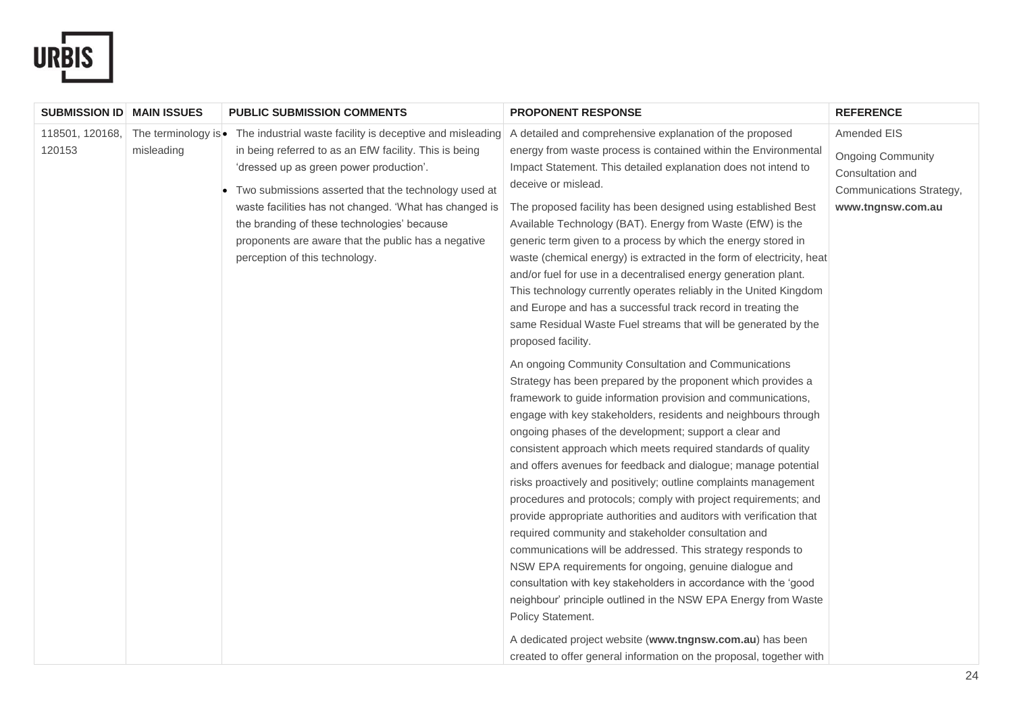

| <b>SUBMISSION ID   MAIN ISSUES</b> |            | <b>PUBLIC SUBMISSION COMMENTS</b>                                                                                                                                                                                                                                                                                                                                                                                                             | <b>PROPONENT RESPONSE</b>                                                                                                                                                                                                                                                                                                                                                                                                                                                                                                                                                                                                                                                                                                                                                                                                                                                                                                                                                                                                                                              | <b>REFERENCE</b>                                                                                             |
|------------------------------------|------------|-----------------------------------------------------------------------------------------------------------------------------------------------------------------------------------------------------------------------------------------------------------------------------------------------------------------------------------------------------------------------------------------------------------------------------------------------|------------------------------------------------------------------------------------------------------------------------------------------------------------------------------------------------------------------------------------------------------------------------------------------------------------------------------------------------------------------------------------------------------------------------------------------------------------------------------------------------------------------------------------------------------------------------------------------------------------------------------------------------------------------------------------------------------------------------------------------------------------------------------------------------------------------------------------------------------------------------------------------------------------------------------------------------------------------------------------------------------------------------------------------------------------------------|--------------------------------------------------------------------------------------------------------------|
| 118501, 120168,<br>120153          | misleading | The terminology is • The industrial waste facility is deceptive and misleading<br>in being referred to as an EfW facility. This is being<br>'dressed up as green power production'.<br>Two submissions asserted that the technology used at<br>waste facilities has not changed. 'What has changed is<br>the branding of these technologies' because<br>proponents are aware that the public has a negative<br>perception of this technology. | A detailed and comprehensive explanation of the proposed<br>energy from waste process is contained within the Environmental<br>Impact Statement. This detailed explanation does not intend to<br>deceive or mislead.<br>The proposed facility has been designed using established Best<br>Available Technology (BAT). Energy from Waste (EfW) is the<br>generic term given to a process by which the energy stored in<br>waste (chemical energy) is extracted in the form of electricity, heat<br>and/or fuel for use in a decentralised energy generation plant.<br>This technology currently operates reliably in the United Kingdom<br>and Europe and has a successful track record in treating the<br>same Residual Waste Fuel streams that will be generated by the<br>proposed facility.                                                                                                                                                                                                                                                                         | Amended EIS<br><b>Ongoing Community</b><br>Consultation and<br>Communications Strategy,<br>www.tngnsw.com.au |
|                                    |            |                                                                                                                                                                                                                                                                                                                                                                                                                                               | An ongoing Community Consultation and Communications<br>Strategy has been prepared by the proponent which provides a<br>framework to guide information provision and communications,<br>engage with key stakeholders, residents and neighbours through<br>ongoing phases of the development; support a clear and<br>consistent approach which meets required standards of quality<br>and offers avenues for feedback and dialogue; manage potential<br>risks proactively and positively; outline complaints management<br>procedures and protocols; comply with project requirements; and<br>provide appropriate authorities and auditors with verification that<br>required community and stakeholder consultation and<br>communications will be addressed. This strategy responds to<br>NSW EPA requirements for ongoing, genuine dialogue and<br>consultation with key stakeholders in accordance with the 'good<br>neighbour' principle outlined in the NSW EPA Energy from Waste<br>Policy Statement.<br>A dedicated project website (www.tngnsw.com.au) has been |                                                                                                              |
|                                    |            |                                                                                                                                                                                                                                                                                                                                                                                                                                               | created to offer general information on the proposal, together with                                                                                                                                                                                                                                                                                                                                                                                                                                                                                                                                                                                                                                                                                                                                                                                                                                                                                                                                                                                                    |                                                                                                              |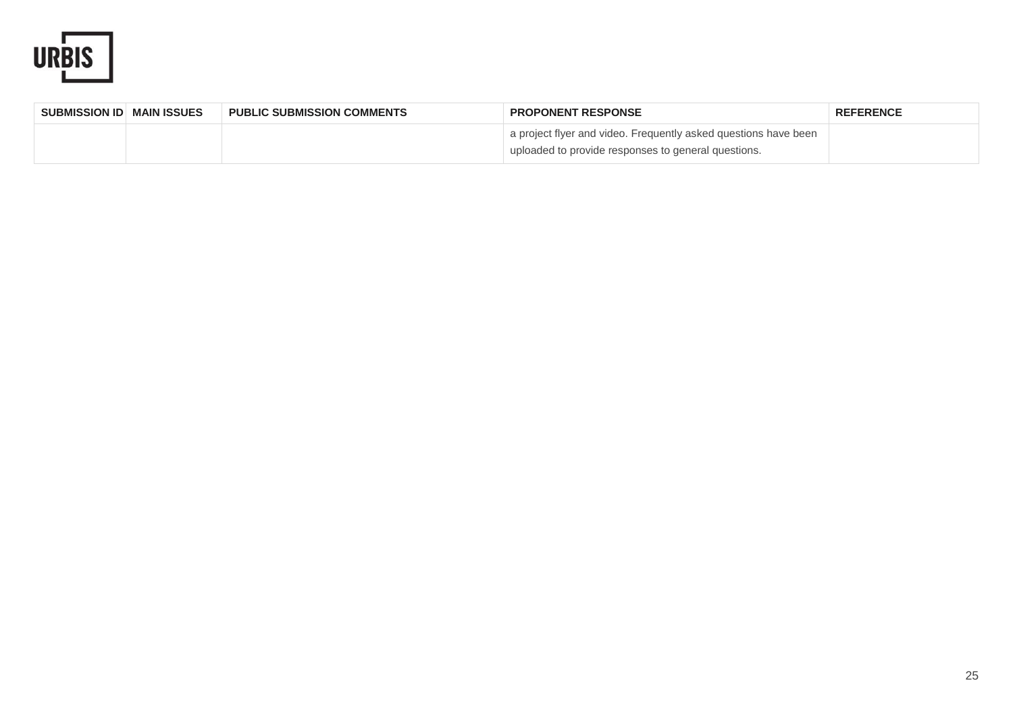

| SUBMISSION ID MAIN ISSUES | <b>PUBLIC SUBMISSION COMMENTS</b> | <b>PROPONENT RESPONSE</b>                                                                                              | <b>REFERENCE</b> |
|---------------------------|-----------------------------------|------------------------------------------------------------------------------------------------------------------------|------------------|
|                           |                                   | a project flyer and video. Frequently asked questions have been<br>uploaded to provide responses to general questions. |                  |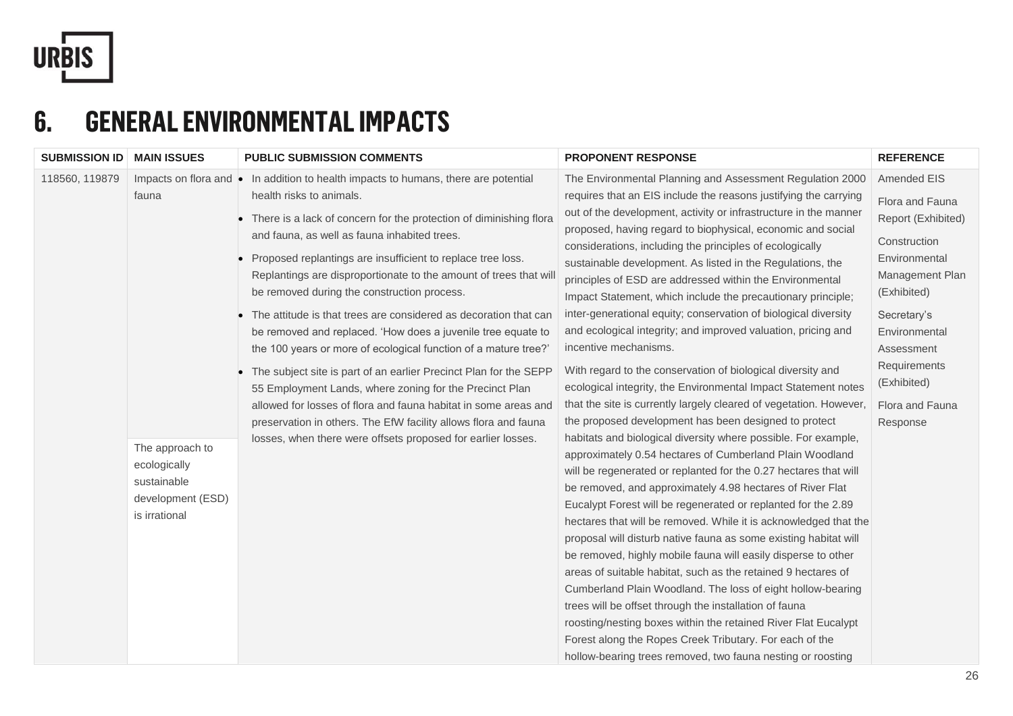

#### **6. GENERAL ENVIRONMENTAL IMPACTS**

| <b>SUBMISSION ID   MAIN ISSUES</b> |                                                                                               | <b>PUBLIC SUBMISSION COMMENTS</b>                                                                                                                                                                                                                                                                                                                                                                                                                                                                                                                                                                                                                                                                                                                                                                                                                                                                                                                                       | <b>PROPONENT RESPONSE</b>                                                                                                                                                                                                                                                                                                                                                                                                                                                                                                                                                                                                                                                                                                                                                                                                                                                                                                                                                                                                                                                                                                                                                                                                                                                                                                                                                                                                                                                                                                                                                                                                                                                                                                                                                                                                                                                          | <b>REFERENCE</b>                                                                                                                                                                                                                    |
|------------------------------------|-----------------------------------------------------------------------------------------------|-------------------------------------------------------------------------------------------------------------------------------------------------------------------------------------------------------------------------------------------------------------------------------------------------------------------------------------------------------------------------------------------------------------------------------------------------------------------------------------------------------------------------------------------------------------------------------------------------------------------------------------------------------------------------------------------------------------------------------------------------------------------------------------------------------------------------------------------------------------------------------------------------------------------------------------------------------------------------|------------------------------------------------------------------------------------------------------------------------------------------------------------------------------------------------------------------------------------------------------------------------------------------------------------------------------------------------------------------------------------------------------------------------------------------------------------------------------------------------------------------------------------------------------------------------------------------------------------------------------------------------------------------------------------------------------------------------------------------------------------------------------------------------------------------------------------------------------------------------------------------------------------------------------------------------------------------------------------------------------------------------------------------------------------------------------------------------------------------------------------------------------------------------------------------------------------------------------------------------------------------------------------------------------------------------------------------------------------------------------------------------------------------------------------------------------------------------------------------------------------------------------------------------------------------------------------------------------------------------------------------------------------------------------------------------------------------------------------------------------------------------------------------------------------------------------------------------------------------------------------|-------------------------------------------------------------------------------------------------------------------------------------------------------------------------------------------------------------------------------------|
| 118560, 119879                     | fauna<br>The approach to<br>ecologically<br>sustainable<br>development (ESD)<br>is irrational | Impacts on flora and • In addition to health impacts to humans, there are potential<br>health risks to animals.<br>• There is a lack of concern for the protection of diminishing flora<br>and fauna, as well as fauna inhabited trees.<br>Proposed replantings are insufficient to replace tree loss.<br>Replantings are disproportionate to the amount of trees that will<br>be removed during the construction process.<br>The attitude is that trees are considered as decoration that can<br>be removed and replaced. 'How does a juvenile tree equate to<br>the 100 years or more of ecological function of a mature tree?'<br>The subject site is part of an earlier Precinct Plan for the SEPP<br>55 Employment Lands, where zoning for the Precinct Plan<br>allowed for losses of flora and fauna habitat in some areas and<br>preservation in others. The EfW facility allows flora and fauna<br>losses, when there were offsets proposed for earlier losses. | The Environmental Planning and Assessment Regulation 2000<br>requires that an EIS include the reasons justifying the carrying<br>out of the development, activity or infrastructure in the manner<br>proposed, having regard to biophysical, economic and social<br>considerations, including the principles of ecologically<br>sustainable development. As listed in the Regulations, the<br>principles of ESD are addressed within the Environmental<br>Impact Statement, which include the precautionary principle;<br>inter-generational equity; conservation of biological diversity<br>and ecological integrity; and improved valuation, pricing and<br>incentive mechanisms.<br>With regard to the conservation of biological diversity and<br>ecological integrity, the Environmental Impact Statement notes<br>that the site is currently largely cleared of vegetation. However,<br>the proposed development has been designed to protect<br>habitats and biological diversity where possible. For example,<br>approximately 0.54 hectares of Cumberland Plain Woodland<br>will be regenerated or replanted for the 0.27 hectares that will<br>be removed, and approximately 4.98 hectares of River Flat<br>Eucalypt Forest will be regenerated or replanted for the 2.89<br>hectares that will be removed. While it is acknowledged that the<br>proposal will disturb native fauna as some existing habitat will<br>be removed, highly mobile fauna will easily disperse to other<br>areas of suitable habitat, such as the retained 9 hectares of<br>Cumberland Plain Woodland. The loss of eight hollow-bearing<br>trees will be offset through the installation of fauna<br>roosting/nesting boxes within the retained River Flat Eucalypt<br>Forest along the Ropes Creek Tributary. For each of the<br>hollow-bearing trees removed, two fauna nesting or roosting | Amended EIS<br>Flora and Fauna<br>Report (Exhibited)<br>Construction<br>Environmental<br>Management Plan<br>(Exhibited)<br>Secretary's<br>Environmental<br>Assessment<br>Requirements<br>(Exhibited)<br>Flora and Fauna<br>Response |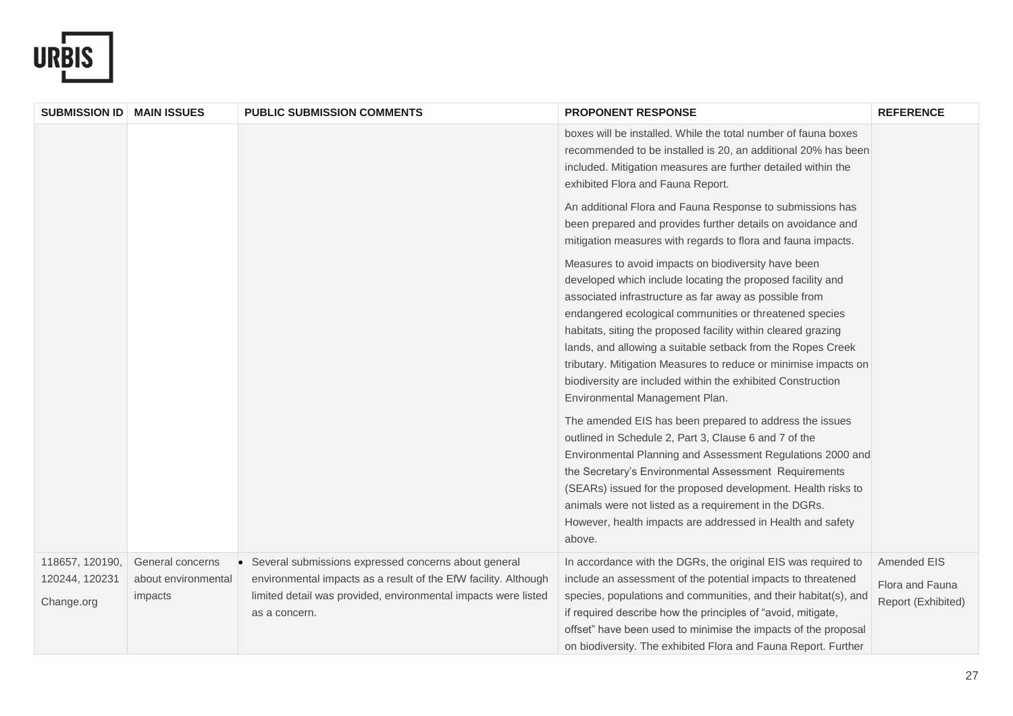

| <b>SUBMISSION ID</b>         | <b>MAIN ISSUES</b>             | <b>PUBLIC SUBMISSION COMMENTS</b>                                                                                                                  | <b>PROPONENT RESPONSE</b>                                                                                                                                                                                                                                                                                                                                                                                                                                                                                                                  | <b>REFERENCE</b>                      |
|------------------------------|--------------------------------|----------------------------------------------------------------------------------------------------------------------------------------------------|--------------------------------------------------------------------------------------------------------------------------------------------------------------------------------------------------------------------------------------------------------------------------------------------------------------------------------------------------------------------------------------------------------------------------------------------------------------------------------------------------------------------------------------------|---------------------------------------|
|                              |                                |                                                                                                                                                    | boxes will be installed. While the total number of fauna boxes<br>recommended to be installed is 20, an additional 20% has been<br>included. Mitigation measures are further detailed within the<br>exhibited Flora and Fauna Report.                                                                                                                                                                                                                                                                                                      |                                       |
|                              |                                |                                                                                                                                                    | An additional Flora and Fauna Response to submissions has<br>been prepared and provides further details on avoidance and<br>mitigation measures with regards to flora and fauna impacts.                                                                                                                                                                                                                                                                                                                                                   |                                       |
|                              |                                |                                                                                                                                                    | Measures to avoid impacts on biodiversity have been<br>developed which include locating the proposed facility and<br>associated infrastructure as far away as possible from<br>endangered ecological communities or threatened species<br>habitats, siting the proposed facility within cleared grazing<br>lands, and allowing a suitable setback from the Ropes Creek<br>tributary. Mitigation Measures to reduce or minimise impacts on<br>biodiversity are included within the exhibited Construction<br>Environmental Management Plan. |                                       |
|                              |                                |                                                                                                                                                    | The amended EIS has been prepared to address the issues<br>outlined in Schedule 2, Part 3, Clause 6 and 7 of the<br>Environmental Planning and Assessment Regulations 2000 and<br>the Secretary's Environmental Assessment Requirements<br>(SEARs) issued for the proposed development. Health risks to<br>animals were not listed as a requirement in the DGRs.<br>However, health impacts are addressed in Health and safety<br>above.                                                                                                   |                                       |
| 118657, 120190,              | General concerns               | Several submissions expressed concerns about general<br>$\bullet$                                                                                  | In accordance with the DGRs, the original EIS was required to                                                                                                                                                                                                                                                                                                                                                                                                                                                                              | Amended EIS                           |
| 120244, 120231<br>Change.org | about environmental<br>impacts | environmental impacts as a result of the EfW facility. Although<br>limited detail was provided, environmental impacts were listed<br>as a concern. | include an assessment of the potential impacts to threatened<br>species, populations and communities, and their habitat(s), and<br>if required describe how the principles of "avoid, mitigate,<br>offset" have been used to minimise the impacts of the proposal                                                                                                                                                                                                                                                                          | Flora and Fauna<br>Report (Exhibited) |
|                              |                                |                                                                                                                                                    | on biodiversity. The exhibited Flora and Fauna Report. Further                                                                                                                                                                                                                                                                                                                                                                                                                                                                             |                                       |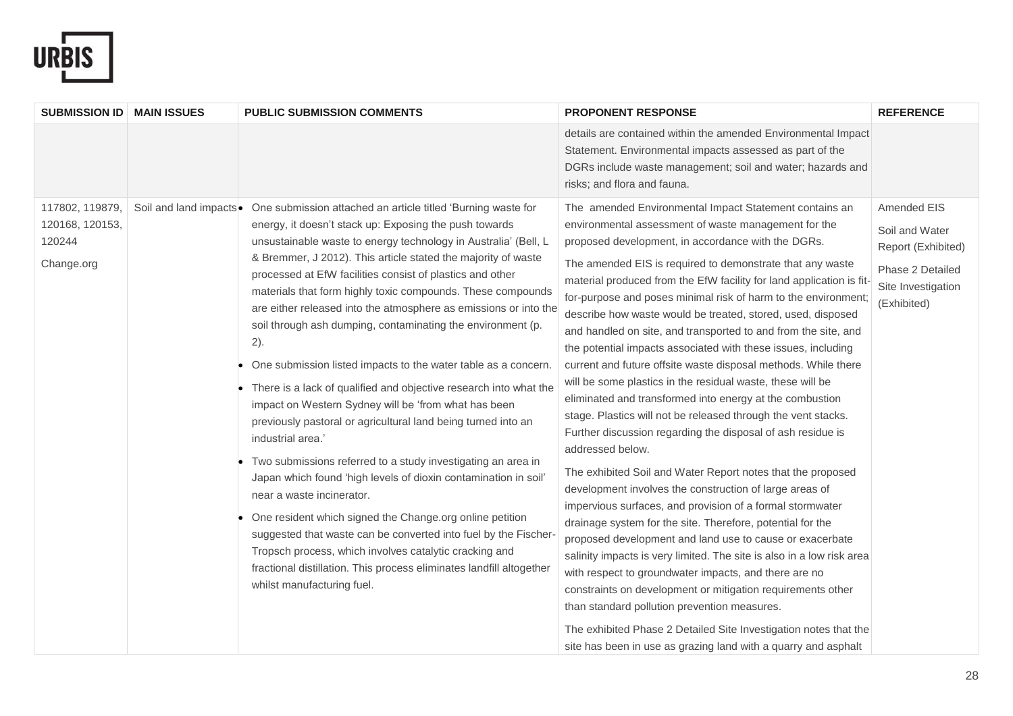

| <b>SUBMISSION ID   MAIN ISSUES</b>                         | <b>PUBLIC SUBMISSION COMMENTS</b>                                                                                                                                                                                                                                                                                                                                                                                                                                                                                                                                                                                                                                                                                                                                                                                                                                                                                                                                                                                                                                                                                                                                                                                                                                                                            | <b>PROPONENT RESPONSE</b>                                                                                                                                                                                                                                                                                                                                                                                                                                                                                                                                                                                                                                                                                                                                                                                                                                                                                                                                                                                                                                                                                                                                                                                                                                                                                                                                                                                                                                                                                                                                          | <b>REFERENCE</b>                                                                                             |
|------------------------------------------------------------|--------------------------------------------------------------------------------------------------------------------------------------------------------------------------------------------------------------------------------------------------------------------------------------------------------------------------------------------------------------------------------------------------------------------------------------------------------------------------------------------------------------------------------------------------------------------------------------------------------------------------------------------------------------------------------------------------------------------------------------------------------------------------------------------------------------------------------------------------------------------------------------------------------------------------------------------------------------------------------------------------------------------------------------------------------------------------------------------------------------------------------------------------------------------------------------------------------------------------------------------------------------------------------------------------------------|--------------------------------------------------------------------------------------------------------------------------------------------------------------------------------------------------------------------------------------------------------------------------------------------------------------------------------------------------------------------------------------------------------------------------------------------------------------------------------------------------------------------------------------------------------------------------------------------------------------------------------------------------------------------------------------------------------------------------------------------------------------------------------------------------------------------------------------------------------------------------------------------------------------------------------------------------------------------------------------------------------------------------------------------------------------------------------------------------------------------------------------------------------------------------------------------------------------------------------------------------------------------------------------------------------------------------------------------------------------------------------------------------------------------------------------------------------------------------------------------------------------------------------------------------------------------|--------------------------------------------------------------------------------------------------------------|
|                                                            |                                                                                                                                                                                                                                                                                                                                                                                                                                                                                                                                                                                                                                                                                                                                                                                                                                                                                                                                                                                                                                                                                                                                                                                                                                                                                                              | details are contained within the amended Environmental Impact<br>Statement. Environmental impacts assessed as part of the<br>DGRs include waste management; soil and water; hazards and<br>risks; and flora and fauna.                                                                                                                                                                                                                                                                                                                                                                                                                                                                                                                                                                                                                                                                                                                                                                                                                                                                                                                                                                                                                                                                                                                                                                                                                                                                                                                                             |                                                                                                              |
| 117802, 119879,<br>120168, 120153,<br>120244<br>Change.org | Soil and land impacts • One submission attached an article titled 'Burning waste for<br>energy, it doesn't stack up: Exposing the push towards<br>unsustainable waste to energy technology in Australia' (Bell, L<br>& Bremmer, J 2012). This article stated the majority of waste<br>processed at EfW facilities consist of plastics and other<br>materials that form highly toxic compounds. These compounds<br>are either released into the atmosphere as emissions or into the<br>soil through ash dumping, contaminating the environment (p.<br>2).<br>One submission listed impacts to the water table as a concern.<br>There is a lack of qualified and objective research into what the<br>impact on Western Sydney will be 'from what has been<br>previously pastoral or agricultural land being turned into an<br>industrial area.'<br>Two submissions referred to a study investigating an area in<br>Japan which found 'high levels of dioxin contamination in soil'<br>near a waste incinerator.<br>One resident which signed the Change.org online petition<br>suggested that waste can be converted into fuel by the Fischer-<br>Tropsch process, which involves catalytic cracking and<br>fractional distillation. This process eliminates landfill altogether<br>whilst manufacturing fuel. | The amended Environmental Impact Statement contains an<br>environmental assessment of waste management for the<br>proposed development, in accordance with the DGRs.<br>The amended EIS is required to demonstrate that any waste<br>material produced from the EfW facility for land application is fit-<br>for-purpose and poses minimal risk of harm to the environment<br>describe how waste would be treated, stored, used, disposed<br>and handled on site, and transported to and from the site, and<br>the potential impacts associated with these issues, including<br>current and future offsite waste disposal methods. While there<br>will be some plastics in the residual waste, these will be<br>eliminated and transformed into energy at the combustion<br>stage. Plastics will not be released through the vent stacks.<br>Further discussion regarding the disposal of ash residue is<br>addressed below.<br>The exhibited Soil and Water Report notes that the proposed<br>development involves the construction of large areas of<br>impervious surfaces, and provision of a formal stormwater<br>drainage system for the site. Therefore, potential for the<br>proposed development and land use to cause or exacerbate<br>salinity impacts is very limited. The site is also in a low risk area<br>with respect to groundwater impacts, and there are no<br>constraints on development or mitigation requirements other<br>than standard pollution prevention measures.<br>The exhibited Phase 2 Detailed Site Investigation notes that the | Amended EIS<br>Soil and Water<br>Report (Exhibited)<br>Phase 2 Detailed<br>Site Investigation<br>(Exhibited) |
|                                                            |                                                                                                                                                                                                                                                                                                                                                                                                                                                                                                                                                                                                                                                                                                                                                                                                                                                                                                                                                                                                                                                                                                                                                                                                                                                                                                              | site has been in use as grazing land with a quarry and asphalt                                                                                                                                                                                                                                                                                                                                                                                                                                                                                                                                                                                                                                                                                                                                                                                                                                                                                                                                                                                                                                                                                                                                                                                                                                                                                                                                                                                                                                                                                                     |                                                                                                              |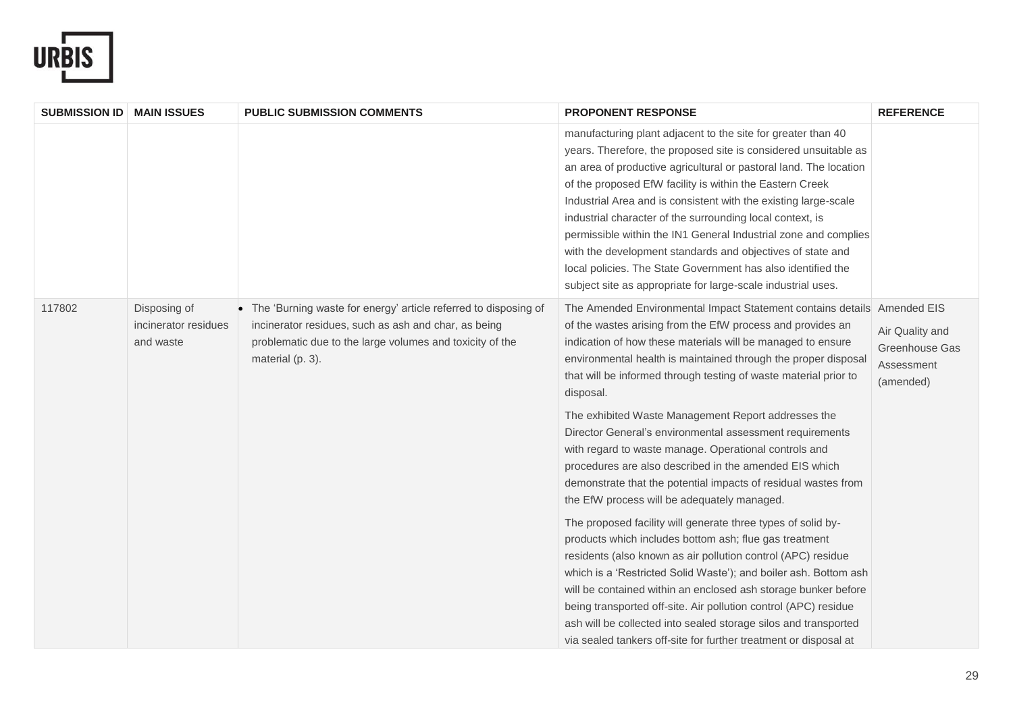

| <b>SUBMISSION ID   MAIN ISSUES</b> |                                                   | <b>PUBLIC SUBMISSION COMMENTS</b>                                                                                                                                                                         | <b>PROPONENT RESPONSE</b>                                                                                                                                                                                                                                                                                                                                                                                                                                                                                                                                                                                                                                                                                                                                                                                                                                                                                                                                                                                                                                                                                                                                                                                                                                | <b>REFERENCE</b>                                             |
|------------------------------------|---------------------------------------------------|-----------------------------------------------------------------------------------------------------------------------------------------------------------------------------------------------------------|----------------------------------------------------------------------------------------------------------------------------------------------------------------------------------------------------------------------------------------------------------------------------------------------------------------------------------------------------------------------------------------------------------------------------------------------------------------------------------------------------------------------------------------------------------------------------------------------------------------------------------------------------------------------------------------------------------------------------------------------------------------------------------------------------------------------------------------------------------------------------------------------------------------------------------------------------------------------------------------------------------------------------------------------------------------------------------------------------------------------------------------------------------------------------------------------------------------------------------------------------------|--------------------------------------------------------------|
|                                    |                                                   |                                                                                                                                                                                                           | manufacturing plant adjacent to the site for greater than 40<br>years. Therefore, the proposed site is considered unsuitable as<br>an area of productive agricultural or pastoral land. The location<br>of the proposed EfW facility is within the Eastern Creek<br>Industrial Area and is consistent with the existing large-scale<br>industrial character of the surrounding local context, is<br>permissible within the IN1 General Industrial zone and complies<br>with the development standards and objectives of state and<br>local policies. The State Government has also identified the<br>subject site as appropriate for large-scale industrial uses.                                                                                                                                                                                                                                                                                                                                                                                                                                                                                                                                                                                        |                                                              |
| 117802                             | Disposing of<br>incinerator residues<br>and waste | • The 'Burning waste for energy' article referred to disposing of<br>incinerator residues, such as ash and char, as being<br>problematic due to the large volumes and toxicity of the<br>material (p. 3). | The Amended Environmental Impact Statement contains details Amended EIS<br>of the wastes arising from the EfW process and provides an<br>indication of how these materials will be managed to ensure<br>environmental health is maintained through the proper disposal<br>that will be informed through testing of waste material prior to<br>disposal.<br>The exhibited Waste Management Report addresses the<br>Director General's environmental assessment requirements<br>with regard to waste manage. Operational controls and<br>procedures are also described in the amended EIS which<br>demonstrate that the potential impacts of residual wastes from<br>the EfW process will be adequately managed.<br>The proposed facility will generate three types of solid by-<br>products which includes bottom ash; flue gas treatment<br>residents (also known as air pollution control (APC) residue<br>which is a 'Restricted Solid Waste'); and boiler ash. Bottom ash<br>will be contained within an enclosed ash storage bunker before<br>being transported off-site. Air pollution control (APC) residue<br>ash will be collected into sealed storage silos and transported<br>via sealed tankers off-site for further treatment or disposal at | Air Quality and<br>Greenhouse Gas<br>Assessment<br>(amended) |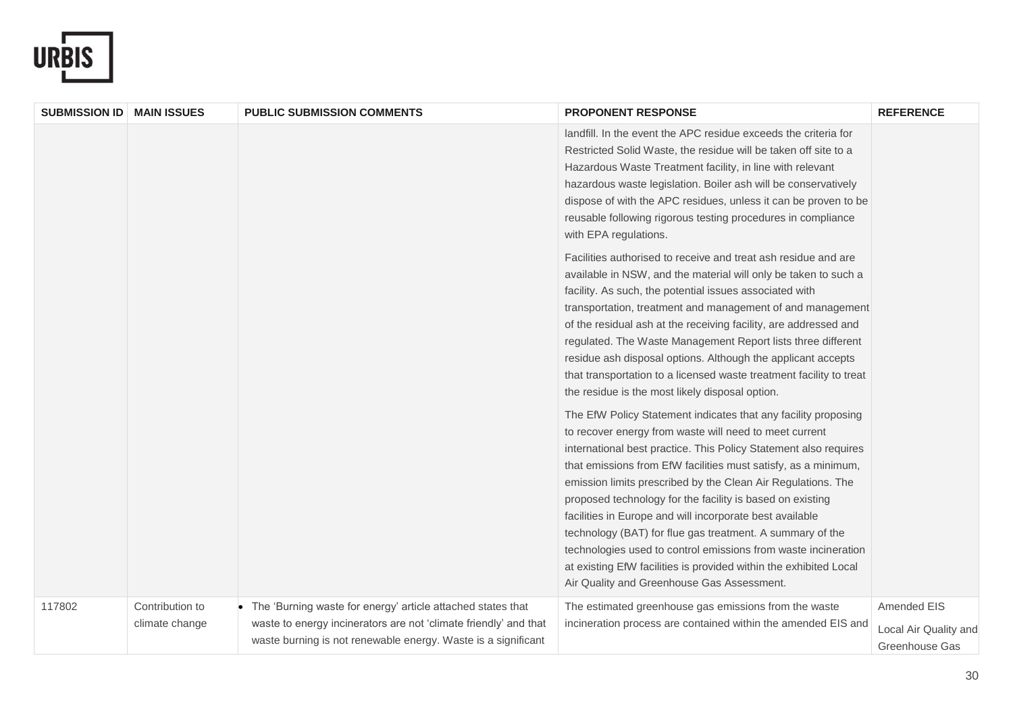

| <b>SUBMISSION ID   MAIN ISSUES</b> |                                   | <b>PUBLIC SUBMISSION COMMENTS</b>                                                                                                                                                                  | <b>PROPONENT RESPONSE</b>                                                                                                                                                                                                                                                                                                                                                                                                                                                                                                                                                                                                                                                                                 | <b>REFERENCE</b>                                              |
|------------------------------------|-----------------------------------|----------------------------------------------------------------------------------------------------------------------------------------------------------------------------------------------------|-----------------------------------------------------------------------------------------------------------------------------------------------------------------------------------------------------------------------------------------------------------------------------------------------------------------------------------------------------------------------------------------------------------------------------------------------------------------------------------------------------------------------------------------------------------------------------------------------------------------------------------------------------------------------------------------------------------|---------------------------------------------------------------|
|                                    |                                   |                                                                                                                                                                                                    | landfill. In the event the APC residue exceeds the criteria for<br>Restricted Solid Waste, the residue will be taken off site to a<br>Hazardous Waste Treatment facility, in line with relevant<br>hazardous waste legislation. Boiler ash will be conservatively<br>dispose of with the APC residues, unless it can be proven to be<br>reusable following rigorous testing procedures in compliance<br>with EPA regulations.                                                                                                                                                                                                                                                                             |                                                               |
|                                    |                                   |                                                                                                                                                                                                    | Facilities authorised to receive and treat ash residue and are<br>available in NSW, and the material will only be taken to such a<br>facility. As such, the potential issues associated with<br>transportation, treatment and management of and management<br>of the residual ash at the receiving facility, are addressed and<br>regulated. The Waste Management Report lists three different<br>residue ash disposal options. Although the applicant accepts<br>that transportation to a licensed waste treatment facility to treat<br>the residue is the most likely disposal option.                                                                                                                  |                                                               |
|                                    |                                   |                                                                                                                                                                                                    | The EfW Policy Statement indicates that any facility proposing<br>to recover energy from waste will need to meet current<br>international best practice. This Policy Statement also requires<br>that emissions from EfW facilities must satisfy, as a minimum,<br>emission limits prescribed by the Clean Air Regulations. The<br>proposed technology for the facility is based on existing<br>facilities in Europe and will incorporate best available<br>technology (BAT) for flue gas treatment. A summary of the<br>technologies used to control emissions from waste incineration<br>at existing EfW facilities is provided within the exhibited Local<br>Air Quality and Greenhouse Gas Assessment. |                                                               |
| 117802                             | Contribution to<br>climate change | • The 'Burning waste for energy' article attached states that<br>waste to energy incinerators are not 'climate friendly' and that<br>waste burning is not renewable energy. Waste is a significant | The estimated greenhouse gas emissions from the waste<br>incineration process are contained within the amended EIS and                                                                                                                                                                                                                                                                                                                                                                                                                                                                                                                                                                                    | Amended EIS<br>Local Air Quality and<br><b>Greenhouse Gas</b> |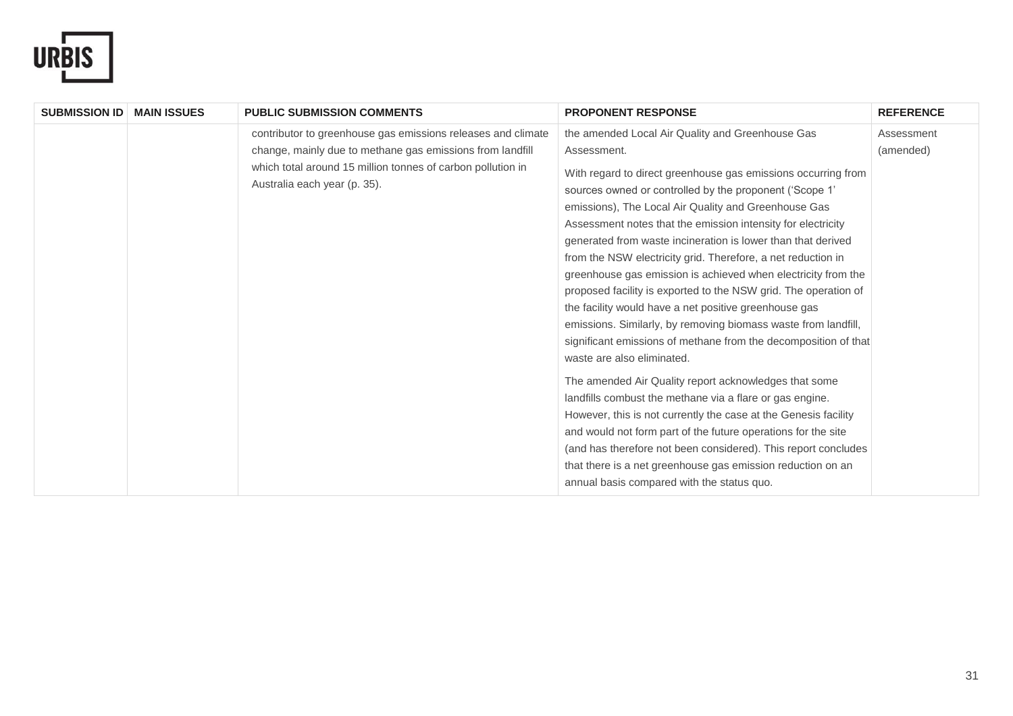

| <b>SUBMISSION ID</b> | <b>MAIN ISSUES</b> | <b>PUBLIC SUBMISSION COMMENTS</b>                                                                                                                                                                                        | <b>PROPONENT RESPONSE</b>                                                                                                                                                                                                                                                                                                                                                                                                                                                                                                                                                                                                                                                                                                                                                                                                                                                                                                                                                                                                                                                                                                                                                                                                                                   | <b>REFERENCE</b>        |
|----------------------|--------------------|--------------------------------------------------------------------------------------------------------------------------------------------------------------------------------------------------------------------------|-------------------------------------------------------------------------------------------------------------------------------------------------------------------------------------------------------------------------------------------------------------------------------------------------------------------------------------------------------------------------------------------------------------------------------------------------------------------------------------------------------------------------------------------------------------------------------------------------------------------------------------------------------------------------------------------------------------------------------------------------------------------------------------------------------------------------------------------------------------------------------------------------------------------------------------------------------------------------------------------------------------------------------------------------------------------------------------------------------------------------------------------------------------------------------------------------------------------------------------------------------------|-------------------------|
|                      |                    | contributor to greenhouse gas emissions releases and climate<br>change, mainly due to methane gas emissions from landfill<br>which total around 15 million tonnes of carbon pollution in<br>Australia each year (p. 35). | the amended Local Air Quality and Greenhouse Gas<br>Assessment.<br>With regard to direct greenhouse gas emissions occurring from<br>sources owned or controlled by the proponent ('Scope 1'<br>emissions), The Local Air Quality and Greenhouse Gas<br>Assessment notes that the emission intensity for electricity<br>generated from waste incineration is lower than that derived<br>from the NSW electricity grid. Therefore, a net reduction in<br>greenhouse gas emission is achieved when electricity from the<br>proposed facility is exported to the NSW grid. The operation of<br>the facility would have a net positive greenhouse gas<br>emissions. Similarly, by removing biomass waste from landfill,<br>significant emissions of methane from the decomposition of that<br>waste are also eliminated.<br>The amended Air Quality report acknowledges that some<br>landfills combust the methane via a flare or gas engine.<br>However, this is not currently the case at the Genesis facility<br>and would not form part of the future operations for the site<br>(and has therefore not been considered). This report concludes<br>that there is a net greenhouse gas emission reduction on an<br>annual basis compared with the status quo. | Assessment<br>(amended) |
|                      |                    |                                                                                                                                                                                                                          |                                                                                                                                                                                                                                                                                                                                                                                                                                                                                                                                                                                                                                                                                                                                                                                                                                                                                                                                                                                                                                                                                                                                                                                                                                                             |                         |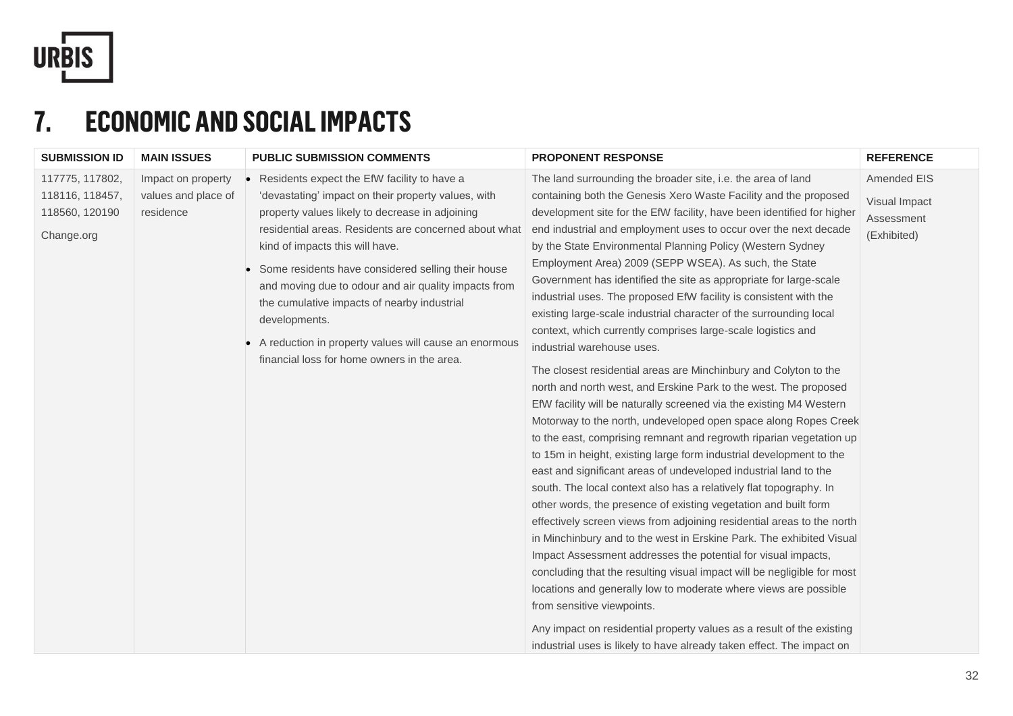

## **7. ECONOMIC AND SOCIAL IMPACTS**

| <b>SUBMISSION ID</b><br><b>MAIN ISSUES</b>                                      | <b>PUBLIC SUBMISSION COMMENTS</b>                                                                                                                                                                                                                                                                                                                                                                                                                                                                                                                                                    | <b>PROPONENT RESPONSE</b>                                                                                                                                                                                                                                                                                                                                                                                                                                                                                                                                                                                                                                                                                                                                                                                                                                                                                                                                                                                                                                                                                                                                                                                                                                                                                                                                                                                                                                                                                                                                                                                                                                                                                                                                                                                                                 | <b>REFERENCE</b>                                          |
|---------------------------------------------------------------------------------|--------------------------------------------------------------------------------------------------------------------------------------------------------------------------------------------------------------------------------------------------------------------------------------------------------------------------------------------------------------------------------------------------------------------------------------------------------------------------------------------------------------------------------------------------------------------------------------|-------------------------------------------------------------------------------------------------------------------------------------------------------------------------------------------------------------------------------------------------------------------------------------------------------------------------------------------------------------------------------------------------------------------------------------------------------------------------------------------------------------------------------------------------------------------------------------------------------------------------------------------------------------------------------------------------------------------------------------------------------------------------------------------------------------------------------------------------------------------------------------------------------------------------------------------------------------------------------------------------------------------------------------------------------------------------------------------------------------------------------------------------------------------------------------------------------------------------------------------------------------------------------------------------------------------------------------------------------------------------------------------------------------------------------------------------------------------------------------------------------------------------------------------------------------------------------------------------------------------------------------------------------------------------------------------------------------------------------------------------------------------------------------------------------------------------------------------|-----------------------------------------------------------|
| 117775, 117802,<br>118116, 118457,<br>118560, 120190<br>residence<br>Change.org | Impact on property<br>Residents expect the EfW facility to have a<br>values and place of<br>'devastating' impact on their property values, with<br>property values likely to decrease in adjoining<br>residential areas. Residents are concerned about what<br>kind of impacts this will have.<br>Some residents have considered selling their house<br>and moving due to odour and air quality impacts from<br>the cumulative impacts of nearby industrial<br>developments.<br>A reduction in property values will cause an enormous<br>financial loss for home owners in the area. | The land surrounding the broader site, i.e. the area of land<br>containing both the Genesis Xero Waste Facility and the proposed<br>development site for the EfW facility, have been identified for higher<br>end industrial and employment uses to occur over the next decade<br>by the State Environmental Planning Policy (Western Sydney<br>Employment Area) 2009 (SEPP WSEA). As such, the State<br>Government has identified the site as appropriate for large-scale<br>industrial uses. The proposed EfW facility is consistent with the<br>existing large-scale industrial character of the surrounding local<br>context, which currently comprises large-scale logistics and<br>industrial warehouse uses.<br>The closest residential areas are Minchinbury and Colyton to the<br>north and north west, and Erskine Park to the west. The proposed<br>EfW facility will be naturally screened via the existing M4 Western<br>Motorway to the north, undeveloped open space along Ropes Creek<br>to the east, comprising remnant and regrowth riparian vegetation up<br>to 15m in height, existing large form industrial development to the<br>east and significant areas of undeveloped industrial land to the<br>south. The local context also has a relatively flat topography. In<br>other words, the presence of existing vegetation and built form<br>effectively screen views from adjoining residential areas to the north<br>in Minchinbury and to the west in Erskine Park. The exhibited Visual<br>Impact Assessment addresses the potential for visual impacts,<br>concluding that the resulting visual impact will be negligible for most<br>locations and generally low to moderate where views are possible<br>from sensitive viewpoints.<br>Any impact on residential property values as a result of the existing | Amended EIS<br>Visual Impact<br>Assessment<br>(Exhibited) |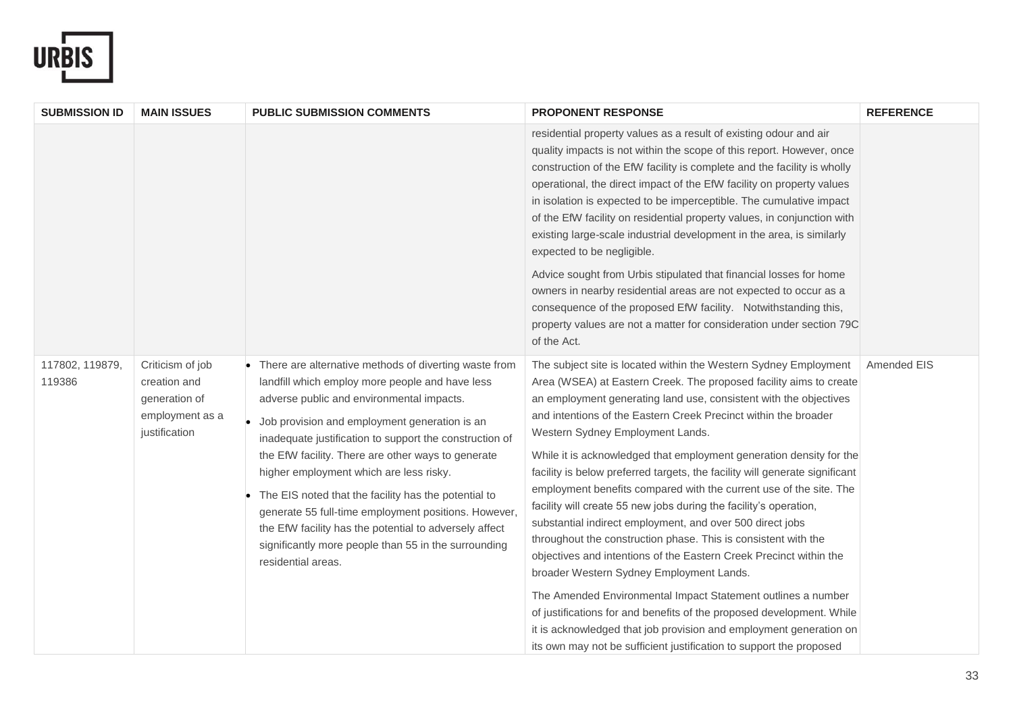

| <b>SUBMISSION ID</b>      | <b>MAIN ISSUES</b>                                                                    | <b>PUBLIC SUBMISSION COMMENTS</b>                                                                                                                                                                                                                                                                                                                                                                                                                                                                                                                                                                                            | <b>PROPONENT RESPONSE</b>                                                                                                                                                                                                                                                                                                                                                                                                                                                                                                                                                                                                                                                                                                                                                                                                                                                                                                                                                                                                                                                                                                                                  | <b>REFERENCE</b> |
|---------------------------|---------------------------------------------------------------------------------------|------------------------------------------------------------------------------------------------------------------------------------------------------------------------------------------------------------------------------------------------------------------------------------------------------------------------------------------------------------------------------------------------------------------------------------------------------------------------------------------------------------------------------------------------------------------------------------------------------------------------------|------------------------------------------------------------------------------------------------------------------------------------------------------------------------------------------------------------------------------------------------------------------------------------------------------------------------------------------------------------------------------------------------------------------------------------------------------------------------------------------------------------------------------------------------------------------------------------------------------------------------------------------------------------------------------------------------------------------------------------------------------------------------------------------------------------------------------------------------------------------------------------------------------------------------------------------------------------------------------------------------------------------------------------------------------------------------------------------------------------------------------------------------------------|------------------|
|                           |                                                                                       |                                                                                                                                                                                                                                                                                                                                                                                                                                                                                                                                                                                                                              | residential property values as a result of existing odour and air<br>quality impacts is not within the scope of this report. However, once<br>construction of the EfW facility is complete and the facility is wholly<br>operational, the direct impact of the EfW facility on property values<br>in isolation is expected to be imperceptible. The cumulative impact<br>of the EfW facility on residential property values, in conjunction with<br>existing large-scale industrial development in the area, is similarly<br>expected to be negligible.<br>Advice sought from Urbis stipulated that financial losses for home<br>owners in nearby residential areas are not expected to occur as a<br>consequence of the proposed EfW facility. Notwithstanding this,<br>property values are not a matter for consideration under section 79C<br>of the Act.                                                                                                                                                                                                                                                                                               |                  |
| 117802, 119879,<br>119386 | Criticism of job<br>creation and<br>generation of<br>employment as a<br>justification | • There are alternative methods of diverting waste from<br>landfill which employ more people and have less<br>adverse public and environmental impacts.<br>Job provision and employment generation is an<br>inadequate justification to support the construction of<br>the EfW facility. There are other ways to generate<br>higher employment which are less risky.<br>The EIS noted that the facility has the potential to<br>generate 55 full-time employment positions. However,<br>the EfW facility has the potential to adversely affect<br>significantly more people than 55 in the surrounding<br>residential areas. | The subject site is located within the Western Sydney Employment<br>Area (WSEA) at Eastern Creek. The proposed facility aims to create<br>an employment generating land use, consistent with the objectives<br>and intentions of the Eastern Creek Precinct within the broader<br>Western Sydney Employment Lands.<br>While it is acknowledged that employment generation density for the<br>facility is below preferred targets, the facility will generate significant<br>employment benefits compared with the current use of the site. The<br>facility will create 55 new jobs during the facility's operation,<br>substantial indirect employment, and over 500 direct jobs<br>throughout the construction phase. This is consistent with the<br>objectives and intentions of the Eastern Creek Precinct within the<br>broader Western Sydney Employment Lands.<br>The Amended Environmental Impact Statement outlines a number<br>of justifications for and benefits of the proposed development. While<br>it is acknowledged that job provision and employment generation on<br>its own may not be sufficient justification to support the proposed | Amended EIS      |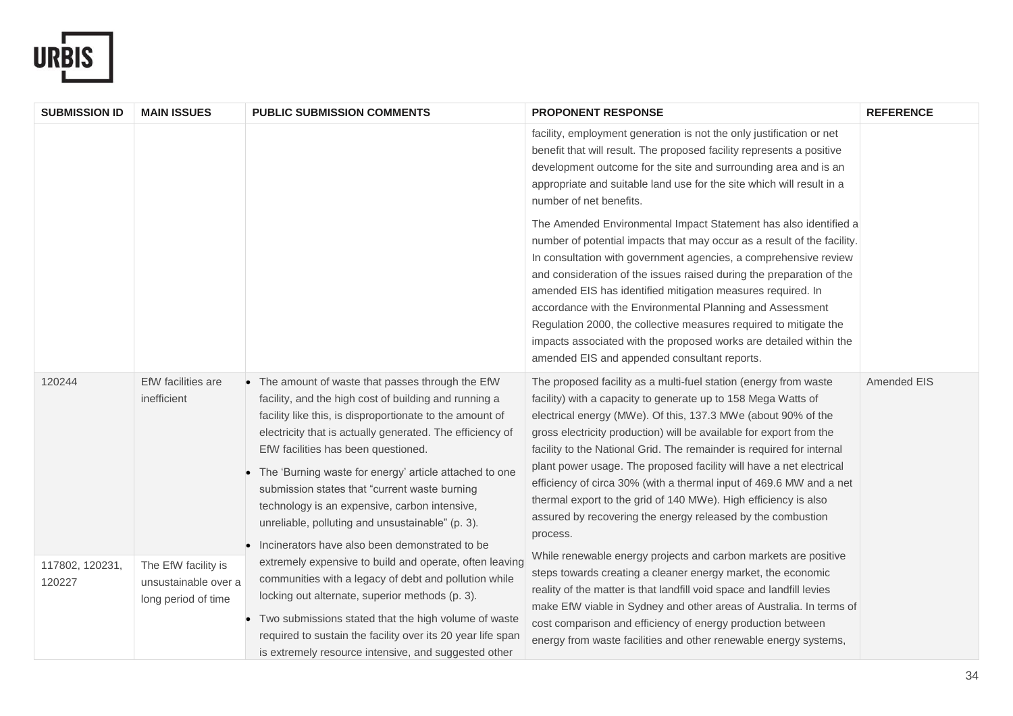

| <b>SUBMISSION ID</b>      | <b>MAIN ISSUES</b>                                                 | <b>PUBLIC SUBMISSION COMMENTS</b>                                                                                                                                                                                                                                                                                                                                                                                                                                                                                                                | <b>PROPONENT RESPONSE</b>                                                                                                                                                                                                                                                                                                                                                                                                                                                                                                                                                                                                                      | <b>REFERENCE</b> |
|---------------------------|--------------------------------------------------------------------|--------------------------------------------------------------------------------------------------------------------------------------------------------------------------------------------------------------------------------------------------------------------------------------------------------------------------------------------------------------------------------------------------------------------------------------------------------------------------------------------------------------------------------------------------|------------------------------------------------------------------------------------------------------------------------------------------------------------------------------------------------------------------------------------------------------------------------------------------------------------------------------------------------------------------------------------------------------------------------------------------------------------------------------------------------------------------------------------------------------------------------------------------------------------------------------------------------|------------------|
|                           |                                                                    |                                                                                                                                                                                                                                                                                                                                                                                                                                                                                                                                                  | facility, employment generation is not the only justification or net<br>benefit that will result. The proposed facility represents a positive<br>development outcome for the site and surrounding area and is an<br>appropriate and suitable land use for the site which will result in a<br>number of net benefits.                                                                                                                                                                                                                                                                                                                           |                  |
|                           |                                                                    |                                                                                                                                                                                                                                                                                                                                                                                                                                                                                                                                                  | The Amended Environmental Impact Statement has also identified a<br>number of potential impacts that may occur as a result of the facility.<br>In consultation with government agencies, a comprehensive review<br>and consideration of the issues raised during the preparation of the<br>amended EIS has identified mitigation measures required. In<br>accordance with the Environmental Planning and Assessment<br>Regulation 2000, the collective measures required to mitigate the<br>impacts associated with the proposed works are detailed within the<br>amended EIS and appended consultant reports.                                 |                  |
| 120244                    | EfW facilities are<br>inefficient                                  | • The amount of waste that passes through the EfW<br>facility, and the high cost of building and running a<br>facility like this, is disproportionate to the amount of<br>electricity that is actually generated. The efficiency of<br>EfW facilities has been questioned.<br>• The 'Burning waste for energy' article attached to one<br>submission states that "current waste burning<br>technology is an expensive, carbon intensive,<br>unreliable, polluting and unsustainable" (p. 3).<br>• Incinerators have also been demonstrated to be | The proposed facility as a multi-fuel station (energy from waste<br>facility) with a capacity to generate up to 158 Mega Watts of<br>electrical energy (MWe). Of this, 137.3 MWe (about 90% of the<br>gross electricity production) will be available for export from the<br>facility to the National Grid. The remainder is required for internal<br>plant power usage. The proposed facility will have a net electrical<br>efficiency of circa 30% (with a thermal input of 469.6 MW and a net<br>thermal export to the grid of 140 MWe). High efficiency is also<br>assured by recovering the energy released by the combustion<br>process. | Amended EIS      |
| 117802, 120231,<br>120227 | The EfW facility is<br>unsustainable over a<br>long period of time | extremely expensive to build and operate, often leaving<br>communities with a legacy of debt and pollution while<br>locking out alternate, superior methods (p. 3).<br>• Two submissions stated that the high volume of waste<br>required to sustain the facility over its 20 year life span<br>is extremely resource intensive, and suggested other                                                                                                                                                                                             | While renewable energy projects and carbon markets are positive<br>steps towards creating a cleaner energy market, the economic<br>reality of the matter is that landfill void space and landfill levies<br>make EfW viable in Sydney and other areas of Australia. In terms of<br>cost comparison and efficiency of energy production between<br>energy from waste facilities and other renewable energy systems,                                                                                                                                                                                                                             |                  |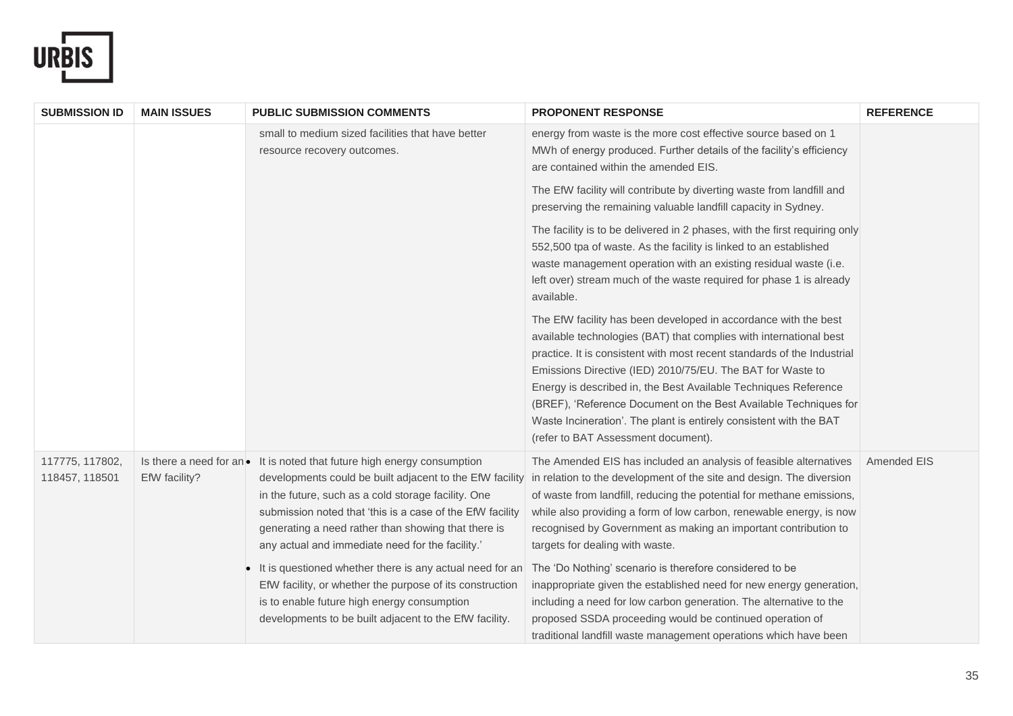

| <b>SUBMISSION ID</b>              | <b>MAIN ISSUES</b> | <b>PUBLIC SUBMISSION COMMENTS</b>                                                                                                                                                                                                                                                                                                                                           | PROPONENT RESPONSE                                                                                                                                                                                                                                                                                                                                                                                                                                                                                                                 | <b>REFERENCE</b> |
|-----------------------------------|--------------------|-----------------------------------------------------------------------------------------------------------------------------------------------------------------------------------------------------------------------------------------------------------------------------------------------------------------------------------------------------------------------------|------------------------------------------------------------------------------------------------------------------------------------------------------------------------------------------------------------------------------------------------------------------------------------------------------------------------------------------------------------------------------------------------------------------------------------------------------------------------------------------------------------------------------------|------------------|
|                                   |                    | small to medium sized facilities that have better<br>resource recovery outcomes.                                                                                                                                                                                                                                                                                            | energy from waste is the more cost effective source based on 1<br>MWh of energy produced. Further details of the facility's efficiency<br>are contained within the amended EIS.                                                                                                                                                                                                                                                                                                                                                    |                  |
|                                   |                    |                                                                                                                                                                                                                                                                                                                                                                             | The EfW facility will contribute by diverting waste from landfill and<br>preserving the remaining valuable landfill capacity in Sydney.                                                                                                                                                                                                                                                                                                                                                                                            |                  |
|                                   |                    |                                                                                                                                                                                                                                                                                                                                                                             | The facility is to be delivered in 2 phases, with the first requiring only<br>552,500 tpa of waste. As the facility is linked to an established<br>waste management operation with an existing residual waste (i.e.<br>left over) stream much of the waste required for phase 1 is already<br>available.                                                                                                                                                                                                                           |                  |
|                                   |                    |                                                                                                                                                                                                                                                                                                                                                                             | The EfW facility has been developed in accordance with the best<br>available technologies (BAT) that complies with international best<br>practice. It is consistent with most recent standards of the Industrial<br>Emissions Directive (IED) 2010/75/EU. The BAT for Waste to<br>Energy is described in, the Best Available Techniques Reference<br>(BREF), 'Reference Document on the Best Available Techniques for<br>Waste Incineration'. The plant is entirely consistent with the BAT<br>(refer to BAT Assessment document). |                  |
| 117775, 117802,<br>118457, 118501 | EfW facility?      | Is there a need for an $\bullet$ It is noted that future high energy consumption<br>developments could be built adjacent to the EfW facility<br>in the future, such as a cold storage facility. One<br>submission noted that 'this is a case of the EfW facility<br>generating a need rather than showing that there is<br>any actual and immediate need for the facility.' | The Amended EIS has included an analysis of feasible alternatives<br>in relation to the development of the site and design. The diversion<br>of waste from landfill, reducing the potential for methane emissions,<br>while also providing a form of low carbon, renewable energy, is now<br>recognised by Government as making an important contribution to<br>targets for dealing with waste.                                                                                                                                    | Amended EIS      |
|                                   |                    | It is questioned whether there is any actual need for an<br>EfW facility, or whether the purpose of its construction<br>is to enable future high energy consumption<br>developments to be built adjacent to the EfW facility.                                                                                                                                               | The 'Do Nothing' scenario is therefore considered to be<br>inappropriate given the established need for new energy generation,<br>including a need for low carbon generation. The alternative to the<br>proposed SSDA proceeding would be continued operation of<br>traditional landfill waste management operations which have been                                                                                                                                                                                               |                  |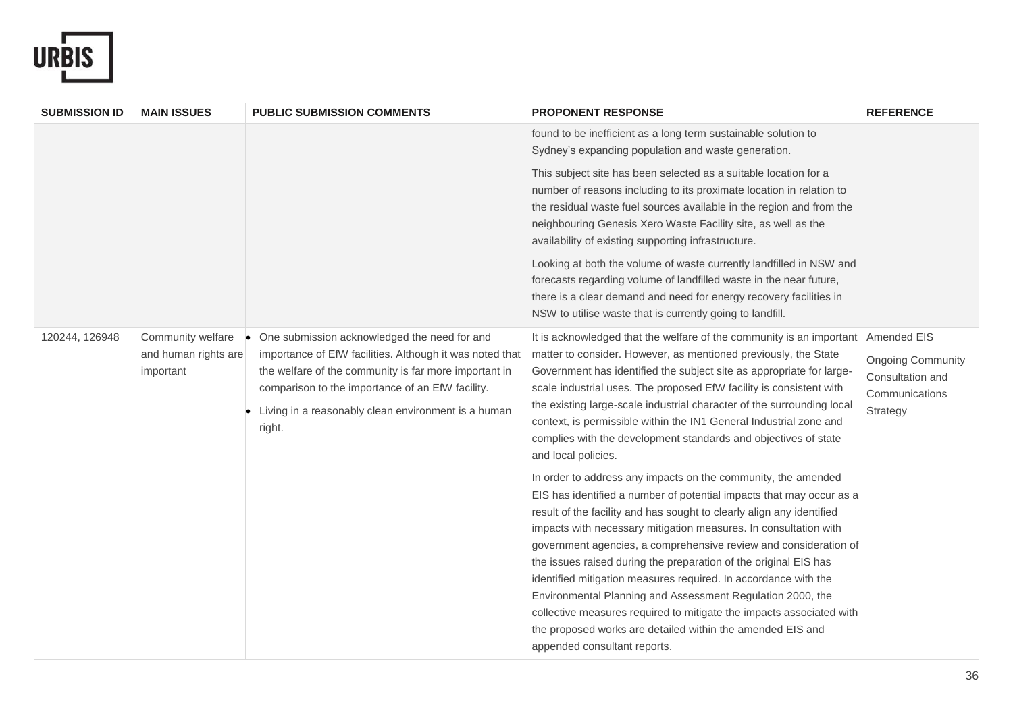

| <b>SUBMISSION ID</b> | <b>MAIN ISSUES</b>                                     | <b>PUBLIC SUBMISSION COMMENTS</b>                                                                                                                                                                                                                                                      | <b>PROPONENT RESPONSE</b>                                                                                                                                                                                                                                                                                                                                                                                                                                                                                                                                                                                                                                                                                                         | <b>REFERENCE</b>                                                           |
|----------------------|--------------------------------------------------------|----------------------------------------------------------------------------------------------------------------------------------------------------------------------------------------------------------------------------------------------------------------------------------------|-----------------------------------------------------------------------------------------------------------------------------------------------------------------------------------------------------------------------------------------------------------------------------------------------------------------------------------------------------------------------------------------------------------------------------------------------------------------------------------------------------------------------------------------------------------------------------------------------------------------------------------------------------------------------------------------------------------------------------------|----------------------------------------------------------------------------|
|                      |                                                        |                                                                                                                                                                                                                                                                                        | found to be inefficient as a long term sustainable solution to<br>Sydney's expanding population and waste generation.                                                                                                                                                                                                                                                                                                                                                                                                                                                                                                                                                                                                             |                                                                            |
|                      |                                                        |                                                                                                                                                                                                                                                                                        | This subject site has been selected as a suitable location for a<br>number of reasons including to its proximate location in relation to<br>the residual waste fuel sources available in the region and from the<br>neighbouring Genesis Xero Waste Facility site, as well as the<br>availability of existing supporting infrastructure.<br>Looking at both the volume of waste currently landfilled in NSW and<br>forecasts regarding volume of landfilled waste in the near future,<br>there is a clear demand and need for energy recovery facilities in<br>NSW to utilise waste that is currently going to landfill.                                                                                                          |                                                                            |
| 120244, 126948       | Community welfare<br>and human rights are<br>important | One submission acknowledged the need for and<br>importance of EfW facilities. Although it was noted that<br>the welfare of the community is far more important in<br>comparison to the importance of an EfW facility.<br>Living in a reasonably clean environment is a human<br>right. | It is acknowledged that the welfare of the community is an important Amended EIS<br>matter to consider. However, as mentioned previously, the State<br>Government has identified the subject site as appropriate for large-<br>scale industrial uses. The proposed EfW facility is consistent with<br>the existing large-scale industrial character of the surrounding local<br>context, is permissible within the IN1 General Industrial zone and<br>complies with the development standards and objectives of state<br>and local policies.                                                                                                                                                                                      | <b>Ongoing Community</b><br>Consultation and<br>Communications<br>Strategy |
|                      |                                                        |                                                                                                                                                                                                                                                                                        | In order to address any impacts on the community, the amended<br>EIS has identified a number of potential impacts that may occur as a<br>result of the facility and has sought to clearly align any identified<br>impacts with necessary mitigation measures. In consultation with<br>government agencies, a comprehensive review and consideration of<br>the issues raised during the preparation of the original EIS has<br>identified mitigation measures required. In accordance with the<br>Environmental Planning and Assessment Regulation 2000, the<br>collective measures required to mitigate the impacts associated with<br>the proposed works are detailed within the amended EIS and<br>appended consultant reports. |                                                                            |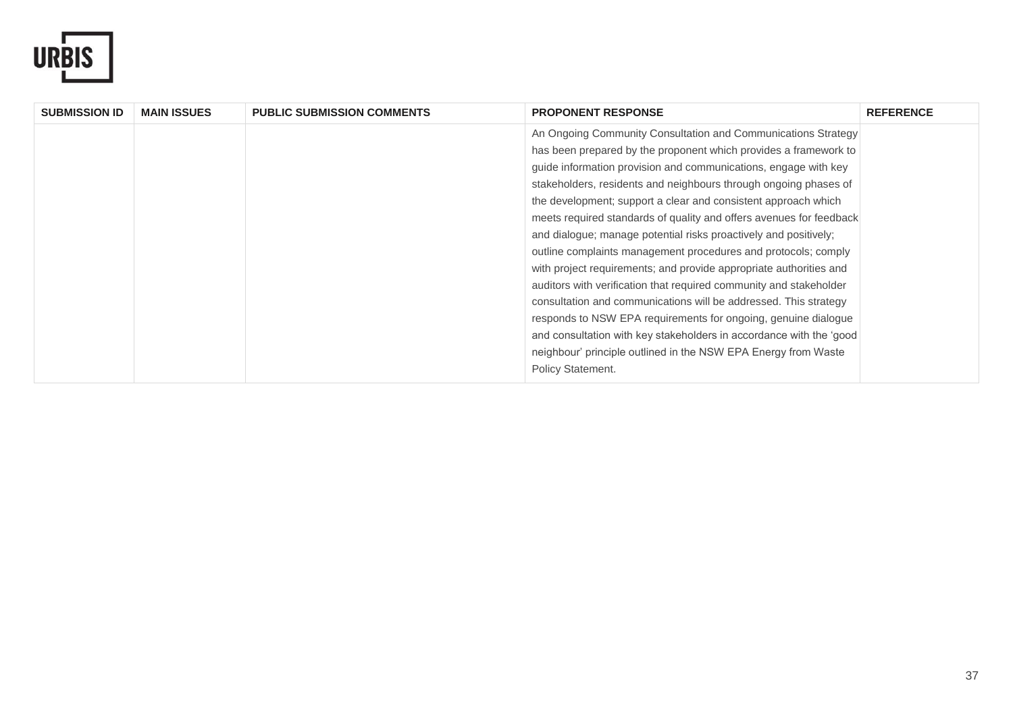

| <b>SUBMISSION ID</b> | <b>MAIN ISSUES</b> | <b>PUBLIC SUBMISSION COMMENTS</b> | <b>PROPONENT RESPONSE</b>                                           | <b>REFERENCE</b> |
|----------------------|--------------------|-----------------------------------|---------------------------------------------------------------------|------------------|
|                      |                    |                                   | An Ongoing Community Consultation and Communications Strategy       |                  |
|                      |                    |                                   | has been prepared by the proponent which provides a framework to    |                  |
|                      |                    |                                   | guide information provision and communications, engage with key     |                  |
|                      |                    |                                   | stakeholders, residents and neighbours through ongoing phases of    |                  |
|                      |                    |                                   | the development; support a clear and consistent approach which      |                  |
|                      |                    |                                   | meets required standards of quality and offers avenues for feedback |                  |
|                      |                    |                                   | and dialogue; manage potential risks proactively and positively;    |                  |
|                      |                    |                                   | outline complaints management procedures and protocols; comply      |                  |
|                      |                    |                                   | with project requirements; and provide appropriate authorities and  |                  |
|                      |                    |                                   | auditors with verification that required community and stakeholder  |                  |
|                      |                    |                                   | consultation and communications will be addressed. This strategy    |                  |
|                      |                    |                                   | responds to NSW EPA requirements for ongoing, genuine dialogue      |                  |
|                      |                    |                                   | and consultation with key stakeholders in accordance with the 'good |                  |
|                      |                    |                                   | neighbour' principle outlined in the NSW EPA Energy from Waste      |                  |
|                      |                    |                                   | Policy Statement.                                                   |                  |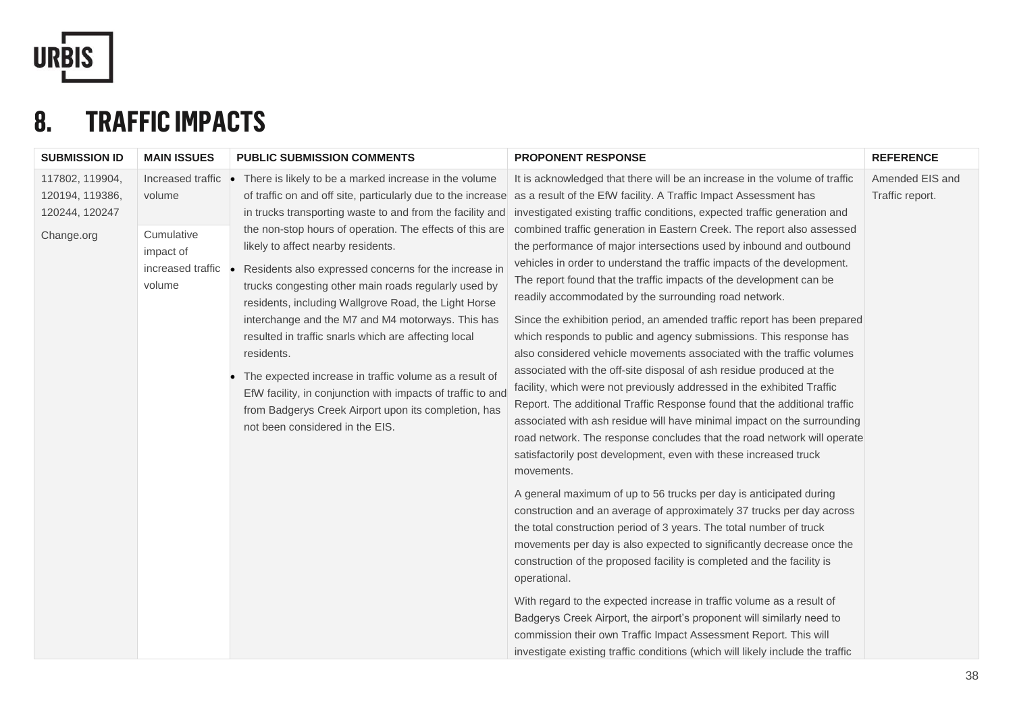

## **8. TRAFFIC IMPACTS**

| <b>SUBMISSION ID</b>                                               | <b>MAIN ISSUES</b>                                                                      | <b>PUBLIC SUBMISSION COMMENTS</b>                                                                                                                                                                                                                                                                                                                                                                                                                                                                                                                                                                                                                                                                                                            | <b>PROPONENT RESPONSE</b>                                                                                                                                                                                                                                                                                                                                                                                                                                                                                                                                                                                                                                                                                                                                                                                                                                                                                                                                                                                                                                                                                                                                                                                                                                                                                                                                                                                                                                                                                                                                                                                                                                                                                                                                                                                                                                                                                                                                                                                                                                | <b>REFERENCE</b>                   |
|--------------------------------------------------------------------|-----------------------------------------------------------------------------------------|----------------------------------------------------------------------------------------------------------------------------------------------------------------------------------------------------------------------------------------------------------------------------------------------------------------------------------------------------------------------------------------------------------------------------------------------------------------------------------------------------------------------------------------------------------------------------------------------------------------------------------------------------------------------------------------------------------------------------------------------|----------------------------------------------------------------------------------------------------------------------------------------------------------------------------------------------------------------------------------------------------------------------------------------------------------------------------------------------------------------------------------------------------------------------------------------------------------------------------------------------------------------------------------------------------------------------------------------------------------------------------------------------------------------------------------------------------------------------------------------------------------------------------------------------------------------------------------------------------------------------------------------------------------------------------------------------------------------------------------------------------------------------------------------------------------------------------------------------------------------------------------------------------------------------------------------------------------------------------------------------------------------------------------------------------------------------------------------------------------------------------------------------------------------------------------------------------------------------------------------------------------------------------------------------------------------------------------------------------------------------------------------------------------------------------------------------------------------------------------------------------------------------------------------------------------------------------------------------------------------------------------------------------------------------------------------------------------------------------------------------------------------------------------------------------------|------------------------------------|
| 117802, 119904,<br>120194, 119386,<br>120244, 120247<br>Change.org | Increased traffic •<br>volume<br>Cumulative<br>impact of<br>increased traffic<br>volume | There is likely to be a marked increase in the volume<br>in trucks transporting waste to and from the facility and<br>the non-stop hours of operation. The effects of this are<br>likely to affect nearby residents.<br>Residents also expressed concerns for the increase in<br>trucks congesting other main roads regularly used by<br>residents, including Wallgrove Road, the Light Horse<br>interchange and the M7 and M4 motorways. This has<br>resulted in traffic snarls which are affecting local<br>residents.<br>The expected increase in traffic volume as a result of<br>EfW facility, in conjunction with impacts of traffic to and<br>from Badgerys Creek Airport upon its completion, has<br>not been considered in the EIS. | It is acknowledged that there will be an increase in the volume of traffic<br>of traffic on and off site, particularly due to the increase as a result of the EfW facility. A Traffic Impact Assessment has<br>investigated existing traffic conditions, expected traffic generation and<br>combined traffic generation in Eastern Creek. The report also assessed<br>the performance of major intersections used by inbound and outbound<br>vehicles in order to understand the traffic impacts of the development.<br>The report found that the traffic impacts of the development can be<br>readily accommodated by the surrounding road network.<br>Since the exhibition period, an amended traffic report has been prepared<br>which responds to public and agency submissions. This response has<br>also considered vehicle movements associated with the traffic volumes<br>associated with the off-site disposal of ash residue produced at the<br>facility, which were not previously addressed in the exhibited Traffic<br>Report. The additional Traffic Response found that the additional traffic<br>associated with ash residue will have minimal impact on the surrounding<br>road network. The response concludes that the road network will operate<br>satisfactorily post development, even with these increased truck<br>movements.<br>A general maximum of up to 56 trucks per day is anticipated during<br>construction and an average of approximately 37 trucks per day across<br>the total construction period of 3 years. The total number of truck<br>movements per day is also expected to significantly decrease once the<br>construction of the proposed facility is completed and the facility is<br>operational.<br>With regard to the expected increase in traffic volume as a result of<br>Badgerys Creek Airport, the airport's proponent will similarly need to<br>commission their own Traffic Impact Assessment Report. This will<br>investigate existing traffic conditions (which will likely include the traffic | Amended EIS and<br>Traffic report. |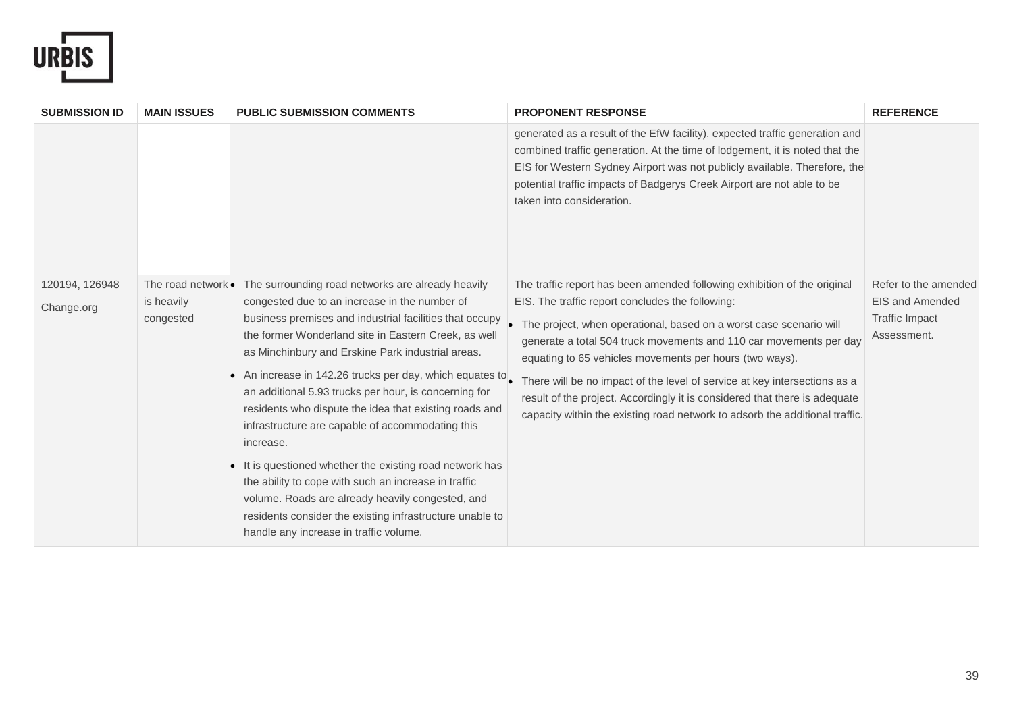

| <b>SUBMISSION ID</b>         | <b>MAIN ISSUES</b>                            | <b>PUBLIC SUBMISSION COMMENTS</b>                                                                                                                                                                                                                                                                                                                                                                                                                                                                                                                                                                                                                                                                                                                                                                    | <b>PROPONENT RESPONSE</b>                                                                                                                                                                                                                                                                                                                                                                                                                                                                                                                                                       | <b>REFERENCE</b>                                                                |
|------------------------------|-----------------------------------------------|------------------------------------------------------------------------------------------------------------------------------------------------------------------------------------------------------------------------------------------------------------------------------------------------------------------------------------------------------------------------------------------------------------------------------------------------------------------------------------------------------------------------------------------------------------------------------------------------------------------------------------------------------------------------------------------------------------------------------------------------------------------------------------------------------|---------------------------------------------------------------------------------------------------------------------------------------------------------------------------------------------------------------------------------------------------------------------------------------------------------------------------------------------------------------------------------------------------------------------------------------------------------------------------------------------------------------------------------------------------------------------------------|---------------------------------------------------------------------------------|
|                              |                                               |                                                                                                                                                                                                                                                                                                                                                                                                                                                                                                                                                                                                                                                                                                                                                                                                      | generated as a result of the EfW facility), expected traffic generation and<br>combined traffic generation. At the time of lodgement, it is noted that the<br>EIS for Western Sydney Airport was not publicly available. Therefore, the<br>potential traffic impacts of Badgerys Creek Airport are not able to be<br>taken into consideration.                                                                                                                                                                                                                                  |                                                                                 |
| 120194, 126948<br>Change.org | The road network •<br>is heavily<br>congested | The surrounding road networks are already heavily<br>congested due to an increase in the number of<br>business premises and industrial facilities that occupy<br>the former Wonderland site in Eastern Creek, as well<br>as Minchinbury and Erskine Park industrial areas.<br>An increase in 142.26 trucks per day, which equates to<br>an additional 5.93 trucks per hour, is concerning for<br>residents who dispute the idea that existing roads and<br>infrastructure are capable of accommodating this<br>increase.<br>It is questioned whether the existing road network has<br>the ability to cope with such an increase in traffic<br>volume. Roads are already heavily congested, and<br>residents consider the existing infrastructure unable to<br>handle any increase in traffic volume. | The traffic report has been amended following exhibition of the original<br>EIS. The traffic report concludes the following:<br>• The project, when operational, based on a worst case scenario will<br>generate a total 504 truck movements and 110 car movements per day<br>equating to 65 vehicles movements per hours (two ways).<br>There will be no impact of the level of service at key intersections as a<br>result of the project. Accordingly it is considered that there is adequate<br>capacity within the existing road network to adsorb the additional traffic. | Refer to the amended<br>EIS and Amended<br><b>Traffic Impact</b><br>Assessment. |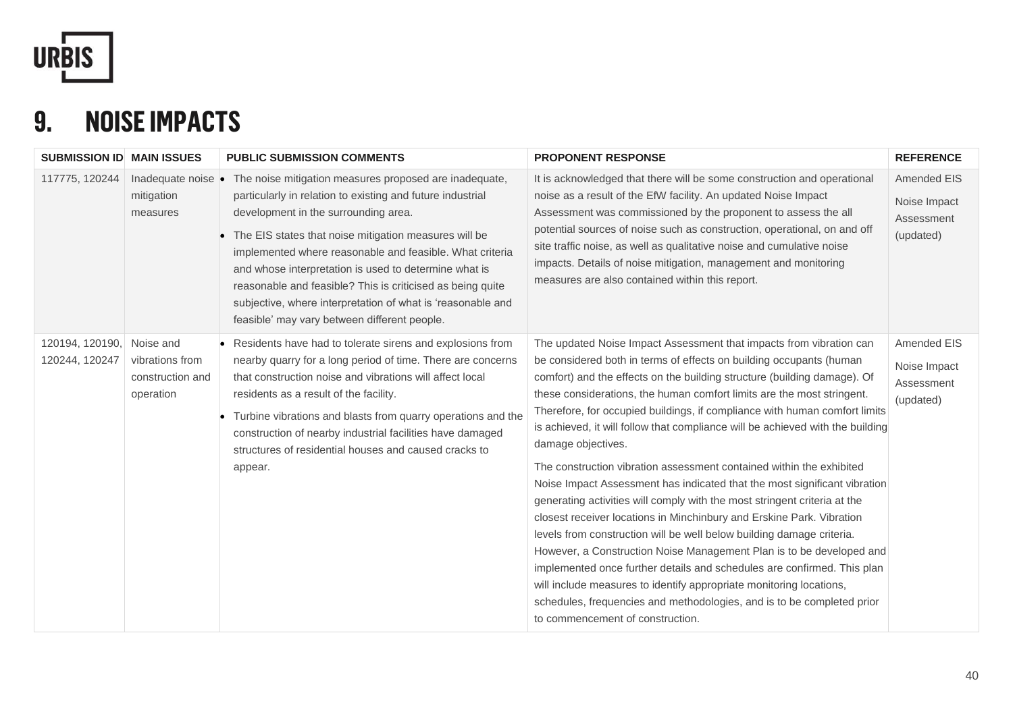

# **9. NOISE IMPACTS**

| <b>SUBMISSION ID MAIN ISSUES</b>  |                                                               | <b>PUBLIC SUBMISSION COMMENTS</b>                                                                                                                                                                                                                                                                                                                                                                                                                                                                                         | <b>PROPONENT RESPONSE</b>                                                                                                                                                                                                                                                                                                                                                                                                                                                                                                                                                                                                                                                                                                                                                                                                                                                                                                                                                                                                                                                                                                                                                                                          | <b>REFERENCE</b>                                       |
|-----------------------------------|---------------------------------------------------------------|---------------------------------------------------------------------------------------------------------------------------------------------------------------------------------------------------------------------------------------------------------------------------------------------------------------------------------------------------------------------------------------------------------------------------------------------------------------------------------------------------------------------------|--------------------------------------------------------------------------------------------------------------------------------------------------------------------------------------------------------------------------------------------------------------------------------------------------------------------------------------------------------------------------------------------------------------------------------------------------------------------------------------------------------------------------------------------------------------------------------------------------------------------------------------------------------------------------------------------------------------------------------------------------------------------------------------------------------------------------------------------------------------------------------------------------------------------------------------------------------------------------------------------------------------------------------------------------------------------------------------------------------------------------------------------------------------------------------------------------------------------|--------------------------------------------------------|
| 117775, 120244                    | Inadequate noise .<br>mitigation<br>measures                  | The noise mitigation measures proposed are inadequate,<br>particularly in relation to existing and future industrial<br>development in the surrounding area.<br>• The EIS states that noise mitigation measures will be<br>implemented where reasonable and feasible. What criteria<br>and whose interpretation is used to determine what is<br>reasonable and feasible? This is criticised as being quite<br>subjective, where interpretation of what is 'reasonable and<br>feasible' may vary between different people. | It is acknowledged that there will be some construction and operational<br>noise as a result of the EfW facility. An updated Noise Impact<br>Assessment was commissioned by the proponent to assess the all<br>potential sources of noise such as construction, operational, on and off<br>site traffic noise, as well as qualitative noise and cumulative noise<br>impacts. Details of noise mitigation, management and monitoring<br>measures are also contained within this report.                                                                                                                                                                                                                                                                                                                                                                                                                                                                                                                                                                                                                                                                                                                             | Amended EIS<br>Noise Impact<br>Assessment<br>(updated) |
| 120194, 120190,<br>120244, 120247 | Noise and<br>vibrations from<br>construction and<br>operation | Residents have had to tolerate sirens and explosions from<br>nearby quarry for a long period of time. There are concerns<br>that construction noise and vibrations will affect local<br>residents as a result of the facility.<br>Turbine vibrations and blasts from quarry operations and the<br>construction of nearby industrial facilities have damaged<br>structures of residential houses and caused cracks to<br>appear.                                                                                           | The updated Noise Impact Assessment that impacts from vibration can<br>be considered both in terms of effects on building occupants (human<br>comfort) and the effects on the building structure (building damage). Of<br>these considerations, the human comfort limits are the most stringent.<br>Therefore, for occupied buildings, if compliance with human comfort limits<br>is achieved, it will follow that compliance will be achieved with the building<br>damage objectives.<br>The construction vibration assessment contained within the exhibited<br>Noise Impact Assessment has indicated that the most significant vibration<br>generating activities will comply with the most stringent criteria at the<br>closest receiver locations in Minchinbury and Erskine Park. Vibration<br>levels from construction will be well below building damage criteria.<br>However, a Construction Noise Management Plan is to be developed and<br>implemented once further details and schedules are confirmed. This plan<br>will include measures to identify appropriate monitoring locations,<br>schedules, frequencies and methodologies, and is to be completed prior<br>to commencement of construction. | Amended EIS<br>Noise Impact<br>Assessment<br>(updated) |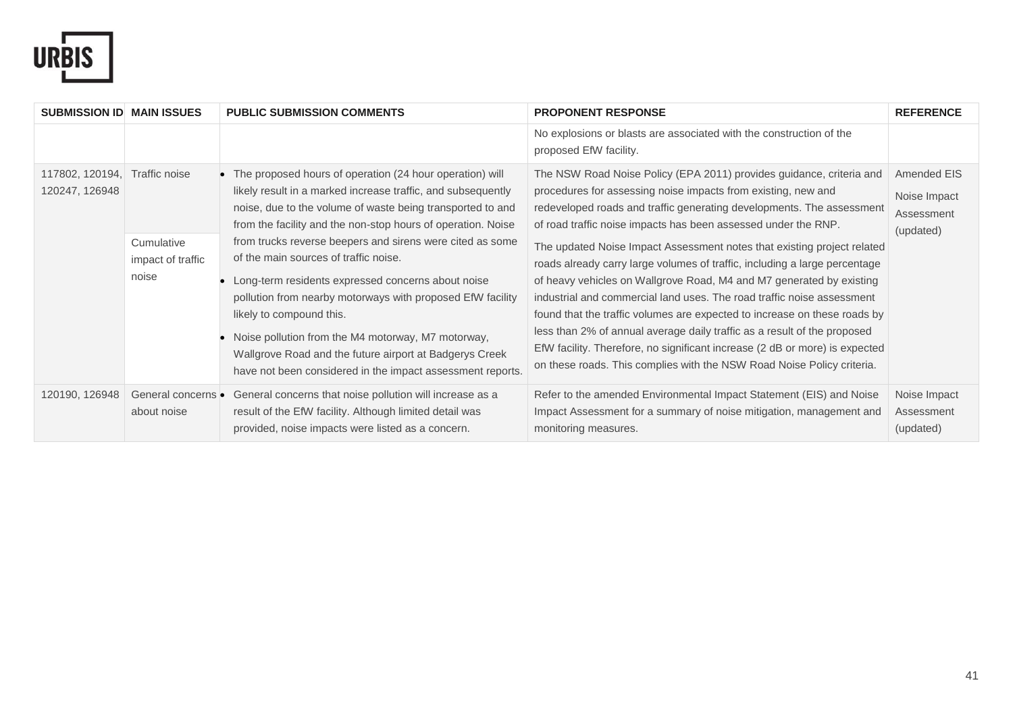

| <b>SUBMISSION ID MAIN ISSUES</b>  |                                                           | <b>PUBLIC SUBMISSION COMMENTS</b>                                                                                                                                                                                                                                                                                                                                                                                                                                                                                                                                                                                                                                                           | <b>PROPONENT RESPONSE</b>                                                                                                                                                                                                                                                                                                                                                                                                                                                                                                                                                                                                                                                                                                                                                                                                                                                                                     | <b>REFERENCE</b>                                       |
|-----------------------------------|-----------------------------------------------------------|---------------------------------------------------------------------------------------------------------------------------------------------------------------------------------------------------------------------------------------------------------------------------------------------------------------------------------------------------------------------------------------------------------------------------------------------------------------------------------------------------------------------------------------------------------------------------------------------------------------------------------------------------------------------------------------------|---------------------------------------------------------------------------------------------------------------------------------------------------------------------------------------------------------------------------------------------------------------------------------------------------------------------------------------------------------------------------------------------------------------------------------------------------------------------------------------------------------------------------------------------------------------------------------------------------------------------------------------------------------------------------------------------------------------------------------------------------------------------------------------------------------------------------------------------------------------------------------------------------------------|--------------------------------------------------------|
|                                   |                                                           |                                                                                                                                                                                                                                                                                                                                                                                                                                                                                                                                                                                                                                                                                             | No explosions or blasts are associated with the construction of the<br>proposed EfW facility.                                                                                                                                                                                                                                                                                                                                                                                                                                                                                                                                                                                                                                                                                                                                                                                                                 |                                                        |
| 117802, 120194,<br>120247, 126948 | Traffic noise<br>Cumulative<br>impact of traffic<br>noise | The proposed hours of operation (24 hour operation) will<br>likely result in a marked increase traffic, and subsequently<br>noise, due to the volume of waste being transported to and<br>from the facility and the non-stop hours of operation. Noise<br>from trucks reverse beepers and sirens were cited as some<br>of the main sources of traffic noise.<br>Long-term residents expressed concerns about noise<br>pollution from nearby motorways with proposed EfW facility<br>likely to compound this.<br>Noise pollution from the M4 motorway, M7 motorway,<br>Wallgrove Road and the future airport at Badgerys Creek<br>have not been considered in the impact assessment reports. | The NSW Road Noise Policy (EPA 2011) provides guidance, criteria and<br>procedures for assessing noise impacts from existing, new and<br>redeveloped roads and traffic generating developments. The assessment<br>of road traffic noise impacts has been assessed under the RNP.<br>The updated Noise Impact Assessment notes that existing project related<br>roads already carry large volumes of traffic, including a large percentage<br>of heavy vehicles on Wallgrove Road, M4 and M7 generated by existing<br>industrial and commercial land uses. The road traffic noise assessment<br>found that the traffic volumes are expected to increase on these roads by<br>less than 2% of annual average daily traffic as a result of the proposed<br>EfW facility. Therefore, no significant increase (2 dB or more) is expected<br>on these roads. This complies with the NSW Road Noise Policy criteria. | Amended EIS<br>Noise Impact<br>Assessment<br>(updated) |
| 120190, 126948                    | General concerns •<br>about noise                         | General concerns that noise pollution will increase as a<br>result of the EfW facility. Although limited detail was<br>provided, noise impacts were listed as a concern.                                                                                                                                                                                                                                                                                                                                                                                                                                                                                                                    | Refer to the amended Environmental Impact Statement (EIS) and Noise<br>Impact Assessment for a summary of noise mitigation, management and<br>monitoring measures.                                                                                                                                                                                                                                                                                                                                                                                                                                                                                                                                                                                                                                                                                                                                            | Noise Impact<br>Assessment<br>(updated)                |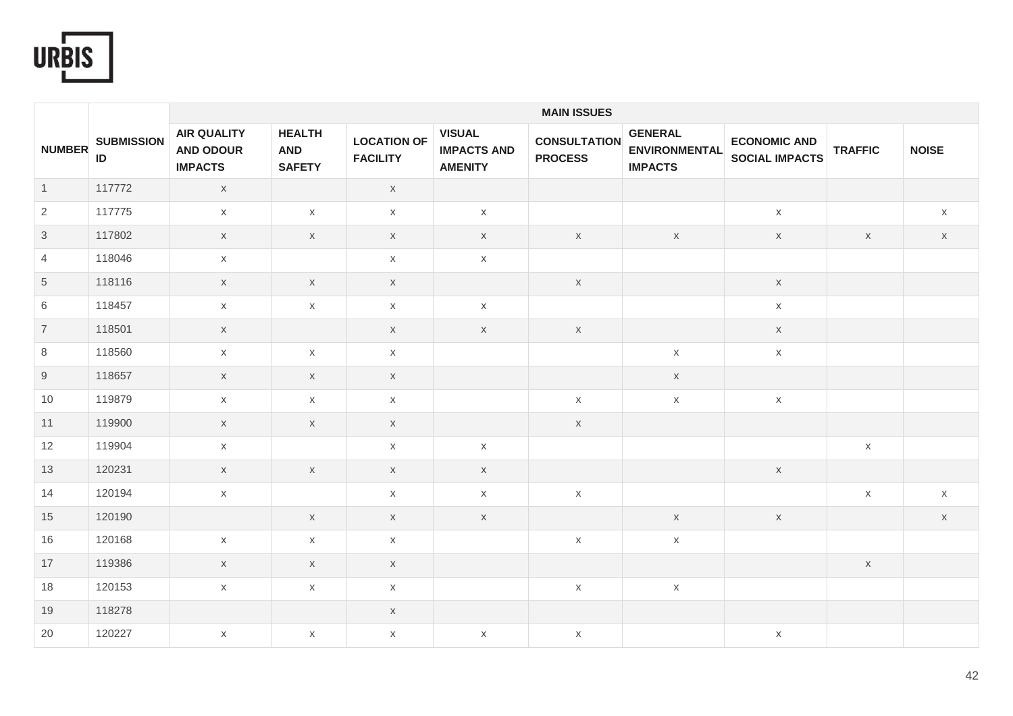

|                |                         |                                                          |                                              |                                       |                                                       | <b>MAIN ISSUES</b>                    |                                                          |                                              |                |              |
|----------------|-------------------------|----------------------------------------------------------|----------------------------------------------|---------------------------------------|-------------------------------------------------------|---------------------------------------|----------------------------------------------------------|----------------------------------------------|----------------|--------------|
| <b>NUMBER</b>  | <b>SUBMISSION</b><br>ID | <b>AIR QUALITY</b><br><b>AND ODOUR</b><br><b>IMPACTS</b> | <b>HEALTH</b><br><b>AND</b><br><b>SAFETY</b> | <b>LOCATION OF</b><br><b>FACILITY</b> | <b>VISUAL</b><br><b>IMPACTS AND</b><br><b>AMENITY</b> | <b>CONSULTATION</b><br><b>PROCESS</b> | <b>GENERAL</b><br><b>ENVIRONMENTAL</b><br><b>IMPACTS</b> | <b>ECONOMIC AND</b><br><b>SOCIAL IMPACTS</b> | <b>TRAFFIC</b> | <b>NOISE</b> |
| $\overline{1}$ | 117772                  | $\mathsf X$                                              |                                              | $\mathsf X$                           |                                                       |                                       |                                                          |                                              |                |              |
| $\overline{2}$ | 117775                  | $\mathsf{X}$                                             | $\mathsf X$                                  | $\mathsf X$                           | $\mathsf X$                                           |                                       |                                                          | $\mathsf X$                                  |                | X            |
| $\mathfrak{S}$ | 117802                  | $\mathsf X$                                              | $\times$                                     | $\mathsf{X}$                          | $\mathsf{X}$                                          | $\mathsf{X}$                          | $\mathsf{X}$                                             | $\mathsf X$                                  | $\mathsf{X}$   | $\mathsf{X}$ |
| $\overline{4}$ | 118046                  | $\mathsf X$                                              |                                              | $\mathsf X$                           | $\mathsf X$                                           |                                       |                                                          |                                              |                |              |
| $\,$ 5 $\,$    | 118116                  | $\mathsf X$                                              | $\mathsf X$                                  | $\mathsf X$                           |                                                       | $\mathsf X$                           |                                                          | $\mathsf X$                                  |                |              |
| 6              | 118457                  | $\mathsf{X}$                                             | $\mathsf{X}$                                 | $\mathsf X$                           | $\mathsf X$                                           |                                       |                                                          | $\mathsf{X}$                                 |                |              |
| $\overline{7}$ | 118501                  | $\mathsf X$                                              |                                              | $\mathsf X$                           | $\mathsf{X}$                                          | $\mathsf{X}$                          |                                                          | $\mathsf X$                                  |                |              |
| 8              | 118560                  | $\mathsf X$                                              | X                                            | $\mathsf X$                           |                                                       |                                       | $\mathsf X$                                              | $\mathsf X$                                  |                |              |
| 9              | 118657                  | $\mathsf X$                                              | $\mathsf X$                                  | $\mathsf X$                           |                                                       |                                       | $\mathsf X$                                              |                                              |                |              |
| 10             | 119879                  | $\mathsf X$                                              | $\mathsf X$                                  | $\mathsf X$                           |                                                       | $\mathsf X$                           | $\mathsf X$                                              | $\mathsf X$                                  |                |              |
| 11             | 119900                  | $\mathsf{X}$                                             | $\times$                                     | $\mathsf{X}$                          |                                                       | $\times$                              |                                                          |                                              |                |              |
| 12             | 119904                  | $\mathsf{X}$                                             |                                              | $\mathsf{X}$                          | $\mathsf X$                                           |                                       |                                                          |                                              | $\mathsf X$    |              |
| 13             | 120231                  | $\mathsf{X}$                                             | $\mathsf{X}$                                 | $\mathsf{X}$                          | $\mathsf{X}$                                          |                                       |                                                          | $\mathsf{X}$                                 |                |              |
| 14             | 120194                  | $\mathsf X$                                              |                                              | $\mathsf{X}$                          | $\mathsf X$                                           | $\mathsf X$                           |                                                          |                                              | $\mathsf X$    | $\mathsf{X}$ |
| 15             | 120190                  |                                                          | $\mathsf{X}$                                 | $\mathsf X$                           | $\mathsf{X}$                                          |                                       | $\mathsf X$                                              | $\mathsf X$                                  |                | $\mathsf X$  |
| 16             | 120168                  | $\mathsf X$                                              | $\mathsf X$                                  | $\mathsf X$                           |                                                       | $\mathsf X$                           | $\mathsf X$                                              |                                              |                |              |
| 17             | 119386                  | $\mathsf X$                                              | $\times$                                     | $\mathsf X$                           |                                                       |                                       |                                                          |                                              | $\mathsf X$    |              |
| 18             | 120153                  | $\mathsf{X}$                                             | X                                            | $\mathsf{X}$                          |                                                       | $\mathsf{X}$                          | $\times$                                                 |                                              |                |              |
| 19             | 118278                  |                                                          |                                              | $\mathsf X$                           |                                                       |                                       |                                                          |                                              |                |              |
| 20             | 120227                  | $\mathsf{X}$                                             | $\times$                                     | $\boldsymbol{\mathsf{X}}$             | $\mathsf X$                                           | X                                     |                                                          | $\mathsf X$                                  |                |              |